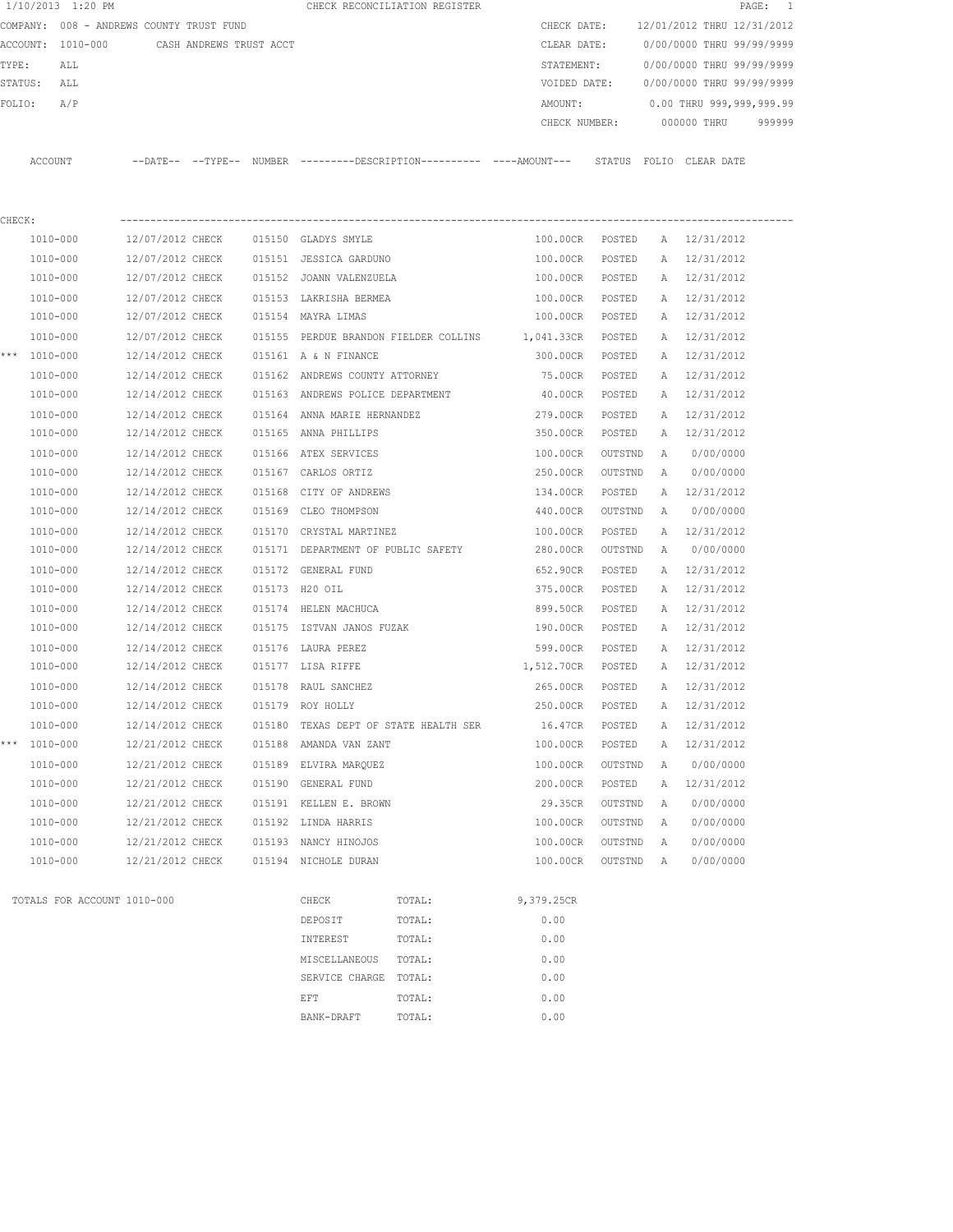|        | 1/10/2013 1:20 PM                        |                  |                         |                                                                    | CHECK RECONCILIATION REGISTER         |                                                                                             |         |   | $\texttt{PAGE}$ :            | $\overline{1}$ |
|--------|------------------------------------------|------------------|-------------------------|--------------------------------------------------------------------|---------------------------------------|---------------------------------------------------------------------------------------------|---------|---|------------------------------|----------------|
|        | COMPANY: 008 - ANDREWS COUNTY TRUST FUND |                  |                         |                                                                    |                                       | CHECK DATE:                                                                                 |         |   | 12/01/2012 THRU 12/31/2012   |                |
|        | ACCOUNT: 1010-000                        |                  | CASH ANDREWS TRUST ACCT |                                                                    |                                       | CLEAR DATE:                                                                                 |         |   | 0/00/0000 THRU 99/99/9999    |                |
| TYPE:  | ALL                                      |                  |                         |                                                                    |                                       | STATEMENT:                                                                                  |         |   | 0/00/0000 THRU 99/99/9999    |                |
|        | STATUS:<br>ALL                           |                  |                         |                                                                    |                                       | VOIDED DATE:                                                                                |         |   | 0/00/0000 THRU 99/99/9999    |                |
| FOLIO: | A/P                                      |                  |                         |                                                                    |                                       | AMOUNT:                                                                                     |         |   | 0.00 THRU 999,999,999.99     |                |
|        |                                          |                  |                         |                                                                    |                                       | CHECK NUMBER:                                                                               |         |   | 000000 THRU                  | 999999         |
|        | ACCOUNT                                  |                  |                         |                                                                    |                                       | --DATE-- --TYPE-- NUMBER --------DESCRIPTION---------- ---AMOUNT--- STATUS FOLIO CLEAR DATE |         |   |                              |                |
| CHECK: |                                          |                  |                         |                                                                    |                                       |                                                                                             |         |   |                              |                |
|        | 1010-000                                 | 12/07/2012 CHECK |                         | 015150 GLADYS SMYLE                                                |                                       | 100.00CR                                                                                    | POSTED  |   | A 12/31/2012                 |                |
|        | 1010-000                                 | 12/07/2012 CHECK |                         | 015151 JESSICA GARDUNO                                             |                                       | 100.00CR                                                                                    | POSTED  | A | 12/31/2012                   |                |
|        | 1010-000                                 | 12/07/2012 CHECK |                         | 015152 JOANN VALENZUELA                                            |                                       | 100.00CR                                                                                    | POSTED  |   | A 12/31/2012                 |                |
|        |                                          | 12/07/2012 CHECK |                         |                                                                    |                                       |                                                                                             |         |   | A 12/31/2012                 |                |
|        | 1010-000                                 |                  |                         | 015153 LAKRISHA BERMEA<br>015154 MAYRA LIMAS                       |                                       | 100.00CR POSTED<br>100.00CR POSTED                                                          |         |   |                              |                |
|        | 1010-000                                 | 12/07/2012 CHECK |                         |                                                                    |                                       |                                                                                             |         |   | A 12/31/2012                 |                |
|        | 1010-000                                 | 12/07/2012 CHECK |                         |                                                                    | 015155 PERDUE BRANDON FIELDER COLLINS | 1,041.33CR POSTED                                                                           |         |   | A 12/31/2012                 |                |
|        | *** 1010-000                             | 12/14/2012 CHECK |                         | 015161 A & N FINANCE                                               |                                       | 300.00CR POSTED                                                                             |         |   | A 12/31/2012                 |                |
|        | 1010-000                                 | 12/14/2012 CHECK |                         | 015162 ANDREWS COUNTY ATTORNEY<br>015163 ANDREWS POLICE DEPARTMENT |                                       | 75.00CR                                                                                     | POSTED  |   | A 12/31/2012<br>A 12/31/2012 |                |
|        | 1010-000                                 | 12/14/2012 CHECK |                         |                                                                    |                                       | 40.00CR                                                                                     | POSTED  |   |                              |                |
|        | 1010-000                                 | 12/14/2012 CHECK |                         | 015164 ANNA MARIE HERNANDEZ                                        |                                       | 279.00CR                                                                                    | POSTED  | A | 12/31/2012<br>12/31/2012     |                |
|        | 1010-000                                 | 12/14/2012 CHECK |                         | 015165 ANNA PHILLIPS                                               |                                       | 350.00CR                                                                                    | POSTED  | A |                              |                |
|        | 1010-000                                 | 12/14/2012 CHECK |                         | 015166 ATEX SERVICES                                               |                                       | 100.00CR                                                                                    | OUTSTND | A | 0/00/0000                    |                |
|        | 1010-000                                 | 12/14/2012 CHECK |                         | 015167 CARLOS ORTIZ                                                |                                       | 250.00CR                                                                                    | OUTSTND | A | 0/00/0000                    |                |
|        | 1010-000                                 | 12/14/2012 CHECK |                         | 015168 CITY OF ANDREWS                                             |                                       | 134.00CR                                                                                    | POSTED  | Α | 12/31/2012                   |                |
|        | 1010-000                                 | 12/14/2012 CHECK |                         | 015169 CLEO THOMPSON                                               |                                       | 440.00CR                                                                                    | OUTSTND | A | 0/00/0000                    |                |
|        | 1010-000                                 | 12/14/2012 CHECK |                         | 015170 CRYSTAL MARTINEZ                                            |                                       | 100.00CR                                                                                    | POSTED  |   | A 12/31/2012                 |                |
|        | 1010-000                                 | 12/14/2012 CHECK |                         | 015171 DEPARTMENT OF PUBLIC SAFETY                                 |                                       | 280.00CR                                                                                    | OUTSTND | A | 0/00/0000                    |                |
|        | 1010-000                                 | 12/14/2012 CHECK |                         | 015172 GENERAL FUND                                                |                                       | 652.90CR                                                                                    | POSTED  |   | A 12/31/2012                 |                |
|        | 1010-000                                 | 12/14/2012 CHECK |                         | 015173 H20 OIL                                                     |                                       | 375.00CR                                                                                    | POSTED  | A | 12/31/2012                   |                |
|        | 1010-000                                 | 12/14/2012 CHECK |                         | 015174 HELEN MACHUCA                                               |                                       | 899.50CR                                                                                    | POSTED  |   | A 12/31/2012                 |                |
|        | 1010-000                                 | 12/14/2012 CHECK |                         | 015175 ISTVAN JANOS FUZAK                                          |                                       | 190.00CR                                                                                    | POSTED  |   | A 12/31/2012                 |                |
|        | 1010-000                                 | 12/14/2012 CHECK |                         | 015176 LAURA PEREZ                                                 |                                       | 599.00CR                                                                                    | POSTED  |   | A 12/31/2012                 |                |
|        | 1010-000                                 | 12/14/2012 CHECK |                         | 015177 LISA RIFFE                                                  |                                       | 1,512.70CR                                                                                  | POSTED  |   | A 12/31/2012                 |                |
|        | 1010-000                                 | 12/14/2012 CHECK |                         | 015178 RAUL SANCHEZ                                                |                                       | 265.00CR                                                                                    | POSTED  |   | A 12/31/2012                 |                |
|        | 1010-000                                 | 12/14/2012 CHECK |                         | 015179 ROY HOLLY                                                   |                                       | 250.00CR                                                                                    | POSTED  | Α | 12/31/2012                   |                |
|        | 1010-000                                 | 12/14/2012 CHECK |                         |                                                                    | 015180 TEXAS DEPT OF STATE HEALTH SER | 16.47CR                                                                                     | POSTED  | Α | 12/31/2012                   |                |
| ***    | 1010-000                                 | 12/21/2012 CHECK |                         | 015188 AMANDA VAN ZANT                                             |                                       | 100.00CR                                                                                    | POSTED  | Α | 12/31/2012                   |                |
|        | 1010-000                                 | 12/21/2012 CHECK |                         | 015189 ELVIRA MARQUEZ                                              |                                       | 100.00CR                                                                                    | OUTSTND | Α | 0/00/0000                    |                |
|        | 1010-000                                 | 12/21/2012 CHECK |                         | 015190 GENERAL FUND                                                |                                       | 200.00CR                                                                                    | POSTED  | Α | 12/31/2012                   |                |
|        | 1010-000                                 | 12/21/2012 CHECK |                         | 015191 KELLEN E. BROWN                                             |                                       | 29.35CR                                                                                     | OUTSTND | Α | 0/00/0000                    |                |
|        | 1010-000                                 | 12/21/2012 CHECK |                         | 015192 LINDA HARRIS                                                |                                       | 100.00CR                                                                                    | OUTSTND | Α | 0/00/0000                    |                |
|        | 1010-000                                 | 12/21/2012 CHECK |                         | 015193 NANCY HINOJOS                                               |                                       | 100.00CR                                                                                    | OUTSTND | Α | 0/00/0000                    |                |
|        | 1010-000                                 | 12/21/2012 CHECK |                         | 015194 NICHOLE DURAN                                               |                                       | 100.00CR                                                                                    | OUTSTND | Α | 0/00/0000                    |                |
|        | TOTALS FOR ACCOUNT 1010-000              |                  |                         | CHECK                                                              | TOTAL:                                | 9,379.25CR                                                                                  |         |   |                              |                |
|        |                                          |                  |                         | DEPOSIT                                                            | TOTAL:                                | 0.00                                                                                        |         |   |                              |                |
|        |                                          |                  |                         | INTEREST                                                           | TOTAL:                                | 0.00                                                                                        |         |   |                              |                |
|        |                                          |                  |                         | MISCELLANEOUS                                                      | TOTAL:                                | 0.00                                                                                        |         |   |                              |                |
|        |                                          |                  |                         | SERVICE CHARGE                                                     | TOTAL:                                | 0.00                                                                                        |         |   |                              |                |
|        |                                          |                  |                         | EFT                                                                | TOTAL:                                | 0.00                                                                                        |         |   |                              |                |
|        |                                          |                  |                         | BANK-DRAFT                                                         | TOTAL:                                | 0.00                                                                                        |         |   |                              |                |
|        |                                          |                  |                         |                                                                    |                                       |                                                                                             |         |   |                              |                |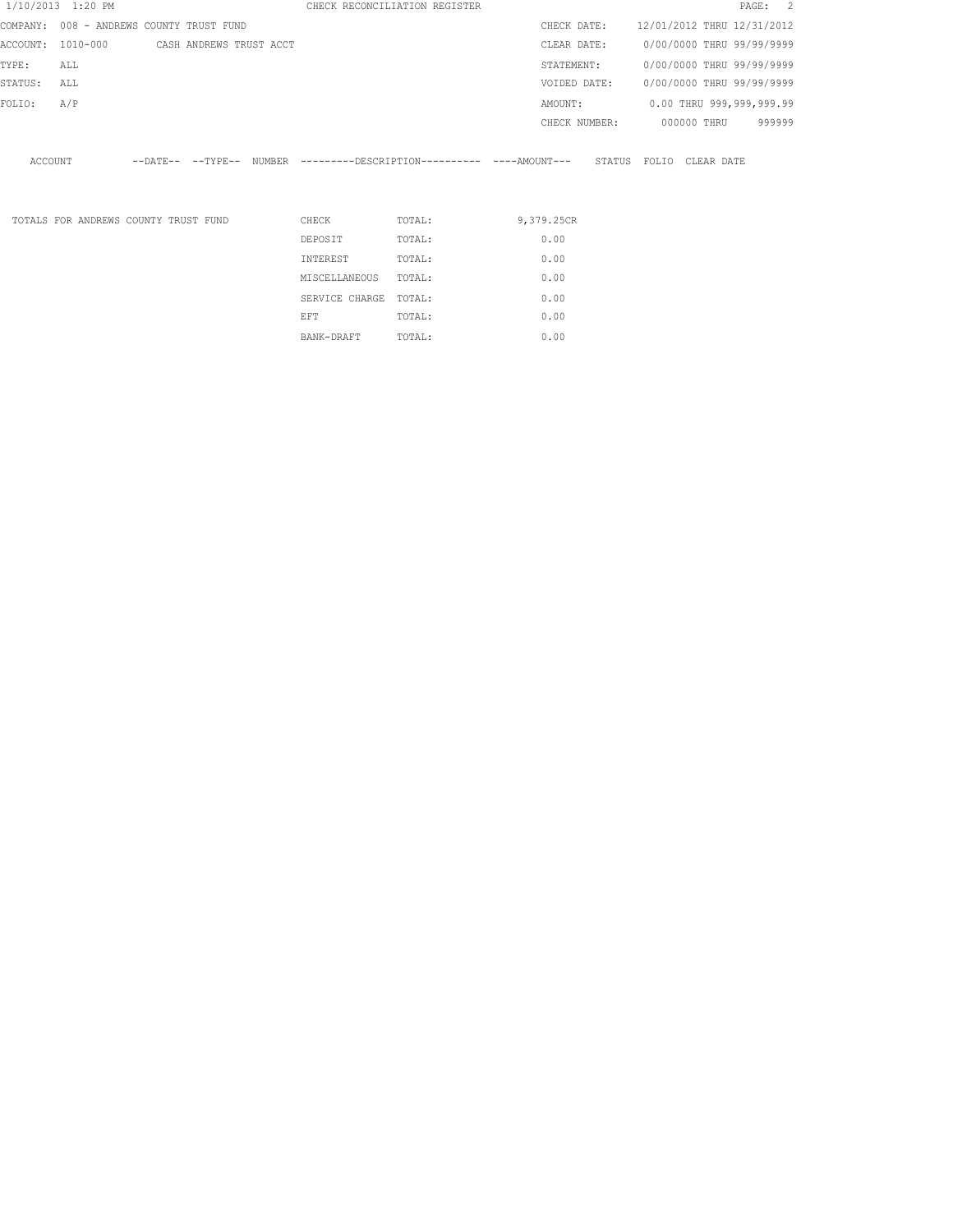|         | 1/10/2013 1:20 PM                         |  |                | CHECK RECONCILIATION REGISTER                                                                |               |  |             | PAGE: 2                    |  |
|---------|-------------------------------------------|--|----------------|----------------------------------------------------------------------------------------------|---------------|--|-------------|----------------------------|--|
|         | COMPANY: 008 - ANDREWS COUNTY TRUST FUND  |  |                |                                                                                              | CHECK DATE:   |  |             | 12/01/2012 THRU 12/31/2012 |  |
|         | ACCOUNT: 1010-000 CASH ANDREWS TRUST ACCT |  |                |                                                                                              | CLEAR DATE:   |  |             | 0/00/0000 THRU 99/99/9999  |  |
| TYPE:   | ALL                                       |  |                |                                                                                              | STATEMENT:    |  |             | 0/00/0000 THRU 99/99/9999  |  |
| STATUS: | ALL                                       |  |                |                                                                                              | VOIDED DATE:  |  |             | 0/00/0000 THRU 99/99/9999  |  |
| FOLIO:  | A/P                                       |  |                |                                                                                              | AMOUNT:       |  |             | 0.00 THRU 999,999,999.99   |  |
|         |                                           |  |                |                                                                                              | CHECK NUMBER: |  | 000000 THRU | 999999                     |  |
|         |                                           |  |                |                                                                                              |               |  |             |                            |  |
| ACCOUNT |                                           |  |                | --DATE-- --TYPE-- NUMBER ---------DESCRIPTION---------- ----AMOUNT--- STATUS FOLIO CLEARDATE |               |  |             |                            |  |
|         |                                           |  |                |                                                                                              |               |  |             |                            |  |
|         |                                           |  |                |                                                                                              |               |  |             |                            |  |
|         | TOTALS FOR ANDREWS COUNTY TRUST FUND      |  | CHECK          | TOTAL:                                                                                       | 9,379.25CR    |  |             |                            |  |
|         |                                           |  | DEPOSIT        | TOTAL:                                                                                       | 0.00          |  |             |                            |  |
|         |                                           |  | INTEREST       | TOTAL:                                                                                       | 0.00          |  |             |                            |  |
|         |                                           |  | MISCELLANEOUS  | TOTAL:                                                                                       | 0.00          |  |             |                            |  |
|         |                                           |  | SERVICE CHARGE | TOTAL:                                                                                       | 0.00          |  |             |                            |  |
|         |                                           |  | EFT            | TOTAL:                                                                                       | 0.00          |  |             |                            |  |

BANK-DRAFT TOTAL:  $0.00$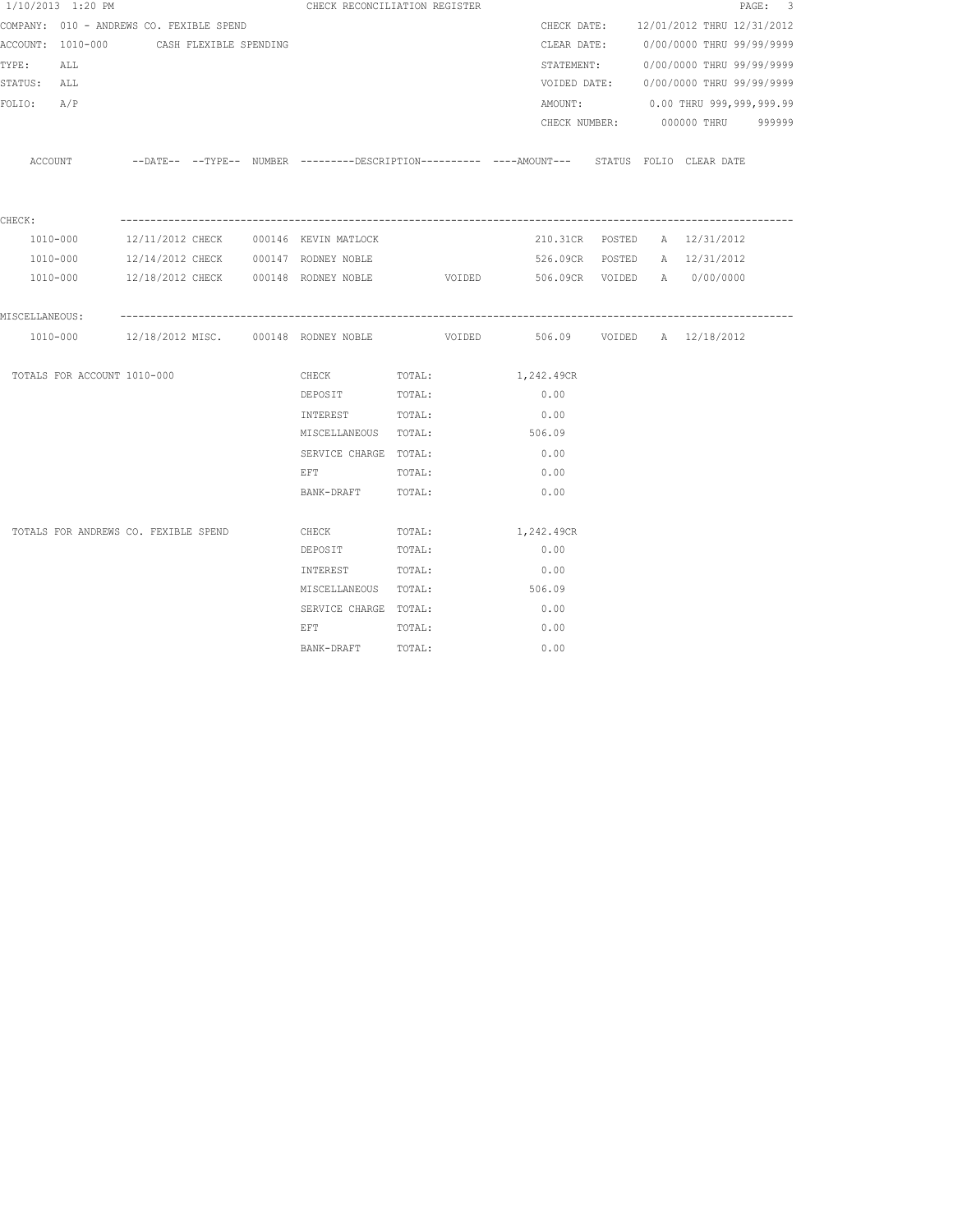| 1/10/2013 1:20 PM                             |  | CHECK RECONCILIATION REGISTER                                                               |        |        |                             |  |                                        | PAGE: 3 |  |
|-----------------------------------------------|--|---------------------------------------------------------------------------------------------|--------|--------|-----------------------------|--|----------------------------------------|---------|--|
| COMPANY: 010 - ANDREWS CO. FEXIBLE SPEND      |  |                                                                                             |        |        |                             |  | CHECK DATE: 12/01/2012 THRU 12/31/2012 |         |  |
| ACCOUNT: 1010-000 CASH FLEXIBLE SPENDING      |  |                                                                                             |        |        | CLEAR DATE:                 |  | 0/00/0000 THRU 99/99/9999              |         |  |
| TYPE:<br>ALL                                  |  |                                                                                             |        |        |                             |  | STATEMENT: 0/00/0000 THRU 99/99/9999   |         |  |
| STATUS: ALL                                   |  |                                                                                             |        |        |                             |  | VOIDED DATE: 0/00/0000 THRU 99/99/9999 |         |  |
| FOLIO: A/P                                    |  |                                                                                             |        |        | AMOUNT:                     |  | 0.00 THRU 999,999,999.99               |         |  |
|                                               |  |                                                                                             |        |        |                             |  | CHECK NUMBER: 000000 THRU 999999       |         |  |
| ACCOUNT                                       |  | --DATE-- --TYPE-- NUMBER --------DESCRIPTION---------- ---AMOUNT--- STATUS FOLIO CLEAR DATE |        |        |                             |  |                                        |         |  |
| CHECK:                                        |  |                                                                                             |        |        |                             |  |                                        |         |  |
| 1010-000                                      |  | 12/11/2012 CHECK 000146 KEVIN MATLOCK                                                       |        |        |                             |  | 210.31CR POSTED A 12/31/2012           |         |  |
| 1010-000 12/14/2012 CHECK 000147 RODNEY NOBLE |  |                                                                                             |        |        |                             |  | 526.09CR POSTED A 12/31/2012           |         |  |
| 1010-000                                      |  | 12/18/2012 CHECK 000148 RODNEY NOBLE  VOIDED                                                |        |        | 506.09CR VOIDED A 0/00/0000 |  |                                        |         |  |
| MISCELLANEOUS:                                |  |                                                                                             |        |        |                             |  |                                        |         |  |
|                                               |  | 1010-000 12/18/2012 MISC. 000148 RODNEY NOBLE VOIDED 506.09 VOIDED A 12/18/2012             |        |        |                             |  |                                        |         |  |
| TOTALS FOR ACCOUNT 1010-000                   |  | CHECK                                                                                       | TOTAL: |        | 1,242.49CR                  |  |                                        |         |  |
|                                               |  | DEPOSIT                                                                                     | TOTAL: |        | 0.00                        |  |                                        |         |  |
|                                               |  | INTEREST TOTAL:                                                                             |        |        | 0.00                        |  |                                        |         |  |
|                                               |  | MISCELLANEOUS TOTAL:                                                                        |        |        | 506.09                      |  |                                        |         |  |
|                                               |  | SERVICE CHARGE TOTAL:                                                                       |        |        | 0.00                        |  |                                        |         |  |
|                                               |  | <b>EFT</b>                                                                                  | TOTAL: |        | 0.00                        |  |                                        |         |  |
|                                               |  | BANK-DRAFT                                                                                  | TOTAL: |        | 0.00                        |  |                                        |         |  |
| TOTALS FOR ANDREWS CO. FEXIBLE SPEND          |  | CHECK                                                                                       | TOTAL: |        | 1,242.49CR                  |  |                                        |         |  |
|                                               |  | DEPOSIT                                                                                     | TOTAL: |        | 0.00                        |  |                                        |         |  |
|                                               |  | INTEREST                                                                                    | TOTAL: |        | 0.00                        |  |                                        |         |  |
|                                               |  | MISCELLANEOUS TOTAL:                                                                        |        | 506.09 |                             |  |                                        |         |  |
|                                               |  | SERVICE CHARGE TOTAL:                                                                       |        |        | 0.00                        |  |                                        |         |  |
|                                               |  | EFT                                                                                         | TOTAL: |        | 0.00                        |  |                                        |         |  |
|                                               |  | BANK-DRAFT                                                                                  | TOTAL: |        | 0.00                        |  |                                        |         |  |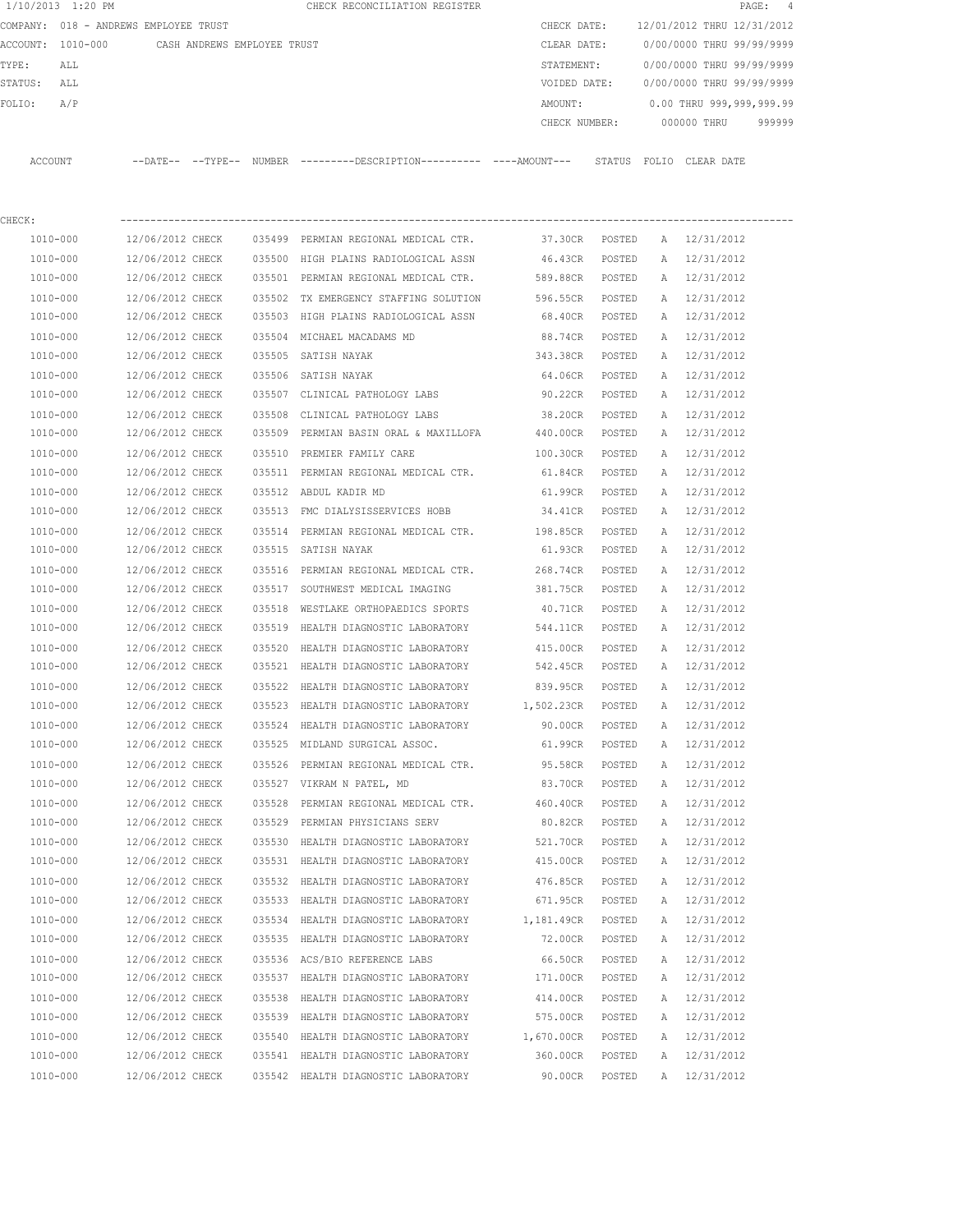|         | 1/10/2013 1:20 PM                             |                  |        | CHECK RECONCILIATION REGISTER                                                                |                   |                  |                            |              | $\texttt{PAGE}$ :<br>4 |
|---------|-----------------------------------------------|------------------|--------|----------------------------------------------------------------------------------------------|-------------------|------------------|----------------------------|--------------|------------------------|
|         | COMPANY: 018 - ANDREWS EMPLOYEE TRUST         |                  |        |                                                                                              | CHECK DATE:       |                  | 12/01/2012 THRU 12/31/2012 |              |                        |
|         | ACCOUNT: 1010-000 CASH ANDREWS EMPLOYEE TRUST |                  |        |                                                                                              | CLEAR DATE:       |                  | 0/00/0000 THRU 99/99/9999  |              |                        |
| TYPE:   | ALL                                           |                  |        |                                                                                              | STATEMENT:        |                  | 0/00/0000 THRU 99/99/9999  |              |                        |
| STATUS: | ALL                                           |                  |        |                                                                                              | VOIDED DATE:      |                  | 0/00/0000 THRU 99/99/9999  |              |                        |
| FOLIO:  | A/P                                           |                  |        |                                                                                              | AMOUNT:           |                  | 0.00 THRU 999,999,999.99   |              |                        |
|         |                                               |                  |        |                                                                                              | CHECK NUMBER:     |                  | 000000 THRU                |              | 999999                 |
|         | ACCOUNT                                       |                  |        | --DATE-- --TYPE-- NUMBER --------DESCRIPTION---------- ----AMOUNT--- STATUS FOLIO CLEAR DATE |                   |                  |                            |              |                        |
|         |                                               |                  |        |                                                                                              |                   |                  |                            |              |                        |
| CHECK:  | 1010-000                                      | 12/06/2012 CHECK |        | 035499 PERMIAN REGIONAL MEDICAL CTR.                                                         | 37.30CR           | POSTED           |                            | A 12/31/2012 |                        |
|         | 1010-000                                      | 12/06/2012 CHECK |        | 035500 HIGH PLAINS RADIOLOGICAL ASSN                                                         | 46.43CR           |                  |                            | A 12/31/2012 |                        |
|         | 1010-000                                      | 12/06/2012 CHECK |        | 035501 PERMIAN REGIONAL MEDICAL CTR.                                                         | 589.88CR          | POSTED<br>POSTED |                            | A 12/31/2012 |                        |
|         | 1010-000                                      | 12/06/2012 CHECK |        | 035502 TX EMERGENCY STAFFING SOLUTION                                                        | 596.55CR POSTED   |                  |                            | A 12/31/2012 |                        |
|         | 1010-000                                      | 12/06/2012 CHECK |        | 035503 HIGH PLAINS RADIOLOGICAL ASSN                                                         | 68.40CR POSTED    |                  |                            | A 12/31/2012 |                        |
|         | 1010-000                                      | 12/06/2012 CHECK |        | 035504 MICHAEL MACADAMS MD                                                                   | 88.74CR POSTED    |                  |                            | A 12/31/2012 |                        |
|         | 1010-000                                      | 12/06/2012 CHECK |        | 035505 SATISH NAYAK                                                                          | 343.38CR POSTED   |                  |                            | A 12/31/2012 |                        |
|         | 1010-000                                      | 12/06/2012 CHECK |        | 035506 SATISH NAYAK                                                                          | 64.06CR POSTED    |                  |                            | A 12/31/2012 |                        |
|         | 1010-000                                      | 12/06/2012 CHECK |        | 035507 CLINICAL PATHOLOGY LABS                                                               | 90.22CR POSTED    |                  |                            | A 12/31/2012 |                        |
|         | 1010-000                                      | 12/06/2012 CHECK | 035508 | CLINICAL PATHOLOGY LABS                                                                      | 38.20CR           | POSTED           |                            | A 12/31/2012 |                        |
|         | 1010-000                                      | 12/06/2012 CHECK |        | 035509 PERMIAN BASIN ORAL & MAXILLOFA                                                        | 440.00CR          | POSTED           |                            | A 12/31/2012 |                        |
|         | 1010-000                                      | 12/06/2012 CHECK |        | 035510 PREMIER FAMILY CARE                                                                   | 100.30CR          | POSTED           | A                          | 12/31/2012   |                        |
|         | 1010-000                                      | 12/06/2012 CHECK |        | 035511 PERMIAN REGIONAL MEDICAL CTR.                                                         | 61.84CR           | POSTED           | A                          | 12/31/2012   |                        |
|         | 1010-000                                      | 12/06/2012 CHECK |        | 035512 ABDUL KADIR MD                                                                        | 61.99CR           | POSTED           |                            | A 12/31/2012 |                        |
|         | 1010-000                                      | 12/06/2012 CHECK |        | 035513 FMC DIALYSISSERVICES HOBB                                                             | 34.41CR           | POSTED           | A                          | 12/31/2012   |                        |
|         | 1010-000                                      | 12/06/2012 CHECK |        | 035514 PERMIAN REGIONAL MEDICAL CTR.                                                         | 198.85CR          | POSTED           |                            | A 12/31/2012 |                        |
|         | 1010-000                                      | 12/06/2012 CHECK |        | 035515 SATISH NAYAK                                                                          | 61.93CR           | POSTED           |                            | A 12/31/2012 |                        |
|         | 1010-000                                      | 12/06/2012 CHECK |        | 035516 PERMIAN REGIONAL MEDICAL CTR.                                                         | 268.74CR          | POSTED           | A                          | 12/31/2012   |                        |
|         | 1010-000                                      | 12/06/2012 CHECK | 035517 | SOUTHWEST MEDICAL IMAGING                                                                    | 381.75CR          | POSTED           |                            | A 12/31/2012 |                        |
|         | 1010-000                                      | 12/06/2012 CHECK | 035518 | WESTLAKE ORTHOPAEDICS SPORTS                                                                 | 40.71CR           | POSTED           |                            | A 12/31/2012 |                        |
|         | 1010-000                                      | 12/06/2012 CHECK |        | 035519 HEALTH DIAGNOSTIC LABORATORY                                                          | 544.11CR          | POSTED           |                            | A 12/31/2012 |                        |
|         | 1010-000                                      | 12/06/2012 CHECK | 035520 | HEALTH DIAGNOSTIC LABORATORY                                                                 | 415.00CR          | POSTED           |                            | A 12/31/2012 |                        |
|         | 1010-000                                      | 12/06/2012 CHECK |        | 035521 HEALTH DIAGNOSTIC LABORATORY                                                          | 542.45CR          | POSTED           |                            | A 12/31/2012 |                        |
|         | 1010-000                                      | 12/06/2012 CHECK |        | 035522 HEALTH DIAGNOSTIC LABORATORY                                                          | 839.95CR          | POSTED           |                            | A 12/31/2012 |                        |
|         | 1010-000                                      | 12/06/2012 CHECK |        | 035523 HEALTH DIAGNOSTIC LABORATORY                                                          | 1,502.23CR        | POSTED           | A                          | 12/31/2012   |                        |
|         | 1010-000                                      | 12/06/2012 CHECK |        | 035524 HEALTH DIAGNOSTIC LABORATORY                                                          | 90.00CR           | POSTED           | Α                          | 12/31/2012   |                        |
|         | 1010-000                                      | 12/06/2012 CHECK |        | 035525 MIDLAND SURGICAL ASSOC.                                                               | 61.99CR           | POSTED           | A                          | 12/31/2012   |                        |
|         | 1010-000                                      | 12/06/2012 CHECK |        | 035526 PERMIAN REGIONAL MEDICAL CTR.                                                         | 95.58CR           | POSTED           | A                          | 12/31/2012   |                        |
|         | 1010-000                                      | 12/06/2012 CHECK |        | 035527 VIKRAM N PATEL, MD                                                                    | 83.70CR POSTED    |                  |                            | A 12/31/2012 |                        |
|         | 1010-000                                      | 12/06/2012 CHECK |        | 035528 PERMIAN REGIONAL MEDICAL CTR.                                                         | 460.40CR POSTED   |                  |                            | A 12/31/2012 |                        |
|         | 1010-000                                      | 12/06/2012 CHECK |        | 035529 PERMIAN PHYSICIANS SERV                                                               | 80.82CR POSTED    |                  | A                          | 12/31/2012   |                        |
|         | 1010-000                                      | 12/06/2012 CHECK |        | 035530 HEALTH DIAGNOSTIC LABORATORY                                                          | 521.70CR POSTED   |                  |                            | A 12/31/2012 |                        |
|         | 1010-000                                      | 12/06/2012 CHECK |        | 035531 HEALTH DIAGNOSTIC LABORATORY                                                          | 415.00CR POSTED   |                  | A                          | 12/31/2012   |                        |
|         | 1010-000                                      | 12/06/2012 CHECK |        | 035532 HEALTH DIAGNOSTIC LABORATORY                                                          | 476.85CR          | POSTED           |                            | A 12/31/2012 |                        |
|         | 1010-000                                      | 12/06/2012 CHECK |        | 035533 HEALTH DIAGNOSTIC LABORATORY                                                          | 671.95CR POSTED   |                  |                            | A 12/31/2012 |                        |
|         | 1010-000                                      | 12/06/2012 CHECK |        | 035534 HEALTH DIAGNOSTIC LABORATORY 1,181.49CR                                               |                   | POSTED           | A                          | 12/31/2012   |                        |
|         | 1010-000                                      | 12/06/2012 CHECK |        | 035535 HEALTH DIAGNOSTIC LABORATORY                                                          | 72.00CR           | POSTED           | A                          | 12/31/2012   |                        |
|         | 1010-000                                      | 12/06/2012 CHECK |        | 035536 ACS/BIO REFERENCE LABS                                                                | 66.50CR           | POSTED           |                            | A 12/31/2012 |                        |
|         | 1010-000                                      | 12/06/2012 CHECK |        | 035537 HEALTH DIAGNOSTIC LABORATORY                                                          | 171.00CR          | POSTED           |                            | A 12/31/2012 |                        |
|         | 1010-000                                      | 12/06/2012 CHECK |        | 035538 HEALTH DIAGNOSTIC LABORATORY                                                          | 414.00CR          | POSTED           |                            | A 12/31/2012 |                        |
|         | 1010-000                                      | 12/06/2012 CHECK |        | 035539 HEALTH DIAGNOSTIC LABORATORY                                                          | 575.00CR POSTED   |                  |                            | A 12/31/2012 |                        |
|         | 1010-000                                      | 12/06/2012 CHECK |        | 035540 HEALTH DIAGNOSTIC LABORATORY                                                          | 1,670.00CR POSTED |                  |                            | A 12/31/2012 |                        |
|         | 1010-000                                      | 12/06/2012 CHECK |        | 035541 HEALTH DIAGNOSTIC LABORATORY                                                          | 360.00CR POSTED   |                  |                            | A 12/31/2012 |                        |
|         | 1010-000                                      | 12/06/2012 CHECK |        | 035542 HEALTH DIAGNOSTIC LABORATORY                                                          | 90.00CR           | POSTED           |                            | A 12/31/2012 |                        |
|         |                                               |                  |        |                                                                                              |                   |                  |                            |              |                        |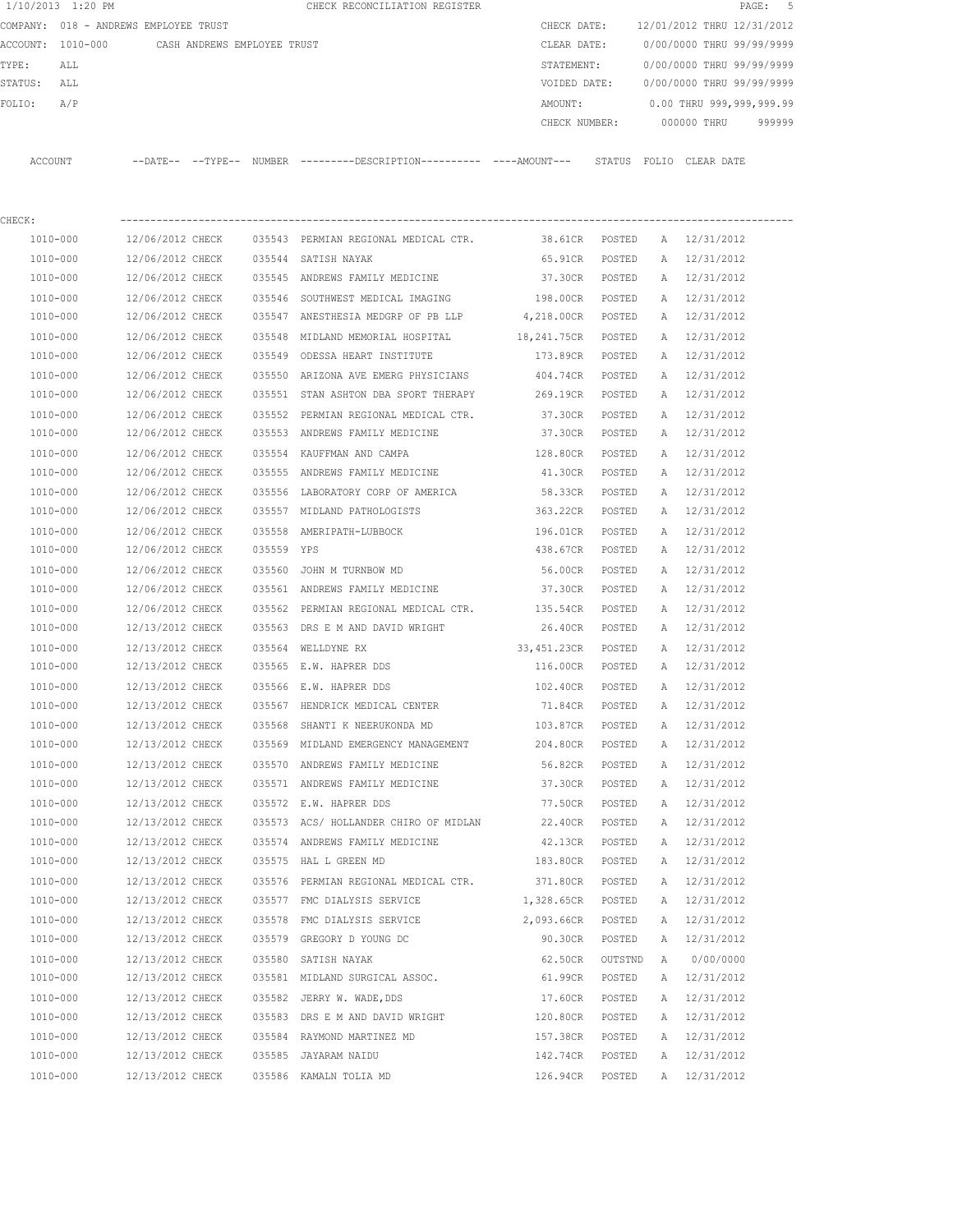|         | 1/10/2013 1:20 PM                     |                  |                             |            | CHECK RECONCILIATION REGISTER                                                                |                    |         |   |                            | -5<br>$\texttt{PAGE}$ : |
|---------|---------------------------------------|------------------|-----------------------------|------------|----------------------------------------------------------------------------------------------|--------------------|---------|---|----------------------------|-------------------------|
|         | COMPANY: 018 - ANDREWS EMPLOYEE TRUST |                  |                             |            |                                                                                              | CHECK DATE:        |         |   | 12/01/2012 THRU 12/31/2012 |                         |
|         | ACCOUNT: 1010-000                     |                  | CASH ANDREWS EMPLOYEE TRUST |            |                                                                                              | CLEAR DATE:        |         |   | 0/00/0000 THRU 99/99/9999  |                         |
| TYPE:   | ALL                                   |                  |                             |            |                                                                                              | STATEMENT:         |         |   | 0/00/0000 THRU 99/99/9999  |                         |
| STATUS: | ALL                                   |                  |                             |            |                                                                                              | VOIDED DATE:       |         |   | 0/00/0000 THRU 99/99/9999  |                         |
| FOLIO:  | A/P                                   |                  |                             |            |                                                                                              | AMOUNT:            |         |   | 0.00 THRU 999,999,999.99   |                         |
|         |                                       |                  |                             |            |                                                                                              | CHECK NUMBER:      |         |   | 000000 THRU                | 999999                  |
|         | ACCOUNT                               |                  |                             |            | --DATE-- --TYPE-- NUMBER ---------DESCRIPTION---------- ----AMOUNT--- STATUS FOLIO CLEARDATE |                    |         |   |                            |                         |
| CHECK:  |                                       |                  |                             |            |                                                                                              |                    |         |   |                            |                         |
|         | 1010-000                              | 12/06/2012 CHECK |                             |            | 035543 PERMIAN REGIONAL MEDICAL CTR.                                                         | 38.61CR POSTED     |         |   | A 12/31/2012               |                         |
|         | 1010-000                              | 12/06/2012 CHECK |                             |            | 035544 SATISH NAYAK                                                                          | 65.91CR            | POSTED  | A | 12/31/2012                 |                         |
|         | 1010-000                              | 12/06/2012 CHECK |                             |            | 035545 ANDREWS FAMILY MEDICINE                                                               | 37.30CR            | POSTED  |   | A 12/31/2012               |                         |
|         | 1010-000                              | 12/06/2012 CHECK |                             |            | 035546 SOUTHWEST MEDICAL IMAGING                                                             | 198.00CR POSTED    |         |   | A 12/31/2012               |                         |
|         | 1010-000                              | 12/06/2012 CHECK |                             |            | 035547 ANESTHESIA MEDGRP OF PB LLP                                                           | 4,218.00CR POSTED  |         |   | A 12/31/2012               |                         |
|         | 1010-000                              | 12/06/2012 CHECK |                             |            | 035548 MIDLAND MEMORIAL HOSPITAL                                                             | 18,241.75CR POSTED |         |   | A 12/31/2012               |                         |
|         | 1010-000                              | 12/06/2012 CHECK |                             |            | 035549 ODESSA HEART INSTITUTE                                                                | 173.89CR POSTED    |         |   | A 12/31/2012               |                         |
|         | 1010-000                              | 12/06/2012 CHECK |                             | 035550     | ARIZONA AVE EMERG PHYSICIANS                                                                 | 404.74CR           | POSTED  |   | A 12/31/2012               |                         |
|         | 1010-000                              | 12/06/2012 CHECK |                             |            | 035551 STAN ASHTON DBA SPORT THERAPY                                                         | 269.19CR           | POSTED  | A | 12/31/2012                 |                         |
|         | 1010-000                              | 12/06/2012 CHECK |                             |            | 035552 PERMIAN REGIONAL MEDICAL CTR.                                                         | 37.30CR            | POSTED  |   | A 12/31/2012               |                         |
|         | 1010-000                              | 12/06/2012 CHECK |                             |            | 035553 ANDREWS FAMILY MEDICINE                                                               | 37.30CR            | POSTED  |   | A 12/31/2012               |                         |
|         | 1010-000                              | 12/06/2012 CHECK |                             |            | 035554 KAUFFMAN AND CAMPA                                                                    | 128.80CR           | POSTED  |   | A 12/31/2012               |                         |
|         | 1010-000                              | 12/06/2012 CHECK |                             |            | 035555 ANDREWS FAMILY MEDICINE                                                               | 41.30CR            | POSTED  |   | A 12/31/2012               |                         |
|         | 1010-000                              | 12/06/2012 CHECK |                             |            | 035556 LABORATORY CORP OF AMERICA                                                            | 58.33CR            | POSTED  | A | 12/31/2012                 |                         |
|         | 1010-000                              | 12/06/2012 CHECK |                             |            | 035557 MIDLAND PATHOLOGISTS                                                                  | 363.22CR           | POSTED  | A | 12/31/2012                 |                         |
|         | 1010-000                              | 12/06/2012 CHECK |                             |            | 035558 AMERIPATH-LUBBOCK                                                                     | 196.01CR           | POSTED  |   | A 12/31/2012               |                         |
|         | 1010-000                              | 12/06/2012 CHECK |                             | 035559 YPS |                                                                                              | 438.67CR           | POSTED  |   | A 12/31/2012               |                         |
|         | 1010-000                              | 12/06/2012 CHECK |                             |            | 035560 JOHN M TURNBOW MD                                                                     | 56.00CR            | POSTED  |   | A 12/31/2012               |                         |
|         | 1010-000                              | 12/06/2012 CHECK |                             |            | 035561 ANDREWS FAMILY MEDICINE                                                               | 37.30CR            | POSTED  | A | 12/31/2012                 |                         |
|         | 1010-000                              | 12/06/2012 CHECK |                             |            | 035562 PERMIAN REGIONAL MEDICAL CTR.                                                         | 135.54CR           | POSTED  | A | 12/31/2012                 |                         |
|         | 1010-000                              | 12/13/2012 CHECK |                             | 035563     | DRS E M AND DAVID WRIGHT                                                                     | 26.40CR            | POSTED  |   | A 12/31/2012               |                         |
|         | 1010-000                              | 12/13/2012 CHECK |                             |            | 035564 WELLDYNE RX                                                                           | 33,451.23CR        | POSTED  |   | A 12/31/2012               |                         |
|         | 1010-000                              | 12/13/2012 CHECK |                             |            | 035565 E.W. HAPRER DDS                                                                       | 116.00CR           | POSTED  |   | A 12/31/2012               |                         |
|         | 1010-000                              | 12/13/2012 CHECK |                             |            | 035566 E.W. HAPRER DDS                                                                       | 102.40CR           | POSTED  |   | A 12/31/2012               |                         |
|         | 1010-000                              | 12/13/2012 CHECK |                             |            | 035567 HENDRICK MEDICAL CENTER                                                               | 71.84CR            | POSTED  | А | 12/31/2012                 |                         |
|         | 1010-000                              | 12/13/2012 CHECK |                             |            | 035568 SHANTI K NEERUKONDA MD                                                                | 103.87CR           | POSTED  | Α | 12/31/2012                 |                         |
|         | 1010-000                              | 12/13/2012 CHECK |                             |            | 035569 MIDLAND EMERGENCY MANAGEMENT                                                          | 204.80CR           | POSTED  | Α | 12/31/2012                 |                         |
|         | $1010 - 000$                          | 12/13/2012 CHECK |                             |            | 035570 ANDREWS FAMILY MEDICINE                                                               | 56.82CR            | POSTED  | Α | 12/31/2012                 |                         |
|         | 1010-000                              | 12/13/2012 CHECK |                             |            | 035571 ANDREWS FAMILY MEDICINE                                                               | 37.30CR            | POSTED  | Α | 12/31/2012                 |                         |
|         | 1010-000                              | 12/13/2012 CHECK |                             |            | 035572 E.W. HAPRER DDS                                                                       | 77.50CR POSTED     |         | Α | 12/31/2012                 |                         |
|         | 1010-000                              | 12/13/2012 CHECK |                             |            | 035573 ACS/ HOLLANDER CHIRO OF MIDLAN                                                        | 22.40CR            | POSTED  | Α | 12/31/2012                 |                         |
|         | 1010-000                              | 12/13/2012 CHECK |                             |            | 035574 ANDREWS FAMILY MEDICINE                                                               | 42.13CR            | POSTED  | Α | 12/31/2012                 |                         |
|         | 1010-000                              | 12/13/2012 CHECK |                             |            | 035575 HAL L GREEN MD                                                                        | 183.80CR           | POSTED  | Α | 12/31/2012                 |                         |
|         | 1010-000                              | 12/13/2012 CHECK |                             |            | 035576 PERMIAN REGIONAL MEDICAL CTR.                                                         | 371.80CR           | POSTED  | Α | 12/31/2012                 |                         |
|         | 1010-000                              | 12/13/2012 CHECK |                             |            | 035577 FMC DIALYSIS SERVICE                                                                  | 1,328.65CR         | POSTED  | Α | 12/31/2012                 |                         |
|         | 1010-000                              | 12/13/2012 CHECK |                             |            | 035578 FMC DIALYSIS SERVICE                                                                  | 2,093.66CR         | POSTED  | Α | 12/31/2012                 |                         |
|         | 1010-000                              | 12/13/2012 CHECK |                             |            | 035579 GREGORY D YOUNG DC                                                                    | 90.30CR            | POSTED  | A | 12/31/2012                 |                         |
|         | 1010-000                              | 12/13/2012 CHECK |                             |            | 035580 SATISH NAYAK                                                                          | 62.50CR            | OUTSTND | Α | 0/00/0000                  |                         |
|         | 1010-000                              | 12/13/2012 CHECK |                             |            | 035581 MIDLAND SURGICAL ASSOC.                                                               | 61.99CR            | POSTED  | A | 12/31/2012                 |                         |
|         | 1010-000                              | 12/13/2012 CHECK |                             |            | 035582 JERRY W. WADE, DDS                                                                    | 17.60CR            | POSTED  |   | A 12/31/2012               |                         |
|         | 1010-000                              | 12/13/2012 CHECK |                             |            | 035583 DRS E M AND DAVID WRIGHT                                                              | 120.80CR           | POSTED  |   | A 12/31/2012               |                         |
|         | 1010-000                              | 12/13/2012 CHECK |                             |            | 035584 RAYMOND MARTINEZ MD                                                                   | 157.38CR           | POSTED  | A | 12/31/2012                 |                         |
|         | 1010-000                              | 12/13/2012 CHECK |                             |            | 035585 JAYARAM NAIDU                                                                         | 142.74CR           | POSTED  | A | 12/31/2012                 |                         |
|         | 1010-000                              | 12/13/2012 CHECK |                             |            | 035586 KAMALN TOLIA MD                                                                       | 126.94CR           | POSTED  | Α | 12/31/2012                 |                         |
|         |                                       |                  |                             |            |                                                                                              |                    |         |   |                            |                         |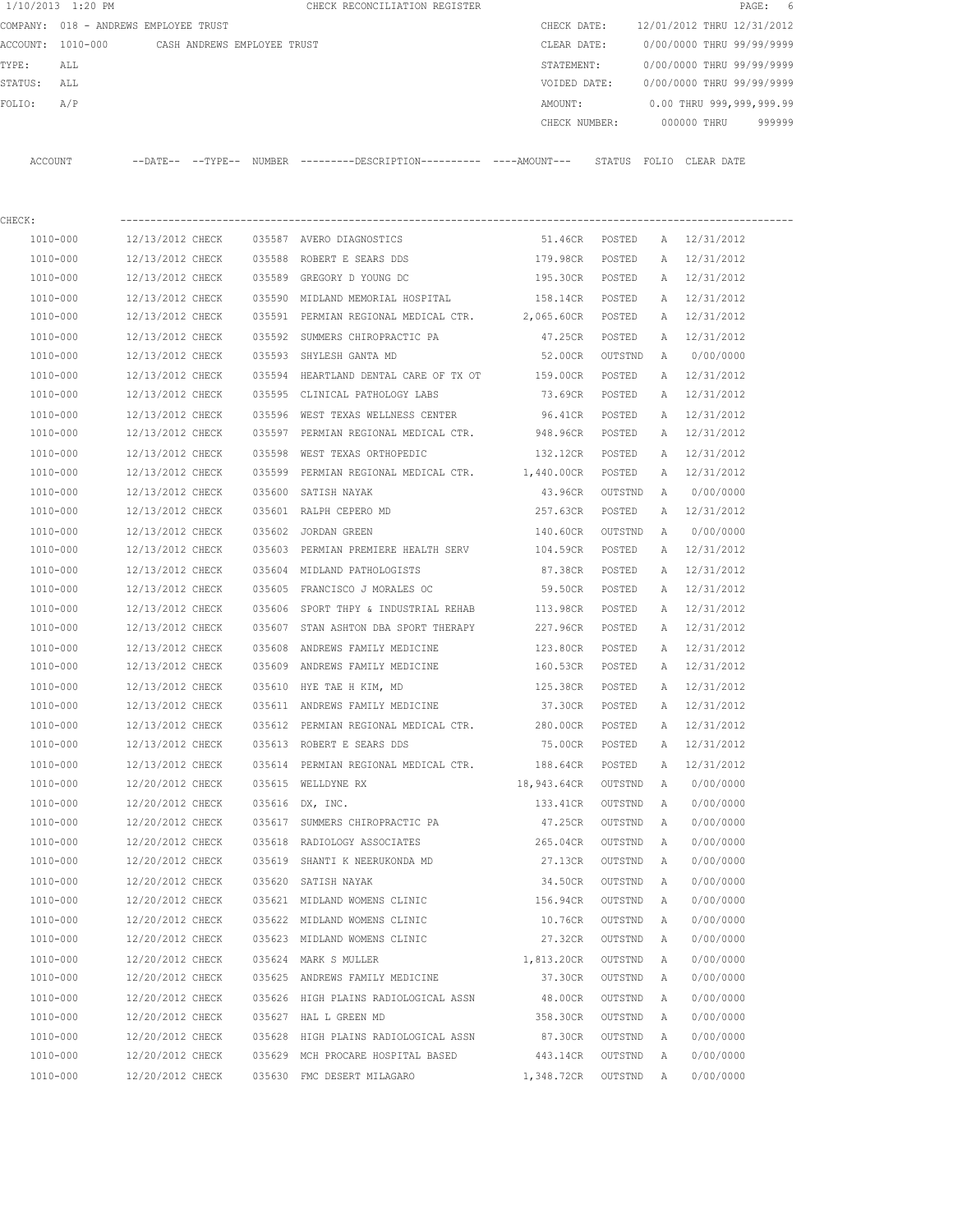|         | 1/10/2013 1:20 PM                     |                  |                             |        | CHECK RECONCILIATION REGISTER                                                             |                   |         |              |                                        | PAGE:<br>-6 |
|---------|---------------------------------------|------------------|-----------------------------|--------|-------------------------------------------------------------------------------------------|-------------------|---------|--------------|----------------------------------------|-------------|
|         | COMPANY: 018 - ANDREWS EMPLOYEE TRUST |                  |                             |        |                                                                                           |                   |         |              | CHECK DATE: 12/01/2012 THRU 12/31/2012 |             |
|         | ACCOUNT: 1010-000                     |                  | CASH ANDREWS EMPLOYEE TRUST |        |                                                                                           | CLEAR DATE:       |         |              | 0/00/0000 THRU 99/99/9999              |             |
| TYPE:   | ALL                                   |                  |                             |        |                                                                                           | STATEMENT:        |         |              | 0/00/0000 THRU 99/99/9999              |             |
| STATUS: | ALL                                   |                  |                             |        |                                                                                           | VOIDED DATE:      |         |              | 0/00/0000 THRU 99/99/9999              |             |
| FOLIO:  | A/P                                   |                  |                             |        |                                                                                           | AMOUNT:           |         |              | 0.00 THRU 999,999,999.99               |             |
|         |                                       |                  |                             |        |                                                                                           | CHECK NUMBER:     |         |              | 000000 THRU                            | 999999      |
|         | ACCOUNT                               |                  |                             |        | --DATE-- --TYPE-- NUMBER --------DESCRIPTION--------- ---AMOUNT--- STATUS FOLIO CLEARDATE |                   |         |              |                                        |             |
| CHECK:  |                                       |                  |                             |        |                                                                                           |                   |         |              |                                        |             |
|         | 1010-000                              | 12/13/2012 CHECK |                             |        | 035587 AVERO DIAGNOSTICS                                                                  | 51.46CR POSTED    |         |              | A 12/31/2012                           |             |
|         | 1010-000                              | 12/13/2012 CHECK |                             |        | 035588 ROBERT E SEARS DDS                                                                 | 179.98CR POSTED   |         |              | A 12/31/2012                           |             |
|         | 1010-000                              | 12/13/2012 CHECK |                             |        | 035589 GREGORY D YOUNG DC                                                                 | 195.30CR POSTED   |         |              | A 12/31/2012                           |             |
|         | 1010-000                              | 12/13/2012 CHECK |                             |        | 035590 MIDLAND MEMORIAL HOSPITAL                                                          | 158.14CR POSTED   |         |              | A 12/31/2012                           |             |
|         | 1010-000                              | 12/13/2012 CHECK |                             |        | 035591 PERMIAN REGIONAL MEDICAL CTR.                                                      | 2,065.60CR POSTED |         |              | A 12/31/2012                           |             |
|         | 1010-000                              | 12/13/2012 CHECK |                             |        | 035592 SUMMERS CHIROPRACTIC PA                                                            | 47.25CR           | POSTED  |              | A 12/31/2012                           |             |
|         | 1010-000                              | 12/13/2012 CHECK |                             |        | 035593 SHYLESH GANTA MD                                                                   | 52.00CR OUTSTND   |         | A            | 0/00/0000                              |             |
|         | 1010-000                              | 12/13/2012 CHECK |                             |        | 035594 HEARTLAND DENTAL CARE OF TX OT 159.00CR                                            |                   | POSTED  |              | A 12/31/2012                           |             |
|         | 1010-000                              | 12/13/2012 CHECK |                             |        | 035595 CLINICAL PATHOLOGY LABS                                                            | 73.69CR           | POSTED  |              | A 12/31/2012                           |             |
|         | 1010-000                              | 12/13/2012 CHECK |                             |        | 035596 WEST TEXAS WELLNESS CENTER                                                         | 96.41CR           | POSTED  | A            | 12/31/2012                             |             |
|         | 1010-000                              | 12/13/2012 CHECK |                             |        | 035597 PERMIAN REGIONAL MEDICAL CTR. 948.96CR                                             |                   | POSTED  |              | A 12/31/2012                           |             |
|         | 1010-000                              | 12/13/2012 CHECK |                             | 035598 | WEST TEXAS ORTHOPEDIC                                                                     | 132.12CR          | POSTED  |              | A 12/31/2012                           |             |
|         | 1010-000                              | 12/13/2012 CHECK |                             |        | 035599 PERMIAN REGIONAL MEDICAL CTR. 1,440.00CR                                           |                   | POSTED  |              | A 12/31/2012                           |             |
|         | 1010-000                              | 12/13/2012 CHECK |                             |        | 035600 SATISH NAYAK                                                                       | 43.96CR           | OUTSTND | A            | 0/00/0000                              |             |
|         | 1010-000                              | 12/13/2012 CHECK |                             |        | 035601 RALPH CEPERO MD                                                                    | 257.63CR          | POSTED  |              | A 12/31/2012                           |             |
|         | 1010-000                              | 12/13/2012 CHECK |                             |        | 035602 JORDAN GREEN                                                                       | 140.60CR          | OUTSTND | $\mathbb{A}$ | 0/00/0000                              |             |
|         | 1010-000                              | 12/13/2012 CHECK |                             |        | 035603 PERMIAN PREMIERE HEALTH SERV                                                       | 104.59CR          | POSTED  |              | A 12/31/2012                           |             |
|         | 1010-000                              | 12/13/2012 CHECK |                             | 035604 | MIDLAND PATHOLOGISTS                                                                      | 87.38CR           | POSTED  | A            | 12/31/2012                             |             |
|         | 1010-000                              | 12/13/2012 CHECK |                             | 035605 | FRANCISCO J MORALES OC                                                                    | 59.50CR           | POSTED  |              | A 12/31/2012                           |             |
|         | 1010-000                              | 12/13/2012 CHECK |                             |        | 035606 SPORT THPY & INDUSTRIAL REHAB                                                      | 113.98CR          | POSTED  |              | A 12/31/2012                           |             |
|         | 1010-000                              | 12/13/2012 CHECK |                             |        | 035607 STAN ASHTON DBA SPORT THERAPY                                                      | 227.96CR          | POSTED  |              | A 12/31/2012                           |             |
|         | 1010-000                              | 12/13/2012 CHECK |                             |        | 035608 ANDREWS FAMILY MEDICINE                                                            | 123.80CR          | POSTED  |              | A 12/31/2012                           |             |
|         | 1010-000                              | 12/13/2012 CHECK |                             |        | 035609 ANDREWS FAMILY MEDICINE                                                            | 160.53CR          | POSTED  |              | A 12/31/2012                           |             |
|         | 1010-000                              | 12/13/2012 CHECK |                             |        | 035610 HYE TAE H KIM, MD                                                                  | 125.38CR          | POSTED  |              | A 12/31/2012                           |             |
|         | 1010-000                              | 12/13/2012 CHECK |                             |        | 035611 ANDREWS FAMILY MEDICINE                                                            | 37.30CR           | POSTED  | Α            | 12/31/2012                             |             |
|         | 1010-000                              | 12/13/2012 CHECK |                             |        | 035612 PERMIAN REGIONAL MEDICAL CTR.                                                      | 280.00CR          | POSTED  | Α            | 12/31/2012                             |             |
|         | 1010-000                              | 12/13/2012 CHECK |                             |        | 035613 ROBERT E SEARS DDS                                                                 | 75.00CR           | POSTED  | Α            | 12/31/2012                             |             |
|         | 1010-000                              | 12/13/2012 CHECK |                             |        | 035614 PERMIAN REGIONAL MEDICAL CTR.                                                      | 188.64CR          | POSTED  | Α            | 12/31/2012                             |             |
|         | 1010-000                              | 12/20/2012 CHECK |                             |        | 035615 WELLDYNE RX                                                                        | 18,943.64CR       | OUTSTND | Α            | 0/00/0000                              |             |
|         | 1010-000                              | 12/20/2012 CHECK |                             |        | 035616 DX, INC.                                                                           | 133.41CR          | OUTSTND | Α            | 0/00/0000                              |             |
|         | 1010-000                              | 12/20/2012 CHECK |                             | 035617 | SUMMERS CHIROPRACTIC PA                                                                   | 47.25CR           | OUTSTND | Α            | 0/00/0000                              |             |
|         | $1010 - 000$                          | 12/20/2012 CHECK |                             |        | 035618 RADIOLOGY ASSOCIATES                                                               | 265.04CR          | OUTSTND | Α            | 0/00/0000                              |             |
|         | 1010-000                              | 12/20/2012 CHECK |                             |        | 035619 SHANTI K NEERUKONDA MD                                                             | 27.13CR           | OUTSTND | Α            | 0/00/0000                              |             |
|         | $1010 - 000$                          | 12/20/2012 CHECK |                             |        | 035620 SATISH NAYAK                                                                       | 34.50CR           | OUTSTND | Α            | 0/00/0000                              |             |
|         | 1010-000                              | 12/20/2012 CHECK |                             |        | 035621 MIDLAND WOMENS CLINIC                                                              | 156.94CR          | OUTSTND | Α            | 0/00/0000                              |             |
|         | 1010-000                              | 12/20/2012 CHECK |                             |        | 035622 MIDLAND WOMENS CLINIC                                                              | 10.76CR           | OUTSTND | Α            | 0/00/0000                              |             |
|         | 1010-000                              | 12/20/2012 CHECK |                             |        | 035623 MIDLAND WOMENS CLINIC                                                              | 27.32CR           | OUTSTND | Α            | 0/00/0000                              |             |
|         | 1010-000                              | 12/20/2012 CHECK |                             |        | 035624 MARK S MULLER                                                                      | 1,813.20CR        | OUTSTND | Α            | 0/00/0000                              |             |
|         | 1010-000                              | 12/20/2012 CHECK |                             |        | 035625 ANDREWS FAMILY MEDICINE                                                            | 37.30CR           | OUTSTND | Α            | 0/00/0000                              |             |
|         | 1010-000                              | 12/20/2012 CHECK |                             |        | 035626 HIGH PLAINS RADIOLOGICAL ASSN                                                      | 48.00CR           | OUTSTND | Α            | 0/00/0000                              |             |
|         | 1010-000                              | 12/20/2012 CHECK |                             |        | 035627 HAL L GREEN MD                                                                     | 358.30CR          | OUTSTND | Α            | 0/00/0000                              |             |
|         | 1010-000                              | 12/20/2012 CHECK |                             | 035628 | HIGH PLAINS RADIOLOGICAL ASSN                                                             | 87.30CR           | OUTSTND | Α            | 0/00/0000                              |             |
|         | $1010 - 000$                          | 12/20/2012 CHECK |                             |        | 035629 MCH PROCARE HOSPITAL BASED                                                         | 443.14CR          | OUTSTND | Α            | 0/00/0000                              |             |
|         | 1010-000                              | 12/20/2012 CHECK |                             |        | 035630 FMC DESERT MILAGARO                                                                | 1,348.72CR        | OUTSTND | A            | 0/00/0000                              |             |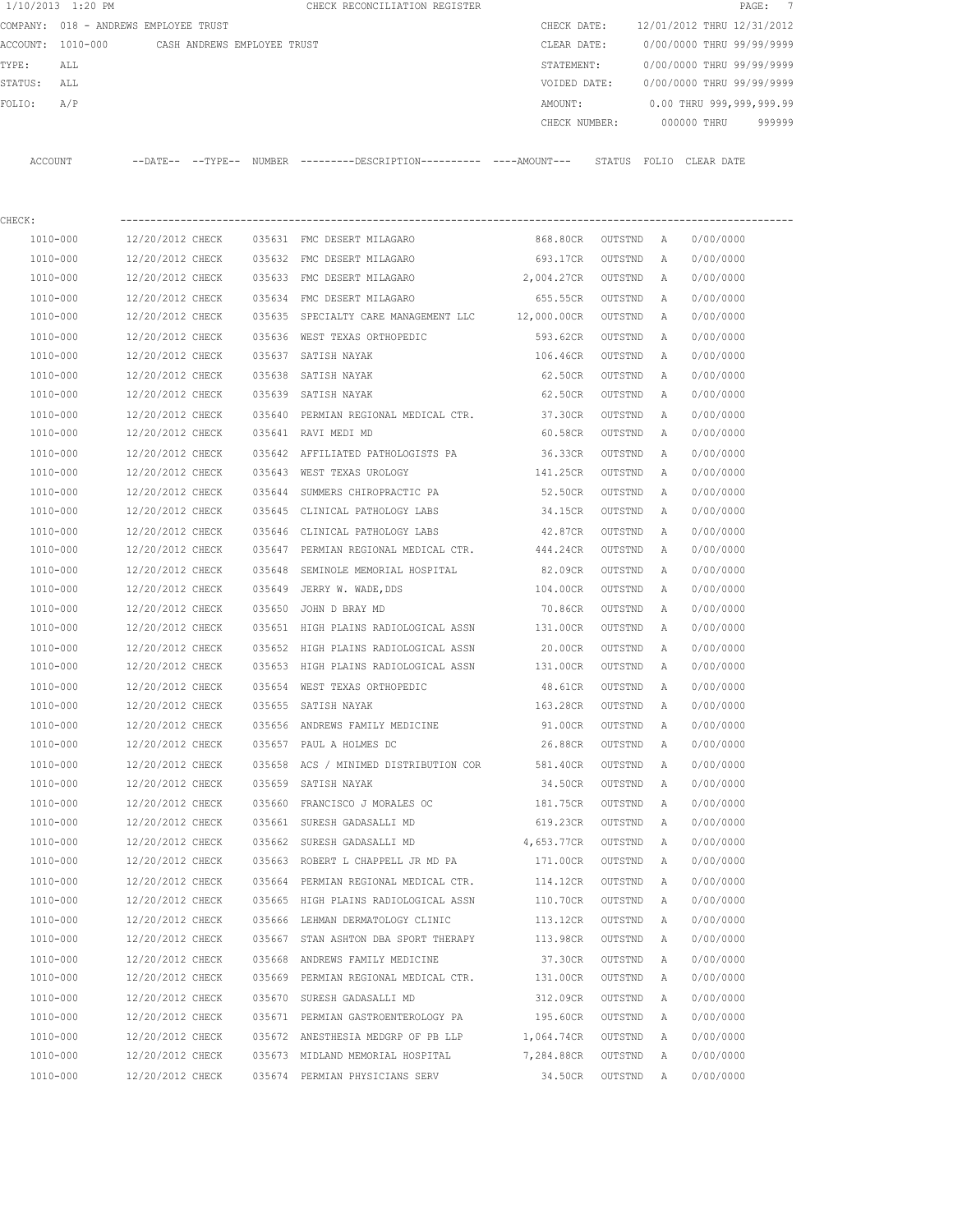|         | 1/10/2013 1:20 PM                     |                  |                             |        | CHECK RECONCILIATION REGISTER                                                               |               |         |   |                            | $\overline{7}$<br>PAGE: |
|---------|---------------------------------------|------------------|-----------------------------|--------|---------------------------------------------------------------------------------------------|---------------|---------|---|----------------------------|-------------------------|
|         | COMPANY: 018 - ANDREWS EMPLOYEE TRUST |                  |                             |        |                                                                                             | CHECK DATE:   |         |   | 12/01/2012 THRU 12/31/2012 |                         |
|         | ACCOUNT: 1010-000                     |                  | CASH ANDREWS EMPLOYEE TRUST |        |                                                                                             | CLEAR DATE:   |         |   | 0/00/0000 THRU 99/99/9999  |                         |
| TYPE:   | ALL                                   |                  |                             |        |                                                                                             | STATEMENT:    |         |   | 0/00/0000 THRU 99/99/9999  |                         |
| STATUS: | ALL                                   |                  |                             |        |                                                                                             | VOIDED DATE:  |         |   | 0/00/0000 THRU 99/99/9999  |                         |
| FOLIO:  | A/P                                   |                  |                             |        |                                                                                             | AMOUNT:       |         |   | 0.00 THRU 999,999,999.99   |                         |
|         |                                       |                  |                             |        |                                                                                             | CHECK NUMBER: |         |   | 000000 THRU                | 999999                  |
|         | ACCOUNT                               |                  |                             |        | --DATE-- --TYPE-- NUMBER ---------DESCRIPTION--------- ---AMOUNT--- STATUS FOLIO CLEAR DATE |               |         |   |                            |                         |
|         |                                       |                  |                             |        |                                                                                             |               |         |   |                            |                         |
| CHECK:  |                                       |                  |                             |        |                                                                                             |               |         |   |                            |                         |
|         | 1010-000                              | 12/20/2012 CHECK |                             |        | 035631 FMC DESERT MILAGARO                                                                  | 868.80CR      | OUTSTND | A | 0/00/0000                  |                         |
|         | 1010-000                              | 12/20/2012 CHECK |                             |        | 035632 FMC DESERT MILAGARO                                                                  | 693.17CR      | OUTSTND | A | 0/00/0000                  |                         |
|         | 1010-000                              | 12/20/2012 CHECK |                             |        | 035633 FMC DESERT MILAGARO                                                                  | 2,004.27CR    | OUTSTND | A | 0/00/0000                  |                         |
|         | 1010-000                              | 12/20/2012 CHECK |                             |        | 035634 FMC DESERT MILAGARO                                                                  | 655.55CR      | OUTSTND | Α | 0/00/0000                  |                         |
|         | 1010-000                              | 12/20/2012 CHECK |                             |        | 035635 SPECIALTY CARE MANAGEMENT LLC 12,000.00CR OUTSTND                                    |               |         | Α | 0/00/0000                  |                         |
|         | 1010-000                              | 12/20/2012 CHECK |                             | 035636 | WEST TEXAS ORTHOPEDIC                                                                       | 593.62CR      | OUTSTND | Α | 0/00/0000                  |                         |
|         | 1010-000                              | 12/20/2012 CHECK |                             |        | 035637 SATISH NAYAK                                                                         | 106.46CR      | OUTSTND | Α | 0/00/0000                  |                         |
|         | 1010-000                              | 12/20/2012 CHECK |                             | 035638 | SATISH NAYAK                                                                                | 62.50CR       | OUTSTND | A | 0/00/0000                  |                         |
|         | 1010-000                              | 12/20/2012 CHECK |                             |        | 035639 SATISH NAYAK                                                                         | 62.50CR       | OUTSTND | Α | 0/00/0000                  |                         |
|         | 1010-000                              | 12/20/2012 CHECK |                             |        | 035640 PERMIAN REGIONAL MEDICAL CTR. 37.30CR                                                |               | OUTSTND | A | 0/00/0000                  |                         |
|         | 1010-000                              | 12/20/2012 CHECK |                             |        | 035641 RAVI MEDI MD                                                                         | 60.58CR       | OUTSTND | Α | 0/00/0000                  |                         |
|         | 1010-000                              | 12/20/2012 CHECK |                             |        | 035642 AFFILIATED PATHOLOGISTS PA                                                           | 36.33CR       | OUTSTND | Α | 0/00/0000                  |                         |
|         | 1010-000                              | 12/20/2012 CHECK |                             |        | 035643 WEST TEXAS UROLOGY                                                                   | 141.25CR      | OUTSTND | Α | 0/00/0000                  |                         |
|         | 1010-000                              | 12/20/2012 CHECK |                             |        | 035644 SUMMERS CHIROPRACTIC PA                                                              | 52.50CR       | OUTSTND | Α | 0/00/0000                  |                         |
|         | 1010-000                              | 12/20/2012 CHECK |                             |        | 035645 CLINICAL PATHOLOGY LABS                                                              | 34.15CR       | OUTSTND | Α | 0/00/0000                  |                         |
|         | 1010-000                              | 12/20/2012 CHECK |                             |        | 035646 CLINICAL PATHOLOGY LABS                                                              | 42.87CR       | OUTSTND | Α | 0/00/0000                  |                         |
|         | 1010-000                              | 12/20/2012 CHECK |                             |        | 035647 PERMIAN REGIONAL MEDICAL CTR.                                                        | 444.24CR      | OUTSTND | Α | 0/00/0000                  |                         |
|         | 1010-000                              | 12/20/2012 CHECK |                             | 035648 | SEMINOLE MEMORIAL HOSPITAL                                                                  | 82.09CR       | OUTSTND | Α | 0/00/0000                  |                         |
|         | 1010-000                              | 12/20/2012 CHECK |                             | 035649 | JERRY W. WADE, DDS                                                                          | 104.00CR      | OUTSTND | Α | 0/00/0000                  |                         |
|         | 1010-000                              | 12/20/2012 CHECK |                             | 035650 | JOHN D BRAY MD                                                                              | 70.86CR       | OUTSTND | Α | 0/00/0000                  |                         |
|         | 1010-000                              | 12/20/2012 CHECK |                             |        | 035651 HIGH PLAINS RADIOLOGICAL ASSN 131.00CR                                               |               | OUTSTND | Α | 0/00/0000                  |                         |
|         | 1010-000                              | 12/20/2012 CHECK |                             |        | 035652 HIGH PLAINS RADIOLOGICAL ASSN                                                        | 20.00CR       | OUTSTND | Α | 0/00/0000                  |                         |
|         | 1010-000                              | 12/20/2012 CHECK |                             |        | 035653 HIGH PLAINS RADIOLOGICAL ASSN 131.00CR                                               |               | OUTSTND | Α | 0/00/0000                  |                         |
|         | 1010-000                              | 12/20/2012 CHECK |                             |        | 035654 WEST TEXAS ORTHOPEDIC                                                                | 48.61CR       | OUTSTND | Α | 0/00/0000                  |                         |
|         | 1010-000                              | 12/20/2012 CHECK |                             |        | 035655 SATISH NAYAK                                                                         | 163.28CR      | OUTSTND | Α | 0/00/0000                  |                         |
|         | 1010-000                              | 12/20/2012 CHECK |                             |        | 035656 ANDREWS FAMILY MEDICINE                                                              | 91.00CR       | OUTSTND | A | 0/00/0000                  |                         |
|         | $1010 - 000$                          | 12/20/2012 CHECK |                             |        | 035657 PAUL A HOLMES DC                                                                     | 26.88CR       | OUTSTND | Α | 0/00/0000                  |                         |
|         | $1010 - 000$                          | 12/20/2012 CHECK |                             |        | 035658 ACS / MINIMED DISTRIBUTION COR                                                       | 581.40CR      | OUTSTND | Α | 0/00/0000                  |                         |
|         | 1010-000                              | 12/20/2012 CHECK |                             |        | 035659 SATISH NAYAK                                                                         | 34.50CR       | OUTSTND | Α | 0/00/0000                  |                         |
|         | 1010-000                              | 12/20/2012 CHECK |                             | 035660 | FRANCISCO J MORALES OC                                                                      | 181.75CR      | OUTSTND | Α | 0/00/0000                  |                         |
|         | 1010-000                              | 12/20/2012 CHECK |                             |        | 035661 SURESH GADASALLI MD                                                                  | 619.23CR      | OUTSTND | Α | 0/00/0000                  |                         |
|         | $1010 - 000$                          | 12/20/2012 CHECK |                             |        | 035662 SURESH GADASALLI MD                                                                  | 4,653.77CR    | OUTSTND | Α | 0/00/0000                  |                         |
|         | 1010-000                              | 12/20/2012 CHECK |                             |        | 035663 ROBERT L CHAPPELL JR MD PA                                                           | 171.00CR      | OUTSTND | Α | 0/00/0000                  |                         |
|         | $1010 - 000$                          | 12/20/2012 CHECK |                             |        | 035664 PERMIAN REGIONAL MEDICAL CTR.                                                        | 114.12CR      | OUTSTND | Α | 0/00/0000                  |                         |
|         | 1010-000                              | 12/20/2012 CHECK |                             |        | 035665 HIGH PLAINS RADIOLOGICAL ASSN                                                        | 110.70CR      | OUTSTND | Α | 0/00/0000                  |                         |
|         | 1010-000                              | 12/20/2012 CHECK |                             |        | 035666 LEHMAN DERMATOLOGY CLINIC                                                            | 113.12CR      | OUTSTND | Α | 0/00/0000                  |                         |
|         | 1010-000                              | 12/20/2012 CHECK |                             | 035667 | STAN ASHTON DBA SPORT THERAPY                                                               | 113.98CR      | OUTSTND | Α | 0/00/0000                  |                         |
|         | 1010-000                              | 12/20/2012 CHECK |                             |        | 035668 ANDREWS FAMILY MEDICINE                                                              | 37.30CR       | OUTSTND | Α | 0/00/0000                  |                         |
|         | 1010-000                              | 12/20/2012 CHECK |                             |        | 035669 PERMIAN REGIONAL MEDICAL CTR.                                                        | 131.00CR      | OUTSTND | Α | 0/00/0000                  |                         |
|         | 1010-000                              | 12/20/2012 CHECK |                             |        | 035670 SURESH GADASALLI MD                                                                  | 312.09CR      | OUTSTND | Α | 0/00/0000                  |                         |
|         | 1010-000                              | 12/20/2012 CHECK |                             |        | 035671 PERMIAN GASTROENTEROLOGY PA                                                          | 195.60CR      | OUTSTND | Α | 0/00/0000                  |                         |
|         | 1010-000                              | 12/20/2012 CHECK |                             |        | 035672 ANESTHESIA MEDGRP OF PB LLP                                                          | 1,064.74CR    | OUTSTND | Α | 0/00/0000                  |                         |
|         | 1010-000                              | 12/20/2012 CHECK |                             |        | 035673 MIDLAND MEMORIAL HOSPITAL                                                            | 7,284.88CR    | OUTSTND | Α | 0/00/0000                  |                         |
|         | 1010-000                              | 12/20/2012 CHECK |                             |        | 035674 PERMIAN PHYSICIANS SERV                                                              | 34.50CR       | OUTSTND | Α | 0/00/0000                  |                         |
|         |                                       |                  |                             |        |                                                                                             |               |         |   |                            |                         |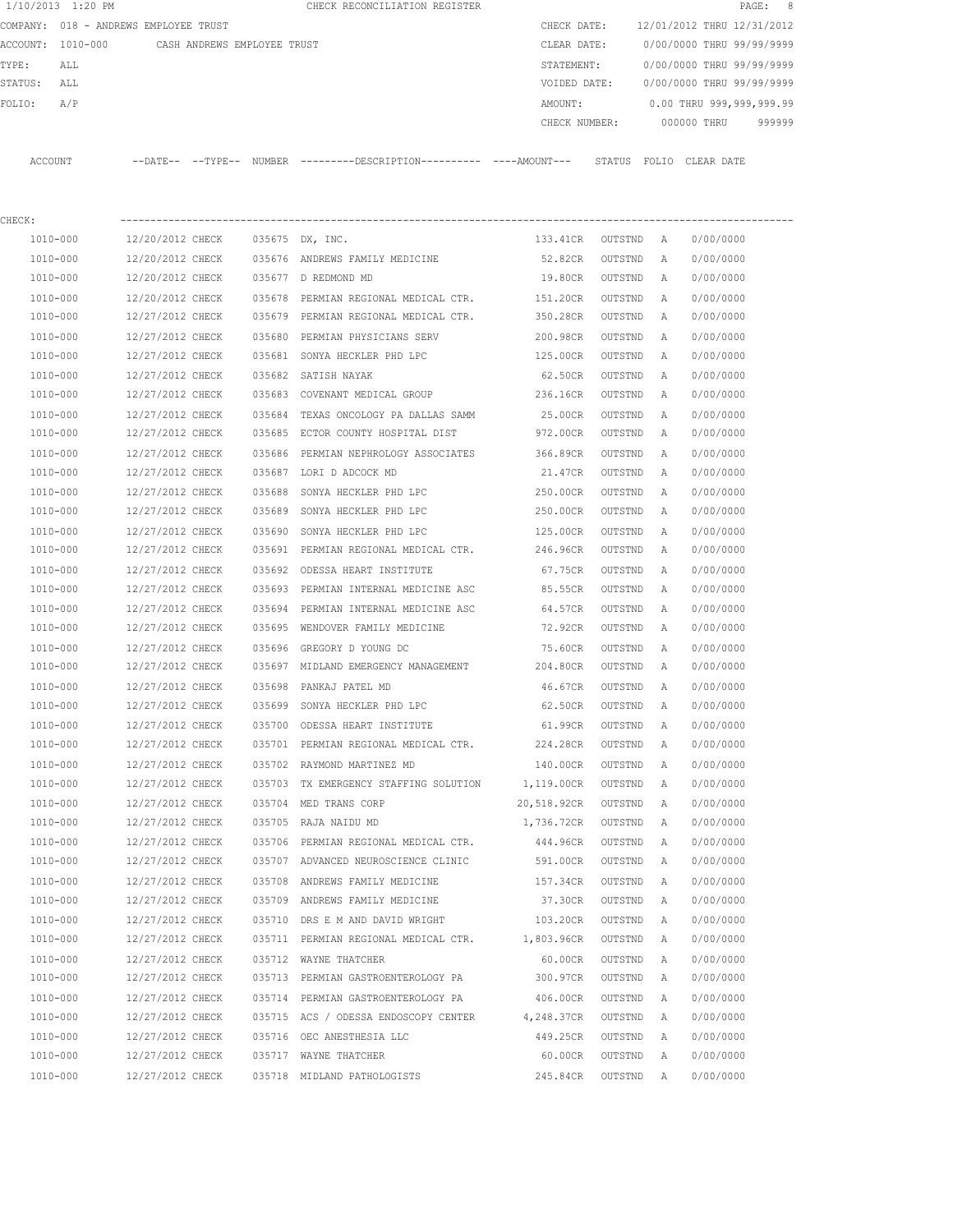|         | 1/10/2013 1:20 PM |                                       |               | CHECK RECONCILIATION REGISTER                |                 |             | PAGE: 8                    |  |
|---------|-------------------|---------------------------------------|---------------|----------------------------------------------|-----------------|-------------|----------------------------|--|
|         |                   | COMPANY: 018 - ANDREWS EMPLOYEE TRUST |               |                                              | CHECK DATE:     |             | 12/01/2012 THRU 12/31/2012 |  |
|         | ACCOUNT: 1010-000 | CASH ANDREWS EMPLOYEE TRUST           |               |                                              | CLEAR DATE:     |             | 0/00/0000 THRU 99/99/9999  |  |
| TYPE:   | ALL               |                                       |               |                                              | STATEMENT:      |             | 0/00/0000 THRU 99/99/9999  |  |
| STATUS: | ALL               |                                       |               |                                              | VOIDED DATE:    |             | 0/00/0000 THRU 99/99/9999  |  |
| FOLIO:  | A/P               |                                       |               |                                              | AMOUNT:         |             | 0.00 THRU 999,999,999.99   |  |
|         |                   |                                       |               |                                              | CHECK NUMBER:   | 000000 THRU | 999999                     |  |
|         |                   |                                       |               |                                              |                 |             |                            |  |
| ACCOUNT |                   | $---DATE---TYPE---$                   | <b>NUMBER</b> | ---------DESCRIPTION---------- ----AMOUNT--- | STATUS<br>FOLIO | CLEAR DATE  |                            |  |
|         |                   |                                       |               |                                              |                 |             |                            |  |

| CHECK:   |                  |        |                                            |             |           |   |           |
|----------|------------------|--------|--------------------------------------------|-------------|-----------|---|-----------|
| 1010-000 | 12/20/2012 CHECK |        | 035675 DX, INC.                            | 133.41CR    | OUTSTND A |   | 0/00/0000 |
| 1010-000 | 12/20/2012 CHECK |        | 035676 ANDREWS FAMILY MEDICINE 62.82CR     |             | OUTSTND   | A | 0/00/0000 |
| 1010-000 | 12/20/2012 CHECK |        | 035677 D REDMOND MD                        | 19.80CR     | OUTSTND   | A | 0/00/0000 |
| 1010-000 | 12/20/2012 CHECK | 035678 | PERMIAN REGIONAL MEDICAL CTR.              | 151.20CR    | OUTSTND   | Α | 0/00/0000 |
| 1010-000 | 12/27/2012 CHECK | 035679 | PERMIAN REGIONAL MEDICAL CTR.              | 350.28CR    | OUTSTND   | A | 0/00/0000 |
| 1010-000 | 12/27/2012 CHECK | 035680 | PERMIAN PHYSICIANS SERV                    | 200.98CR    | OUTSTND   | Α | 0/00/0000 |
| 1010-000 | 12/27/2012 CHECK | 035681 | SONYA HECKLER PHD LPC                      | 125.00CR    | OUTSTND   | A | 0/00/0000 |
| 1010-000 | 12/27/2012 CHECK | 035682 | SATISH NAYAK                               | 62.50CR     | OUTSTND   | A | 0/00/0000 |
| 1010-000 | 12/27/2012 CHECK |        | 035683 COVENANT MEDICAL GROUP              | 236.16CR    | OUTSTND   | A | 0/00/0000 |
| 1010-000 | 12/27/2012 CHECK |        | 035684 TEXAS ONCOLOGY PA DALLAS SAMM       | 25.00CR     | OUTSTND   | A | 0/00/0000 |
| 1010-000 | 12/27/2012 CHECK |        | 035685 ECTOR COUNTY HOSPITAL DIST          | 972.00CR    | OUTSTND   | A | 0/00/0000 |
| 1010-000 | 12/27/2012 CHECK | 035686 | PERMIAN NEPHROLOGY ASSOCIATES 366.89CR     |             | OUTSTND   | A | 0/00/0000 |
| 1010-000 | 12/27/2012 CHECK |        | 035687 LORI D ADCOCK MD                    | 21.47CR     | OUTSTND   | A | 0/00/0000 |
| 1010-000 | 12/27/2012 CHECK | 035688 | SONYA HECKLER PHD LPC                      | 250.00CR    | OUTSTND   | A | 0/00/0000 |
| 1010-000 | 12/27/2012 CHECK | 035689 | SONYA HECKLER PHD LPC                      | 250.00CR    | OUTSTND   | A | 0/00/0000 |
| 1010-000 | 12/27/2012 CHECK | 035690 | SONYA HECKLER PHD LPC                      | 125.00CR    | OUTSTND   | A | 0/00/0000 |
| 1010-000 | 12/27/2012 CHECK | 035691 | PERMIAN REGIONAL MEDICAL CTR.              | 246.96CR    | OUTSTND   | A | 0/00/0000 |
| 1010-000 | 12/27/2012 CHECK | 035692 | ODESSA HEART INSTITUTE                     | 67.75CR     | OUTSTND   | A | 0/00/0000 |
| 1010-000 | 12/27/2012 CHECK | 035693 | PERMIAN INTERNAL MEDICINE ASC              | 85.55CR     | OUTSTND   | A | 0/00/0000 |
| 1010-000 | 12/27/2012 CHECK | 035694 | PERMIAN INTERNAL MEDICINE ASC              | 64.57CR     | OUTSTND   | A | 0/00/0000 |
| 1010-000 | 12/27/2012 CHECK | 035695 | WENDOVER FAMILY MEDICINE                   | 72.92CR     | OUTSTND   | A | 0/00/0000 |
| 1010-000 | 12/27/2012 CHECK | 035696 | GREGORY D YOUNG DC                         | 75.60CR     | OUTSTND   | A | 0/00/0000 |
| 1010-000 | 12/27/2012 CHECK |        | 035697 MIDLAND EMERGENCY MANAGEMENT        | 204.80CR    | OUTSTND   | A | 0/00/0000 |
| 1010-000 | 12/27/2012 CHECK | 035698 | PANKAJ PATEL MD                            | 46.67CR     | OUTSTND   | A | 0/00/0000 |
| 1010-000 | 12/27/2012 CHECK | 035699 | SONYA HECKLER PHD LPC                      | 62.50CR     | OUTSTND   | A | 0/00/0000 |
| 1010-000 | 12/27/2012 CHECK | 035700 | ODESSA HEART INSTITUTE                     | 61.99CR     | OUTSTND   | Α | 0/00/0000 |
| 1010-000 | 12/27/2012 CHECK |        | 035701 PERMIAN REGIONAL MEDICAL CTR.       | 224.28CR    | OUTSTND   | A | 0/00/0000 |
| 1010-000 | 12/27/2012 CHECK | 035702 | RAYMOND MARTINEZ MD                        | 140.00CR    | OUTSTND   | Α | 0/00/0000 |
| 1010-000 | 12/27/2012 CHECK | 035703 | TX EMERGENCY STAFFING SOLUTION 1, 119.00CR |             | OUTSTND   | A | 0/00/0000 |
| 1010-000 | 12/27/2012 CHECK |        | 035704 MED TRANS CORP                      | 20,518.92CR | OUTSTND   | A | 0/00/0000 |
| 1010-000 | 12/27/2012 CHECK | 035705 | RAJA NAIDU MD                              | 1,736.72CR  | OUTSTND   | A | 0/00/0000 |
| 1010-000 | 12/27/2012 CHECK | 035706 | PERMIAN REGIONAL MEDICAL CTR.              | 444.96CR    | OUTSTND   | A | 0/00/0000 |
| 1010-000 | 12/27/2012 CHECK |        | 035707 ADVANCED NEUROSCIENCE CLINIC        | 591.00CR    | OUTSTND   | A | 0/00/0000 |
| 1010-000 | 12/27/2012 CHECK | 035708 | ANDREWS FAMILY MEDICINE                    | 157.34CR    | OUTSTND   | A | 0/00/0000 |
| 1010-000 | 12/27/2012 CHECK |        | 035709 ANDREWS FAMILY MEDICINE             | 37.30CR     | OUTSTND   | A | 0/00/0000 |
| 1010-000 | 12/27/2012 CHECK |        | 035710 DRS E M AND DAVID WRIGHT            | 103.20CR    | OUTSTND   | A | 0/00/0000 |
| 1010-000 | 12/27/2012 CHECK |        | 035711 PERMIAN REGIONAL MEDICAL CTR.       | 1,803.96CR  | OUTSTND   | Α | 0/00/0000 |
| 1010-000 | 12/27/2012 CHECK |        | 035712 WAYNE THATCHER                      | 60.00CR     | OUTSTND   | Α | 0/00/0000 |
| 1010-000 | 12/27/2012 CHECK | 035713 | PERMIAN GASTROENTEROLOGY PA                | 300.97CR    | OUTSTND   | А | 0/00/0000 |
| 1010-000 | 12/27/2012 CHECK | 035714 | PERMIAN GASTROENTEROLOGY PA                | 406.00CR    | OUTSTND   | Α | 0/00/0000 |
| 1010-000 | 12/27/2012 CHECK |        | 035715 ACS / ODESSA ENDOSCOPY CENTER       | 4,248.37CR  | OUTSTND   | Α | 0/00/0000 |
| 1010-000 | 12/27/2012 CHECK | 035716 | OEC ANESTHESIA LLC                         | 449.25CR    | OUTSTND   | Α | 0/00/0000 |
| 1010-000 | 12/27/2012 CHECK |        | 035717 WAYNE THATCHER                      | 60.00CR     | OUTSTND   | Α | 0/00/0000 |
| 1010-000 | 12/27/2012 CHECK |        | 035718 MIDLAND PATHOLOGISTS                | 245.84CR    | OUTSTND   | A | 0/00/0000 |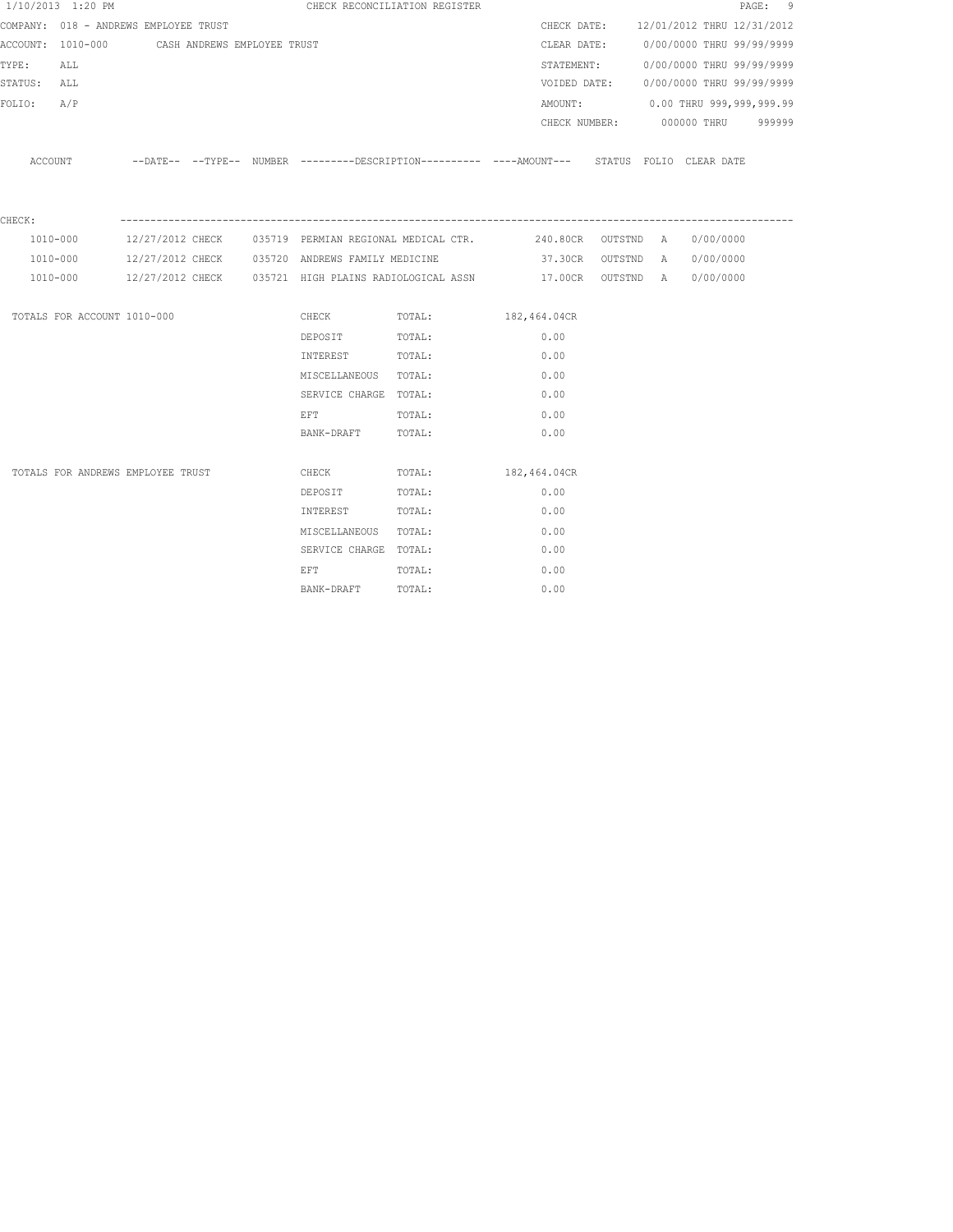|                                                                                        | 1/10/2013 1:20 PM                 |  |  |                                                                                                                | CHECK RECONCILIATION REGISTER |      |  |                                        | PAGE: 9 |
|----------------------------------------------------------------------------------------|-----------------------------------|--|--|----------------------------------------------------------------------------------------------------------------|-------------------------------|------|--|----------------------------------------|---------|
| COMPANY: 018 - ANDREWS EMPLOYEE TRUST<br>ACCOUNT: 1010-000 CASH ANDREWS EMPLOYEE TRUST |                                   |  |  |                                                                                                                |                               |      |  | CHECK DATE: 12/01/2012 THRU 12/31/2012 |         |
|                                                                                        |                                   |  |  |                                                                                                                |                               |      |  | CLEAR DATE: 0/00/0000 THRU 99/99/9999  |         |
| TYPE: ALL                                                                              |                                   |  |  |                                                                                                                |                               |      |  | STATEMENT: 0/00/0000 THRU 99/99/9999   |         |
| STATUS: ALL                                                                            |                                   |  |  |                                                                                                                |                               |      |  | VOIDED DATE: 0/00/0000 THRU 99/99/9999 |         |
| FOLIO: A/P                                                                             |                                   |  |  |                                                                                                                |                               |      |  | AMOUNT: 0.00 THRU 999,999,999.99       |         |
|                                                                                        |                                   |  |  |                                                                                                                |                               |      |  | CHECK NUMBER: 000000 THRU 999999       |         |
|                                                                                        |                                   |  |  | ACCOUNT --DATE-- --TYPE-- NUMBER --------DESCRIPTION---------- ---AMOUNT--- STATUS FOLIO CLEAR DATE            |                               |      |  |                                        |         |
| CHECK:                                                                                 |                                   |  |  |                                                                                                                |                               |      |  |                                        |         |
|                                                                                        | 1010-000                          |  |  | 12/27/2012 CHECK 035719 PERMIAN REGIONAL MEDICAL CTR. 240.80CR OUTSTND A 0/00/0000                             |                               |      |  |                                        |         |
|                                                                                        | 1010-000                          |  |  | 12/27/2012 CHECK 035720 ANDREWS FAMILY MEDICINE 68 77.30CR OUTSTND A 0/00/0000                                 |                               |      |  |                                        |         |
|                                                                                        |                                   |  |  | 1010-000 12/27/2012 CHECK 035721 HIGH PLAINS RADIOLOGICAL ASSN 17.00CR OUTSTND A 0/00/0000                     |                               |      |  |                                        |         |
|                                                                                        | TOTALS FOR ACCOUNT 1010-000       |  |  |                                                                                                                | CHECK TOTAL: 182,464.04CR     |      |  |                                        |         |
|                                                                                        |                                   |  |  | DEPOSIT TOTAL:                                                                                                 |                               | 0.00 |  |                                        |         |
|                                                                                        |                                   |  |  | INTEREST TOTAL:                                                                                                |                               | 0.00 |  |                                        |         |
|                                                                                        |                                   |  |  | MISCELLANEOUS TOTAL:                                                                                           |                               | 0.00 |  |                                        |         |
|                                                                                        |                                   |  |  | SERVICE CHARGE TOTAL:                                                                                          |                               | 0.00 |  |                                        |         |
|                                                                                        |                                   |  |  | EFT FOR THE STATE OF THE STATE OF THE STATE OF THE STATE OF THE STATE OF THE STATE OF THE STATE OF THE STATE O | TOTAL:                        | 0.00 |  |                                        |         |
|                                                                                        |                                   |  |  | BANK-DRAFT TOTAL:                                                                                              |                               | 0.00 |  |                                        |         |
|                                                                                        | TOTALS FOR ANDREWS EMPLOYEE TRUST |  |  |                                                                                                                | CHECK TOTAL: 182,464.04CR     |      |  |                                        |         |
|                                                                                        |                                   |  |  | DEPOSIT                                                                                                        | TOTAL:                        | 0.00 |  |                                        |         |
|                                                                                        |                                   |  |  | INTEREST TOTAL:                                                                                                |                               | 0.00 |  |                                        |         |
|                                                                                        |                                   |  |  | MISCELLANEOUS TOTAL:                                                                                           |                               | 0.00 |  |                                        |         |
|                                                                                        |                                   |  |  | SERVICE CHARGE TOTAL:                                                                                          |                               | 0.00 |  |                                        |         |
|                                                                                        |                                   |  |  | EFT                                                                                                            | TOTAL:                        | 0.00 |  |                                        |         |
|                                                                                        |                                   |  |  | BANK-DRAFT                                                                                                     | TOTAL:                        | 0.00 |  |                                        |         |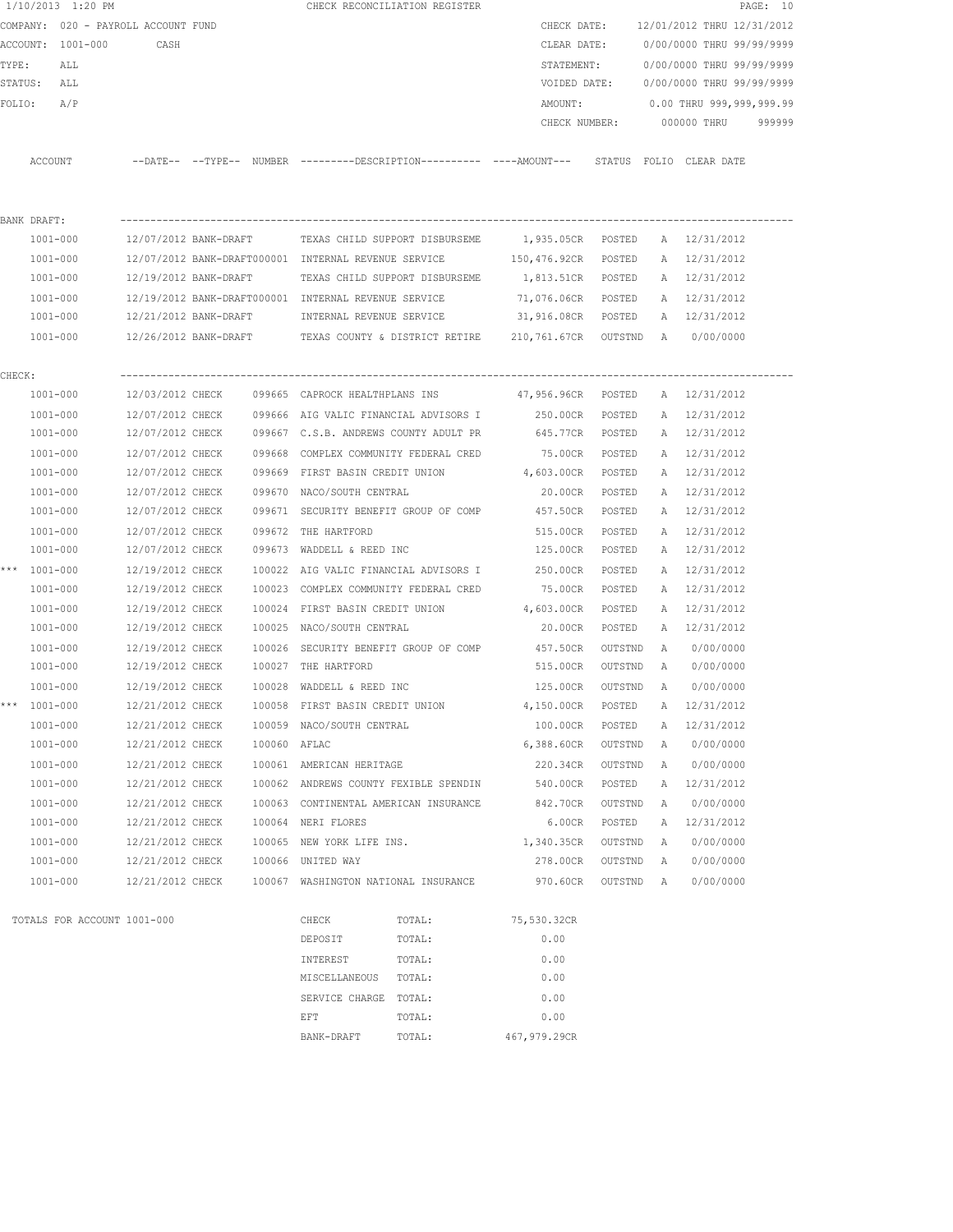|        | 1/10/2013 1:20 PM                   |                       |              |                                                      | CHECK RECONCILIATION REGISTER                                                                 |                     |         |   |                            | PAGE: 10 |
|--------|-------------------------------------|-----------------------|--------------|------------------------------------------------------|-----------------------------------------------------------------------------------------------|---------------------|---------|---|----------------------------|----------|
|        | COMPANY: 020 - PAYROLL ACCOUNT FUND |                       |              |                                                      |                                                                                               | CHECK DATE:         |         |   | 12/01/2012 THRU 12/31/2012 |          |
|        | ACCOUNT: 1001-000                   | CASH                  |              |                                                      |                                                                                               | CLEAR DATE:         |         |   | 0/00/0000 THRU 99/99/9999  |          |
| TYPE:  | ALL                                 |                       |              |                                                      |                                                                                               | STATEMENT:          |         |   | 0/00/0000 THRU 99/99/9999  |          |
|        | STATUS: ALL                         |                       |              |                                                      |                                                                                               | VOIDED DATE:        |         |   | 0/00/0000 THRU 99/99/9999  |          |
| FOLIO: | A/P                                 |                       |              |                                                      |                                                                                               | AMOUNT:             |         |   | 0.00 THRU 999,999,999.99   |          |
|        |                                     |                       |              |                                                      |                                                                                               | CHECK NUMBER:       |         |   | 000000 THRU                | 999999   |
|        | ACCOUNT                             |                       |              |                                                      | --DATE-- --TYPE-- NUMBER ---------DESCRIPTION---------- ----AMOUNT--- STATUS FOLIO CLEAR DATE |                     |         |   |                            |          |
|        |                                     |                       |              |                                                      |                                                                                               |                     |         |   |                            |          |
|        | BANK DRAFT:                         |                       |              |                                                      |                                                                                               |                     |         |   |                            |          |
|        | 1001-000                            | 12/07/2012 BANK-DRAFT |              |                                                      | TEXAS CHILD SUPPORT DISBURSEME                                                                | 1,935.05CR POSTED   |         |   | A 12/31/2012               |          |
|        | 1001-000                            |                       |              | 12/07/2012 BANK-DRAFT000001 INTERNAL REVENUE SERVICE |                                                                                               | 150,476.92CR POSTED |         |   | A 12/31/2012               |          |
|        | 1001-000                            | 12/19/2012 BANK-DRAFT |              |                                                      | TEXAS CHILD SUPPORT DISBURSEME                                                                | 1,813.51CR POSTED   |         |   | A 12/31/2012               |          |
|        | 1001-000                            |                       |              | 12/19/2012 BANK-DRAFT000001 INTERNAL REVENUE SERVICE |                                                                                               | 71,076.06CR POSTED  |         |   | A 12/31/2012               |          |
|        | 1001-000                            | 12/21/2012 BANK-DRAFT |              | INTERNAL REVENUE SERVICE                             |                                                                                               | 31,916.08CR POSTED  |         |   | A 12/31/2012               |          |
|        | $1001 - 000$                        |                       |              |                                                      | 12/26/2012 BANK-DRAFT TEXAS COUNTY & DISTRICT RETIRE 210,761.67CR OUTSTND A                   |                     |         |   | 0/00/0000                  |          |
| CHECK: |                                     |                       |              |                                                      |                                                                                               |                     |         |   |                            |          |
|        | 1001-000                            |                       |              |                                                      | $12/03/2012$ CHECK 099665 CAPROCK HEALTHPLANS INS $47,956.96$ CR POSTED                       |                     |         |   | A 12/31/2012               |          |
|        | $1001 - 000$                        |                       |              |                                                      | 12/07/2012 CHECK 099666 AIG VALIC FINANCIAL ADVISORS I 250.00CR POSTED                        |                     |         |   | A 12/31/2012               |          |
|        | 1001-000                            |                       |              |                                                      | 12/07/2012 CHECK 099667 C.S.B. ANDREWS COUNTY ADULT PR 645.77CR POSTED                        |                     |         |   | A 12/31/2012               |          |
|        | $1001 - 000$                        | 12/07/2012 CHECK      |              |                                                      | 099668 COMPLEX COMMUNITY FEDERAL CRED 75.00CR                                                 |                     | POSTED  |   | A 12/31/2012               |          |
|        | $1001 - 000$                        | 12/07/2012 CHECK      |              |                                                      | 099669 FIRST BASIN CREDIT UNION                                                               | 4,603.00CR          | POSTED  |   | A 12/31/2012               |          |
|        | 1001-000                            | 12/07/2012 CHECK      |              | 099670 NACO/SOUTH CENTRAL                            |                                                                                               | 20.00CR             | POSTED  | Α | 12/31/2012                 |          |
|        | 1001-000                            | 12/07/2012 CHECK      |              |                                                      | 099671 SECURITY BENEFIT GROUP OF COMP                                                         | 457.50CR            | POSTED  |   | A 12/31/2012               |          |
|        | 1001-000                            | 12/07/2012 CHECK      |              | 099672 THE HARTFORD                                  |                                                                                               | 515.00CR            | POSTED  |   | A 12/31/2012               |          |
|        | $1001 - 000$                        | 12/07/2012 CHECK      |              | 099673 WADDELL & REED INC                            |                                                                                               | 125.00CR            | POSTED  |   | A 12/31/2012               |          |
|        | *** 1001-000                        | 12/19/2012 CHECK      | 100022       |                                                      | AIG VALIC FINANCIAL ADVISORS I                                                                | 250.00CR            | POSTED  | A | 12/31/2012                 |          |
|        | 1001-000                            | 12/19/2012 CHECK      | 100023       |                                                      | COMPLEX COMMUNITY FEDERAL CRED                                                                | 75.00CR             | POSTED  | A | 12/31/2012                 |          |
|        | $1001 - 000$                        | 12/19/2012 CHECK      | 100024       | FIRST BASIN CREDIT UNION                             |                                                                                               | 4,603.00CR          | POSTED  | A | 12/31/2012                 |          |
|        | 1001-000                            | 12/19/2012 CHECK      |              | 100025 NACO/SOUTH CENTRAL                            |                                                                                               | 20.00CR             | POSTED  |   | A 12/31/2012               |          |
|        | $1001 - 000$                        | 12/19/2012 CHECK      | 100026       |                                                      | SECURITY BENEFIT GROUP OF COMP 457.50CR                                                       |                     | OUTSTND | A | 0/00/0000                  |          |
|        | 1001-000                            | 12/19/2012 CHECK      |              | 100027 THE HARTFORD                                  |                                                                                               | 515.00CR            | OUTSTND | A | 0/00/0000                  |          |
|        | $1001 - 000$                        | 12/19/2012 CHECK      |              | 100028 WADDELL & REED INC                            |                                                                                               | 125.00CR            | OUTSTND | A | 0/00/0000                  |          |
| ***    | 1001-000                            | 12/21/2012 CHECK      |              | 100058 FIRST BASIN CREDIT UNION                      |                                                                                               | 4,150.00CR          | POSTED  | Α | 12/31/2012                 |          |
|        | $1001 - 000$                        | 12/21/2012 CHECK      |              | 100059 NACO/SOUTH CENTRAL                            |                                                                                               | 100.00CR            | POSTED  | Α | 12/31/2012                 |          |
|        | $1001 - 000$                        | 12/21/2012 CHECK      | 100060 AFLAC |                                                      |                                                                                               | 6,388.60CR          | OUTSTND | Α | 0/00/0000                  |          |
|        | 1001-000                            | 12/21/2012 CHECK      |              | 100061 AMERICAN HERITAGE                             |                                                                                               | 220.34CR            | OUTSTND | Α | 0/00/0000                  |          |
|        | 1001-000                            | 12/21/2012 CHECK      |              | 100062 ANDREWS COUNTY FEXIBLE SPENDIN                |                                                                                               | 540.00CR            | POSTED  | Α | 12/31/2012                 |          |
|        | $1001 - 000$                        | 12/21/2012 CHECK      |              | 100063 CONTINENTAL AMERICAN INSURANCE                |                                                                                               | 842.70CR            | OUTSTND | Α | 0/00/0000                  |          |
|        | 1001-000                            | 12/21/2012 CHECK      | 100064       | NERI FLORES                                          |                                                                                               | 6.00CR              | POSTED  | Α | 12/31/2012                 |          |
|        | $1001 - 000$                        | 12/21/2012 CHECK      |              | 100065 NEW YORK LIFE INS.                            |                                                                                               | 1,340.35CR          | OUTSTND | Α | 0/00/0000                  |          |
|        | $1001 - 000$                        | 12/21/2012 CHECK      |              | 100066 UNITED WAY                                    |                                                                                               | 278.00CR            | OUTSTND | Α | 0/00/0000                  |          |
|        | 1001-000                            | 12/21/2012 CHECK      |              | 100067 WASHINGTON NATIONAL INSURANCE                 |                                                                                               | 970.60CR            | OUTSTND | Α | 0/00/0000                  |          |
|        |                                     |                       |              |                                                      |                                                                                               |                     |         |   |                            |          |
|        | TOTALS FOR ACCOUNT 1001-000         |                       |              | CHECK                                                | TOTAL:                                                                                        | 75,530.32CR         |         |   |                            |          |
|        |                                     |                       |              | DEPOSIT                                              | TOTAL:                                                                                        | 0.00                |         |   |                            |          |
|        |                                     |                       |              | INTEREST                                             | TOTAL:                                                                                        | 0.00                |         |   |                            |          |
|        |                                     |                       |              | MISCELLANEOUS                                        | TOTAL:                                                                                        | 0.00                |         |   |                            |          |
|        |                                     |                       |              | SERVICE CHARGE TOTAL:                                |                                                                                               | 0.00                |         |   |                            |          |
|        |                                     |                       |              | EFT                                                  | TOTAL:                                                                                        | 0.00                |         |   |                            |          |

BANK-DRAFT TOTAL:  $467,979.29CR$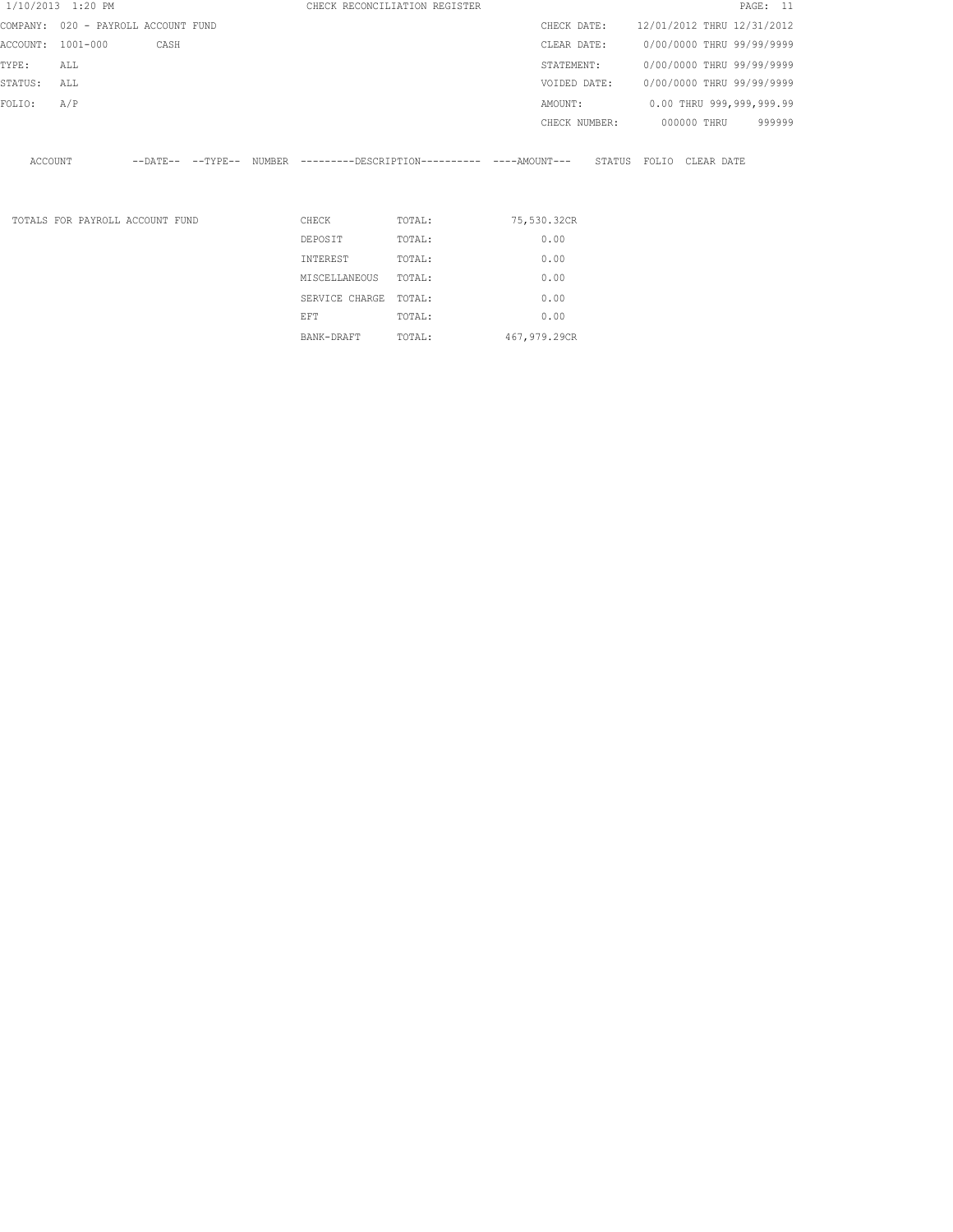| 1/10/2013 1:20 PM                   |     |                                 |  |                | CHECK RECONCILIATION REGISTER                                                                 |                                        |                           |  | PAGE: 11 |        |
|-------------------------------------|-----|---------------------------------|--|----------------|-----------------------------------------------------------------------------------------------|----------------------------------------|---------------------------|--|----------|--------|
| COMPANY: 020 - PAYROLL ACCOUNT FUND |     |                                 |  |                |                                                                                               | CHECK DATE: 12/01/2012 THRU 12/31/2012 |                           |  |          |        |
| ACCOUNT: 1001-000                   |     | CASH                            |  |                |                                                                                               | CLEAR DATE:                            | 0/00/0000 THRU 99/99/9999 |  |          |        |
| TYPE:                               | ALL |                                 |  |                |                                                                                               | STATEMENT:                             | 0/00/0000 THRU 99/99/9999 |  |          |        |
| STATUS:                             | ALL |                                 |  |                |                                                                                               | VOIDED DATE:                           | 0/00/0000 THRU 99/99/9999 |  |          |        |
| FOLIO:                              | A/P |                                 |  |                |                                                                                               | AMOUNT:                                | 0.00 THRU 999,999,999.99  |  |          |        |
|                                     |     |                                 |  |                |                                                                                               | CHECK NUMBER: 000000 THRU              |                           |  |          | 999999 |
| ACCOUNT                             |     |                                 |  |                | --DATE-- --TYPE-- NUMBER ---------DESCRIPTION---------- ----AMOUNT--- STATUS FOLIO CLEAR-DATE |                                        |                           |  |          |        |
|                                     |     | TOTALS FOR PAYROLL ACCOUNT FUND |  | CHECK          | TOTAL:                                                                                        | 75,530.32CR                            |                           |  |          |        |
|                                     |     |                                 |  | DEPOSIT        | TOTAL:                                                                                        | 0.00                                   |                           |  |          |        |
|                                     |     |                                 |  | INTEREST       | TOTAL:                                                                                        | 0.00                                   |                           |  |          |        |
|                                     |     |                                 |  | MISCELLANEOUS  | TOTAL:                                                                                        | 0.00                                   |                           |  |          |        |
|                                     |     |                                 |  | SERVICE CHARGE | TOTAL:                                                                                        | 0.00                                   |                           |  |          |        |
|                                     |     |                                 |  | EFT            | TOTAL:                                                                                        | 0.00                                   |                           |  |          |        |

BANK-DRAFT TOTAL: 467,979.29CR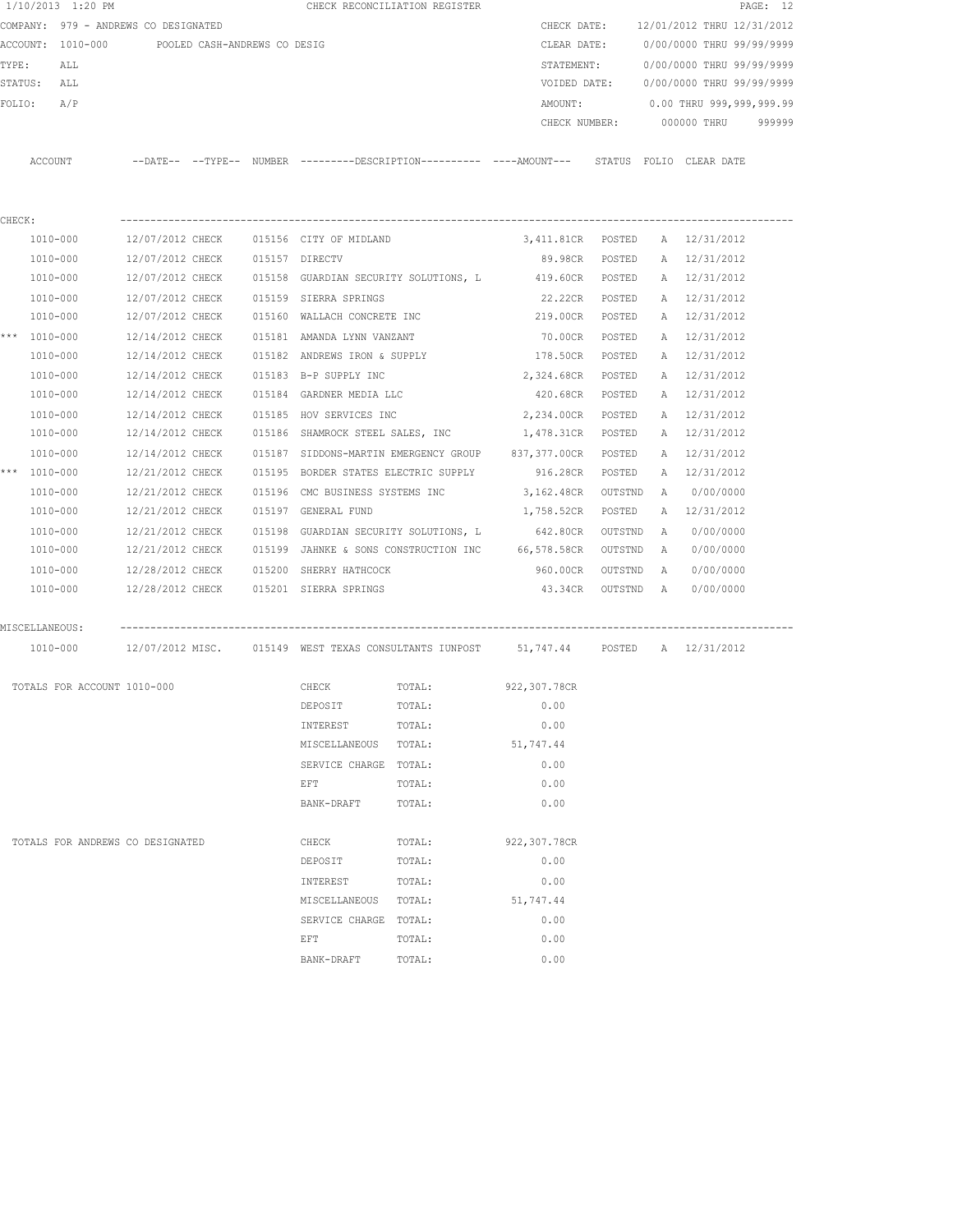|        | 1/10/2013 1:20 PM                              |                               |  |                                 | CHECK RECONCILIATION REGISTER                                                                 |                   |         |              |                            | PAGE: 12 |
|--------|------------------------------------------------|-------------------------------|--|---------------------------------|-----------------------------------------------------------------------------------------------|-------------------|---------|--------------|----------------------------|----------|
|        | COMPANY: 979 - ANDREWS CO DESIGNATED           |                               |  |                                 |                                                                                               | CHECK DATE:       |         |              | 12/01/2012 THRU 12/31/2012 |          |
|        | ACCOUNT: 1010-000 POOLED CASH-ANDREWS CO DESIG |                               |  |                                 |                                                                                               | CLEAR DATE:       |         |              | 0/00/0000 THRU 99/99/9999  |          |
| TYPE:  | ALL                                            |                               |  |                                 |                                                                                               | STATEMENT:        |         |              | 0/00/0000 THRU 99/99/9999  |          |
|        | STATUS: ALL                                    |                               |  |                                 |                                                                                               | VOIDED DATE:      |         |              | 0/00/0000 THRU 99/99/9999  |          |
| FOLIO: | A/P                                            |                               |  |                                 |                                                                                               | AMOUNT:           |         |              | 0.00 THRU 999,999,999.99   |          |
|        |                                                |                               |  |                                 |                                                                                               | CHECK NUMBER:     |         |              | 000000 THRU                | 999999   |
|        |                                                |                               |  |                                 |                                                                                               |                   |         |              |                            |          |
|        | ACCOUNT                                        |                               |  |                                 | --DATE-- --TYPE-- NUMBER ---------DESCRIPTION---------- ----AMOUNT--- STATUS FOLIO CLEAR-DATE |                   |         |              |                            |          |
|        |                                                |                               |  |                                 |                                                                                               |                   |         |              |                            |          |
|        |                                                |                               |  |                                 |                                                                                               |                   |         |              |                            |          |
| CHECK: |                                                |                               |  |                                 |                                                                                               |                   |         |              |                            |          |
|        | 1010-000                                       | 12/07/2012 CHECK              |  | 015156 CITY OF MIDLAND          |                                                                                               | 3,411.81CR POSTED |         |              | A 12/31/2012               |          |
|        | 1010-000                                       | 12/07/2012 CHECK              |  | 015157 DIRECTV                  |                                                                                               | 89.98CR           | POSTED  |              | A 12/31/2012               |          |
|        | 1010-000                                       | 12/07/2012 CHECK              |  |                                 | 015158 GUARDIAN SECURITY SOLUTIONS, L 419.60CR                                                |                   | POSTED  |              | A 12/31/2012               |          |
|        | 1010-000                                       | 12/07/2012 CHECK              |  | 015159 SIERRA SPRINGS           |                                                                                               | 22.22CR           | POSTED  |              | A 12/31/2012               |          |
|        | 1010-000                                       | 12/07/2012 CHECK              |  | 015160 WALLACH CONCRETE INC     |                                                                                               | 219.00CR          | POSTED  |              | A 12/31/2012               |          |
|        | *** 1010-000                                   | 12/14/2012 CHECK              |  | 015181 AMANDA LYNN VANZANT      |                                                                                               | 70.00CR           | POSTED  |              | A 12/31/2012               |          |
|        | 1010-000                                       | 12/14/2012 CHECK              |  | 015182 ANDREWS IRON & SUPPLY    |                                                                                               | 178.50CR          | POSTED  |              | A 12/31/2012               |          |
|        | 1010-000                                       | 12/14/2012 CHECK              |  | 015183 B-P SUPPLY INC           |                                                                                               | 2,324.68CR        | POSTED  |              | A 12/31/2012               |          |
|        | 1010-000                                       | 12/14/2012 CHECK              |  | 015184 GARDNER MEDIA LLC        |                                                                                               | 420.68CR POSTED   |         |              | A 12/31/2012               |          |
|        | 1010-000                                       | 12/14/2012 CHECK              |  | 015185 HOV SERVICES INC         |                                                                                               | 2,234.00CR        | POSTED  |              | A 12/31/2012               |          |
|        | 1010-000                                       | 12/14/2012 CHECK              |  |                                 | 015186 SHAMROCK STEEL SALES, INC 1,478.31CR                                                   |                   | POSTED  |              | A 12/31/2012               |          |
|        | 1010-000                                       | 12/14/2012 CHECK              |  |                                 | 015187 SIDDONS-MARTIN EMERGENCY GROUP 837,377.00CR                                            |                   | POSTED  |              | A 12/31/2012               |          |
|        | *** 1010-000                                   | 12/21/2012 CHECK              |  |                                 | 015195 BORDER STATES ELECTRIC SUPPLY                                                          | 916.28CR          | POSTED  |              | A 12/31/2012               |          |
|        | 1010-000                                       | 12/21/2012 CHECK              |  | 015196 CMC BUSINESS SYSTEMS INC |                                                                                               | 3,162.48CR        | OUTSTND | A            | 0/00/0000                  |          |
|        | 1010-000                                       | 12/21/2012 CHECK              |  | 015197 GENERAL FUND             |                                                                                               | 1,758.52CR        | POSTED  | A            | 12/31/2012                 |          |
|        | 1010-000                                       | 12/21/2012 CHECK              |  |                                 | 015198 GUARDIAN SECURITY SOLUTIONS, L                                                         | 642.80CR          | OUTSTND | A            | 0/00/0000                  |          |
|        | 1010-000                                       | 12/21/2012 CHECK              |  |                                 | 015199 JAHNKE & SONS CONSTRUCTION INC                                                         | 66,578.58CR       | OUTSTND | $\mathbb{A}$ | 0/00/0000                  |          |
|        | 1010-000                                       | 12/28/2012 CHECK              |  | 015200 SHERRY HATHCOCK          |                                                                                               | 960.00CR          | OUTSTND | A            | 0/00/0000                  |          |
|        | 1010-000                                       | 12/28/2012 CHECK              |  | 015201 SIERRA SPRINGS           |                                                                                               | 43.34CR OUTSTND A |         |              | 0/00/0000                  |          |
|        |                                                |                               |  |                                 |                                                                                               |                   |         |              |                            |          |
|        | MISCELLANEOUS:                                 | ----------------------------- |  |                                 |                                                                                               |                   |         |              |                            |          |
|        | 1010-000                                       |                               |  |                                 | 12/07/2012 MISC.   015149 WEST TEXAS CONSULTANTS IUNPOST   51,747.44   POSTED   A  12/31/2012 |                   |         |              |                            |          |
|        | TOTALS FOR ACCOUNT 1010-000                    |                               |  | CHECK                           | TOTAL:                                                                                        | 922,307.78CR      |         |              |                            |          |
|        |                                                |                               |  | DEPOSIT                         | TOTAL:                                                                                        | 0.00              |         |              |                            |          |
|        |                                                |                               |  | INTEREST                        | TOTAL:                                                                                        | 0.00              |         |              |                            |          |
|        |                                                |                               |  | MISCELLANEOUS                   | TOTAL:                                                                                        | 51,747.44         |         |              |                            |          |
|        |                                                |                               |  | SERVICE CHARGE                  | TOTAL:                                                                                        | 0.00              |         |              |                            |          |
|        |                                                |                               |  | EFT                             | TOTAL:                                                                                        | 0.00              |         |              |                            |          |
|        |                                                |                               |  | BANK-DRAFT                      | TOTAL:                                                                                        | 0.00              |         |              |                            |          |
|        |                                                |                               |  |                                 |                                                                                               |                   |         |              |                            |          |
|        | TOTALS FOR ANDREWS CO DESIGNATED               |                               |  | CHECK                           | TOTAL:                                                                                        | 922,307.78CR      |         |              |                            |          |
|        |                                                |                               |  | DEPOSIT                         | TOTAL:                                                                                        | 0.00              |         |              |                            |          |
|        |                                                |                               |  | INTEREST                        | TOTAL:                                                                                        | 0.00              |         |              |                            |          |
|        |                                                |                               |  | MISCELLANEOUS                   | TOTAL:                                                                                        | 51,747.44         |         |              |                            |          |
|        |                                                |                               |  | SERVICE CHARGE TOTAL:           |                                                                                               | 0.00              |         |              |                            |          |
|        |                                                |                               |  | EFT                             | TOTAL:                                                                                        | 0.00              |         |              |                            |          |
|        |                                                |                               |  | BANK-DRAFT                      | TOTAL:                                                                                        | 0.00              |         |              |                            |          |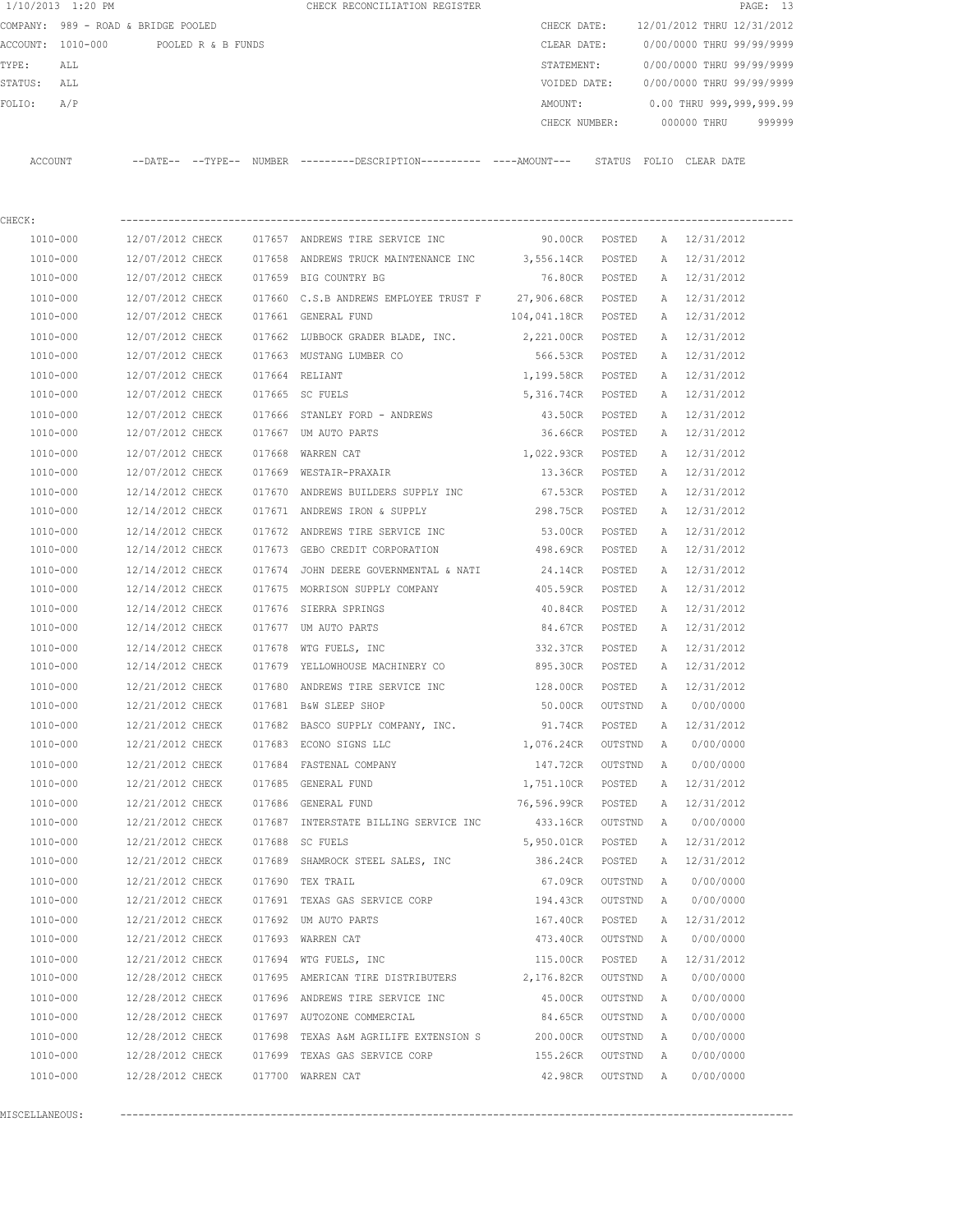|         | 1/10/2013 1:20 PM |                                     |        | CHECK RECONCILIATION REGISTER |               |                            | PAGE: 13 |
|---------|-------------------|-------------------------------------|--------|-------------------------------|---------------|----------------------------|----------|
|         |                   | COMPANY: 989 - ROAD & BRIDGE POOLED |        |                               | CHECK DATE:   | 12/01/2012 THRU 12/31/2012 |          |
|         | ACCOUNT: 1010-000 | POOLED R & B FUNDS                  |        |                               | CLEAR DATE:   | 0/00/0000 THRU 99/99/9999  |          |
| TYPE:   | ALL               |                                     |        |                               | STATEMENT:    | 0/00/0000 THRU 99/99/9999  |          |
| STATUS: | ALL               |                                     |        |                               | VOIDED DATE:  | 0/00/0000 THRU 99/99/9999  |          |
| FOLIO:  | A/P               |                                     |        |                               | AMOUNT:       | 0.00 THRU 999,999,999.99   |          |
|         |                   |                                     |        |                               | CHECK NUMBER: | 000000 THRU                | 999999   |
|         |                   |                                     |        |                               |               |                            |          |
| ACCOUNT |                   | $---DATE---TYPE---$                 | NUMBER |                               | STATUS        | FOLTO<br>CLEAR DATE        |          |

| CHECK:       |                  |        |                                                        |                     |         |   |              |
|--------------|------------------|--------|--------------------------------------------------------|---------------------|---------|---|--------------|
| 1010-000     | 12/07/2012 CHECK |        | 017657 ANDREWS TIRE SERVICE INC                        | 90.00CR POSTED      |         |   | A 12/31/2012 |
| 1010-000     | 12/07/2012 CHECK |        | 017658 ANDREWS TRUCK MAINTENANCE INC 3,556.14CR POSTED |                     |         | A | 12/31/2012   |
| 1010-000     | 12/07/2012 CHECK |        | 017659 BIG COUNTRY BG                                  | 76.80CR             | POSTED  | A | 12/31/2012   |
| 1010-000     | 12/07/2012 CHECK |        | 017660 C.S.B ANDREWS EMPLOYEE TRUST F 27,906.68CR      |                     | POSTED  | Α | 12/31/2012   |
| 1010-000     | 12/07/2012 CHECK |        | 017661 GENERAL FUND                                    | 104,041.18CR POSTED |         | A | 12/31/2012   |
| 1010-000     | 12/07/2012 CHECK |        | 017662 LUBBOCK GRADER BLADE, INC.                      | 2,221.00CR POSTED   |         | A | 12/31/2012   |
| 1010-000     | 12/07/2012 CHECK |        | 017663 MUSTANG LUMBER CO                               | 566.53CR POSTED     |         | A | 12/31/2012   |
| 1010-000     | 12/07/2012 CHECK |        | 017664 RELIANT                                         | 1,199.58CR POSTED   |         |   | A 12/31/2012 |
| 1010-000     | 12/07/2012 CHECK |        | 017665 SC FUELS                                        | 5,316.74CR POSTED   |         |   | A 12/31/2012 |
| 1010-000     | 12/07/2012 CHECK |        | 017666 STANLEY FORD - ANDREWS                          | 43.50CR             | POSTED  | A | 12/31/2012   |
| 1010-000     | 12/07/2012 CHECK |        | 017667 UM AUTO PARTS                                   | 36.66CR             | POSTED  | A | 12/31/2012   |
| 1010-000     | 12/07/2012 CHECK | 017668 | WARREN CAT                                             | 1,022.93CR          | POSTED  | A | 12/31/2012   |
| 1010-000     | 12/07/2012 CHECK |        | 017669 WESTAIR-PRAXAIR                                 | 13.36CR             | POSTED  | A | 12/31/2012   |
| 1010-000     | 12/14/2012 CHECK |        | 017670 ANDREWS BUILDERS SUPPLY INC                     | 67.53CR             | POSTED  | Α | 12/31/2012   |
| 1010-000     | 12/14/2012 CHECK |        | 017671 ANDREWS IRON & SUPPLY                           | 298.75CR            | POSTED  | А | 12/31/2012   |
| 1010-000     | 12/14/2012 CHECK |        | 017672 ANDREWS TIRE SERVICE INC                        | 53.00CR             | POSTED  | Α | 12/31/2012   |
| 1010-000     | 12/14/2012 CHECK |        | 017673 GEBO CREDIT CORPORATION                         | 498.69CR            | POSTED  | A | 12/31/2012   |
| 1010-000     | 12/14/2012 CHECK |        | 017674 JOHN DEERE GOVERNMENTAL & NATI                  | 24.14CR             | POSTED  | Α | 12/31/2012   |
| 1010-000     | 12/14/2012 CHECK |        | 017675 MORRISON SUPPLY COMPANY                         | 405.59CR            | POSTED  | A | 12/31/2012   |
| 1010-000     | 12/14/2012 CHECK |        | 017676 SIERRA SPRINGS                                  | 40.84CR             | POSTED  |   | A 12/31/2012 |
| 1010-000     | 12/14/2012 CHECK |        | 017677 UM AUTO PARTS                                   | 84.67CR             | POSTED  | A | 12/31/2012   |
| 1010-000     | 12/14/2012 CHECK | 017678 | WTG FUELS, INC                                         | 332.37CR            | POSTED  | Α | 12/31/2012   |
| 1010-000     | 12/14/2012 CHECK | 017679 | YELLOWHOUSE MACHINERY CO                               | 895.30CR            | POSTED  | Α | 12/31/2012   |
| 1010-000     | 12/21/2012 CHECK |        | 017680 ANDREWS TIRE SERVICE INC                        | 128.00CR            | POSTED  | A | 12/31/2012   |
| 1010-000     | 12/21/2012 CHECK |        | 017681 B&W SLEEP SHOP                                  | 50.00CR             | OUTSTND | Α | 0/00/0000    |
| 1010-000     | 12/21/2012 CHECK |        | 017682 BASCO SUPPLY COMPANY, INC.                      | 91.74CR             | POSTED  | A | 12/31/2012   |
| 1010-000     | 12/21/2012 CHECK |        | 017683 ECONO SIGNS LLC                                 | 1,076.24CR          | OUTSTND | Α | 0/00/0000    |
| 1010-000     | 12/21/2012 CHECK |        | 017684 FASTENAL COMPANY                                | 147.72CR            | OUTSTND | Α | 0/00/0000    |
| 1010-000     | 12/21/2012 CHECK |        | 017685 GENERAL FUND                                    | 1,751.10CR          | POSTED  | Α | 12/31/2012   |
| 1010-000     | 12/21/2012 CHECK |        | 017686 GENERAL FUND                                    | 76,596.99CR         | POSTED  | Α | 12/31/2012   |
| 1010-000     | 12/21/2012 CHECK |        | 017687 INTERSTATE BILLING SERVICE INC                  | 433.16CR OUTSTND    |         | Α | 0/00/0000    |
| 1010-000     | 12/21/2012 CHECK |        | 017688 SC FUELS                                        | 5,950.01CR          | POSTED  | A | 12/31/2012   |
| 1010-000     | 12/21/2012 CHECK |        | 017689 SHAMROCK STEEL SALES, INC                       | 386.24CR POSTED     |         | A | 12/31/2012   |
| 1010-000     | 12/21/2012 CHECK |        | 017690 TEX TRAIL                                       | 67.09CR             | OUTSTND | A | 0/00/0000    |
| $1010 - 000$ | 12/21/2012 CHECK |        | 017691 TEXAS GAS SERVICE CORP                          | 194.43CR            | OUTSTND | A | 0/00/0000    |
| 1010-000     | 12/21/2012 CHECK |        | 017692 UM AUTO PARTS                                   | 167.40CR            | POSTED  | Α | 12/31/2012   |
| 1010-000     | 12/21/2012 CHECK |        | 017693 WARREN CAT                                      | 473.40CR            | OUTSTND | Α | 0/00/0000    |
| 1010-000     | 12/21/2012 CHECK |        | 017694 WTG FUELS, INC                                  | 115.00CR            | POSTED  | Α | 12/31/2012   |
| 1010-000     | 12/28/2012 CHECK |        | 017695 AMERICAN TIRE DISTRIBUTERS                      | 2,176.82CR          | OUTSTND | Α | 0/00/0000    |
| 1010-000     | 12/28/2012 CHECK | 017696 | ANDREWS TIRE SERVICE INC                               | 45.00CR             | OUTSTND | Α | 0/00/0000    |
| 1010-000     | 12/28/2012 CHECK | 017697 | AUTOZONE COMMERCIAL                                    | 84.65CR             | OUTSTND | Α | 0/00/0000    |
| 1010-000     | 12/28/2012 CHECK | 017698 | TEXAS A&M AGRILIFE EXTENSION S                         | 200.00CR            | OUTSTND | Α | 0/00/0000    |
| 1010-000     | 12/28/2012 CHECK | 017699 | TEXAS GAS SERVICE CORP                                 | 155.26CR            | OUTSTND | Α | 0/00/0000    |
| 1010-000     | 12/28/2012 CHECK |        | 017700 WARREN CAT                                      | 42.98CR             | OUTSTND | Α | 0/00/0000    |
|              |                  |        |                                                        |                     |         |   |              |

MISCELLANEOUS: ----------------------------------------------------------------------------------------------------------------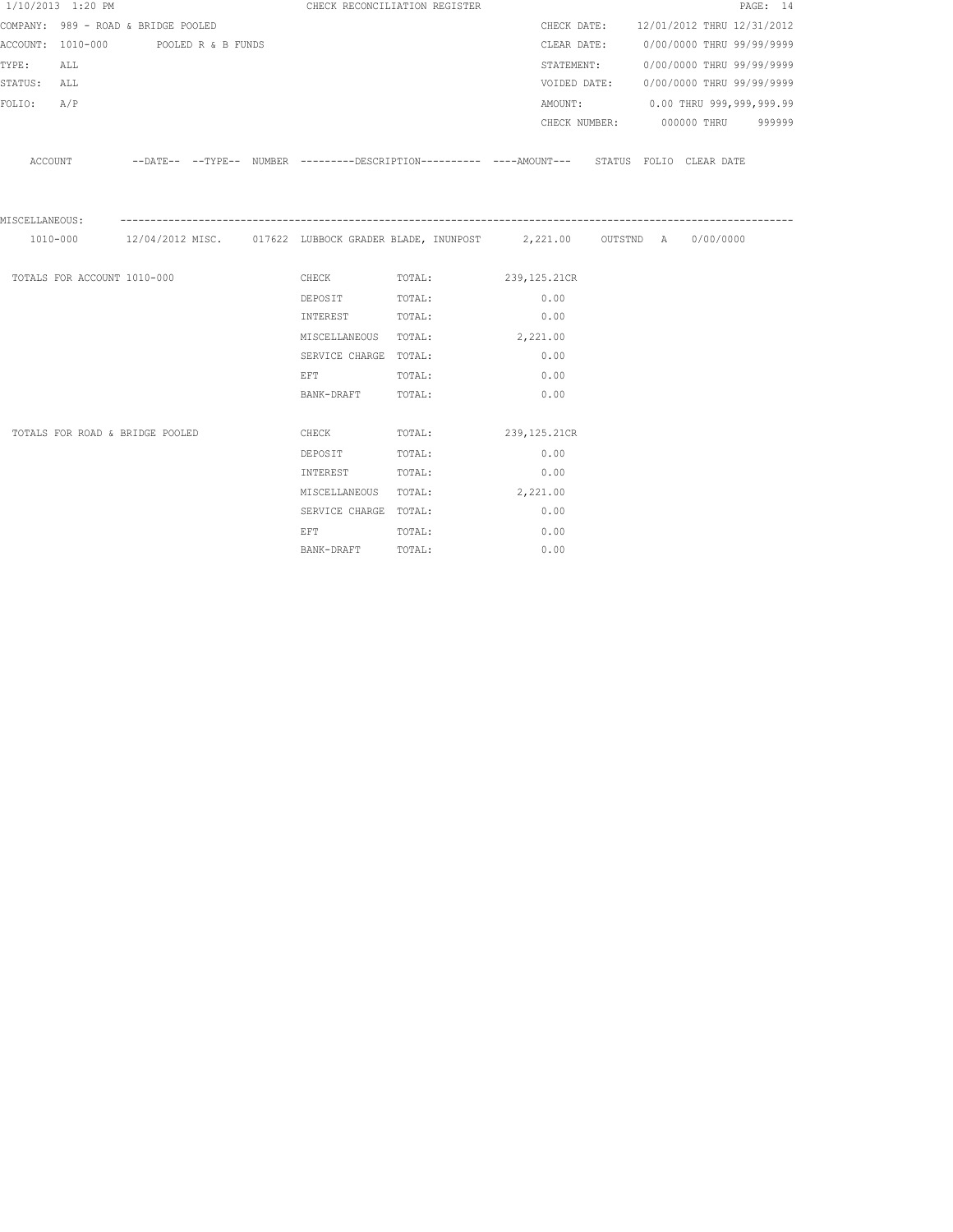|                | 1/10/2013 1:20 PM           |                                      |  | CHECK RECONCILIATION REGISTER                                                                                  |                                                                                                    |            |  |                                        | PAGE: 14 |
|----------------|-----------------------------|--------------------------------------|--|----------------------------------------------------------------------------------------------------------------|----------------------------------------------------------------------------------------------------|------------|--|----------------------------------------|----------|
|                |                             | COMPANY: 989 - ROAD & BRIDGE POOLED  |  |                                                                                                                |                                                                                                    |            |  | CHECK DATE: 12/01/2012 THRU 12/31/2012 |          |
|                |                             | ACCOUNT: 1010-000 POOLED R & B FUNDS |  |                                                                                                                |                                                                                                    |            |  | CLEAR DATE: 0/00/0000 THRU 99/99/9999  |          |
| TYPE:          | ALL                         |                                      |  |                                                                                                                |                                                                                                    | STATEMENT: |  | 0/00/0000 THRU 99/99/9999              |          |
| STATUS: ALL    |                             |                                      |  |                                                                                                                |                                                                                                    |            |  | VOIDED DATE: 0/00/0000 THRU 99/99/9999 |          |
| FOLIO: A/P     |                             |                                      |  |                                                                                                                |                                                                                                    |            |  | AMOUNT: 0.00 THRU 999,999,999.99       |          |
|                |                             |                                      |  |                                                                                                                |                                                                                                    |            |  | CHECK NUMBER: 000000 THRU 999999       |          |
|                |                             |                                      |  |                                                                                                                | ACCOUNT -DATE-- --TYPE-- NUMBER --------DESCRIPTION--------- ----AMOUNT--- STATUS FOLIO CLEAR DATE |            |  |                                        |          |
| MISCELLANEOUS: |                             |                                      |  |                                                                                                                |                                                                                                    |            |  |                                        |          |
|                |                             |                                      |  |                                                                                                                | 1010-000 12/04/2012 MISC. 017622 LUBBOCK GRADER BLADE, INUNPOST 2,221.00 OUTSTND A 0/00/0000       |            |  |                                        |          |
|                | TOTALS FOR ACCOUNT 1010-000 |                                      |  |                                                                                                                | CHECK TOTAL: 239, 125.21CR                                                                         |            |  |                                        |          |
|                |                             |                                      |  | DEPOSIT TOTAL:                                                                                                 |                                                                                                    | 0.00       |  |                                        |          |
|                |                             |                                      |  | INTEREST TOTAL:                                                                                                |                                                                                                    | 0.00       |  |                                        |          |
|                |                             |                                      |  |                                                                                                                | MISCELLANEOUS TOTAL: 2,221.00                                                                      |            |  |                                        |          |
|                |                             |                                      |  | SERVICE CHARGE TOTAL:                                                                                          |                                                                                                    | 0.00       |  |                                        |          |
|                |                             |                                      |  | EFT FOR THE STATE OF THE STATE OF THE STATE OF THE STATE OF THE STATE OF THE STATE OF THE STATE OF THE STATE O | TOTAL:                                                                                             | 0.00       |  |                                        |          |
|                |                             |                                      |  | BANK-DRAFT TOTAL:                                                                                              |                                                                                                    | 0.00       |  |                                        |          |
|                |                             |                                      |  |                                                                                                                |                                                                                                    |            |  |                                        |          |
|                |                             | TOTALS FOR ROAD & BRIDGE POOLED      |  | <b>CHECK</b>                                                                                                   | TOTAL: 239, 125.21CR                                                                               |            |  |                                        |          |
|                |                             |                                      |  | DEPOSIT                                                                                                        | TOTAL:                                                                                             | 0.00       |  |                                        |          |
|                |                             |                                      |  | INTEREST                                                                                                       | TOTAL:                                                                                             | 0.00       |  |                                        |          |
|                |                             |                                      |  |                                                                                                                | MISCELLANEOUS TOTAL: 2,221.00                                                                      |            |  |                                        |          |
|                |                             |                                      |  | SERVICE CHARGE TOTAL:                                                                                          |                                                                                                    | 0.00       |  |                                        |          |
|                |                             |                                      |  | EFT FOR THE STATE OF THE STATE OF THE STATE OF THE STATE OF THE STATE OF THE STATE OF THE STATE OF THE STATE O | TOTAL:                                                                                             | 0.00       |  |                                        |          |
|                |                             |                                      |  | BANK-DRAFT                                                                                                     | TOTAL:                                                                                             | 0.00       |  |                                        |          |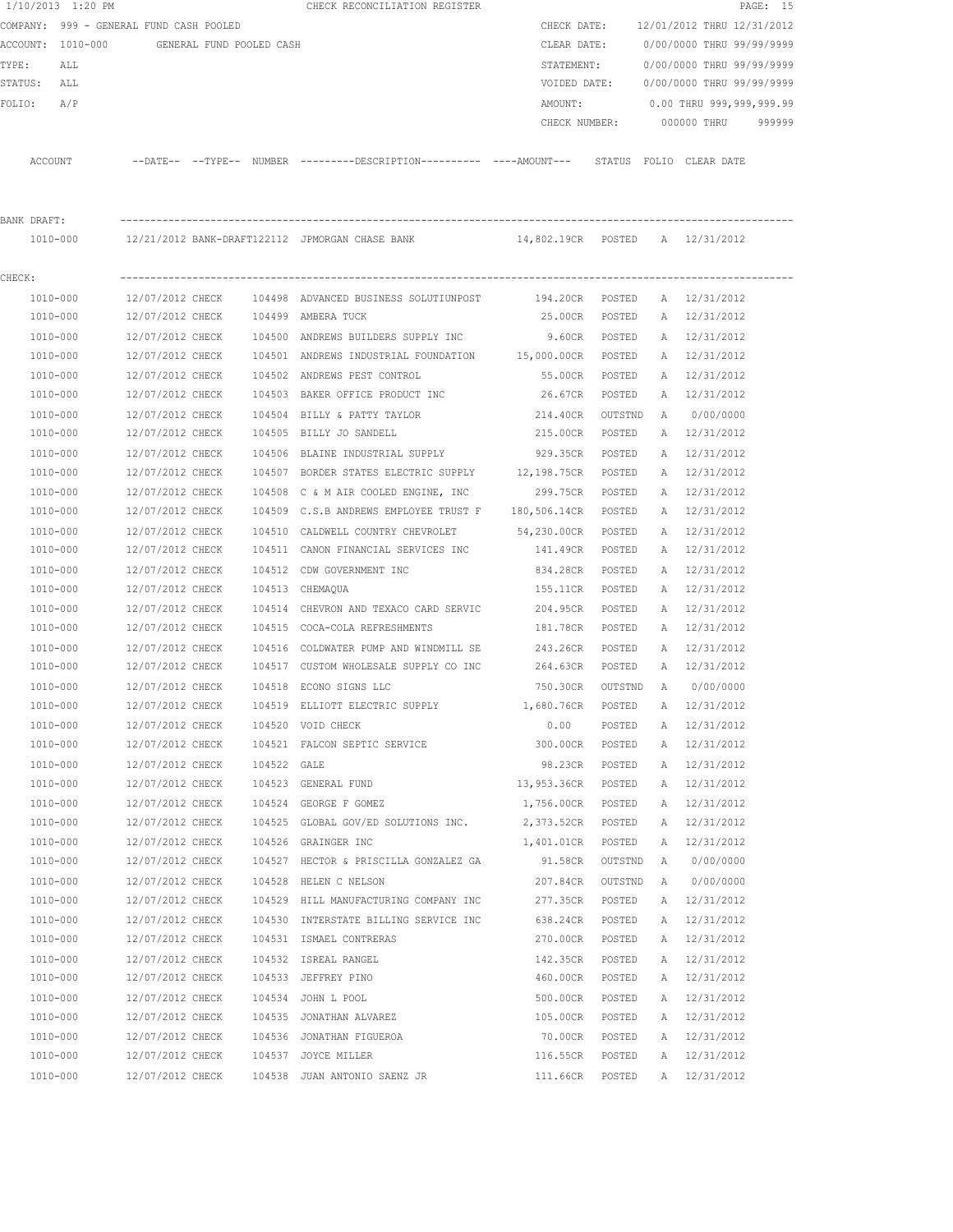|             | 1/10/2013 1:20 PM                       |                                      |                          |             | CHECK RECONCILIATION REGISTER                                                                                    |                   |         |              |                            | PAGE: 15 |
|-------------|-----------------------------------------|--------------------------------------|--------------------------|-------------|------------------------------------------------------------------------------------------------------------------|-------------------|---------|--------------|----------------------------|----------|
|             | COMPANY: 999 - GENERAL FUND CASH POOLED |                                      |                          |             |                                                                                                                  | CHECK DATE:       |         |              | 12/01/2012 THRU 12/31/2012 |          |
|             | ACCOUNT: 1010-000                       |                                      | GENERAL FUND POOLED CASH |             |                                                                                                                  | CLEAR DATE:       |         |              | 0/00/0000 THRU 99/99/9999  |          |
| TYPE:       | ALL                                     |                                      |                          |             |                                                                                                                  | STATEMENT:        |         |              | 0/00/0000 THRU 99/99/9999  |          |
|             | STATUS: ALL                             |                                      |                          |             |                                                                                                                  | VOIDED DATE:      |         |              | 0/00/0000 THRU 99/99/9999  |          |
| FOLIO:      | A/P                                     |                                      |                          |             |                                                                                                                  | AMOUNT:           |         |              | 0.00 THRU 999,999,999.99   |          |
|             |                                         |                                      |                          |             |                                                                                                                  | CHECK NUMBER:     |         |              | 000000 THRU                | 999999   |
|             | ACCOUNT                                 |                                      |                          |             | --DATE-- --TYPE-- NUMBER ---------DESCRIPTION---------- ----AMOUNT--- STATUS FOLIO CLEAR DATE                    |                   |         |              |                            |          |
| BANK DRAFT: |                                         |                                      |                          |             |                                                                                                                  |                   |         |              |                            |          |
|             | 1010-000                                |                                      |                          |             | 12/21/2012 BANK-DRAFT122112 JPMORGAN CHASE BANK                        14,802.19CR    POSTED     A    12/31/2012 |                   |         |              |                            |          |
|             |                                         |                                      |                          |             |                                                                                                                  |                   |         |              |                            |          |
| CHECK:      |                                         |                                      |                          |             |                                                                                                                  |                   |         |              |                            |          |
|             | 1010-000                                | 12/07/2012 CHECK                     |                          |             | 104498 ADVANCED BUSINESS SOLUTIUNPOST                                                                            | 194.20CR POSTED   |         |              | A 12/31/2012               |          |
|             | 1010-000                                | 12/07/2012 CHECK                     |                          |             | 104499 AMBERA TUCK                                                                                               | 25.00CR           | POSTED  |              | A 12/31/2012               |          |
|             | 1010-000                                | 12/07/2012 CHECK<br>12/07/2012 CHECK |                          |             | 104500 ANDREWS BUILDERS SUPPLY INC                                                                               | 9.60CR            | POSTED  |              | A 12/31/2012               |          |
|             | 1010-000                                |                                      |                          |             | 104501 ANDREWS INDUSTRIAL FOUNDATION 15,000.00CR POSTED                                                          |                   |         |              | A 12/31/2012               |          |
|             | 1010-000                                | 12/07/2012 CHECK<br>12/07/2012 CHECK |                          |             | 104502 ANDREWS PEST CONTROL                                                                                      | 55.00CR           | POSTED  | A            | 12/31/2012                 |          |
|             | 1010-000                                |                                      |                          |             | 104503 BAKER OFFICE PRODUCT INC                                                                                  | 26.67CR           | POSTED  |              | A 12/31/2012               |          |
|             | 1010-000                                | 12/07/2012 CHECK                     |                          | 104504      | BILLY & PATTY TAYLOR                                                                                             | 214.40CR          | OUTSTND | A            | 0/00/0000                  |          |
|             | 1010-000                                | 12/07/2012 CHECK                     |                          |             | 104505 BILLY JO SANDELL                                                                                          | 215.00CR          | POSTED  |              | A 12/31/2012               |          |
|             | 1010-000                                | 12/07/2012 CHECK                     |                          | 104506      | BLAINE INDUSTRIAL SUPPLY                                                                                         | 929.35CR          | POSTED  | $\mathbb{A}$ | 12/31/2012                 |          |
|             | 1010-000                                | 12/07/2012 CHECK                     |                          |             | 104507 BORDER STATES ELECTRIC SUPPLY 12,198.75CR                                                                 |                   | POSTED  | A            | 12/31/2012                 |          |
|             | 1010-000                                | 12/07/2012 CHECK                     |                          |             | 104508 C & M AIR COOLED ENGINE, INC                                                                              | 299.75CR          | POSTED  | A            | 12/31/2012                 |          |
|             | 1010-000                                | 12/07/2012 CHECK                     |                          |             | 104509 C.S.B ANDREWS EMPLOYEE TRUST F                                                                            | 180,506.14CR      | POSTED  | A            | 12/31/2012                 |          |
|             | 1010-000                                | 12/07/2012 CHECK                     |                          | 104510      | CALDWELL COUNTRY CHEVROLET                                                                                       | 54,230.00CR       | POSTED  | Α            | 12/31/2012                 |          |
|             | 1010-000                                | 12/07/2012 CHECK                     |                          |             | 104511 CANON FINANCIAL SERVICES INC                                                                              | 141.49CR          | POSTED  | A            | 12/31/2012                 |          |
|             | 1010-000                                | 12/07/2012 CHECK                     |                          | 104512      | CDW GOVERNMENT INC                                                                                               | 834.28CR          | POSTED  | Α            | 12/31/2012                 |          |
|             | 1010-000                                | 12/07/2012 CHECK                     |                          | 104513      | CHEMAQUA                                                                                                         | 155.11CR          | POSTED  | A            | 12/31/2012                 |          |
|             | 1010-000                                | 12/07/2012 CHECK                     |                          | 104514      | CHEVRON AND TEXACO CARD SERVIC                                                                                   | 204.95CR          | POSTED  | A            | 12/31/2012                 |          |
|             | 1010-000                                | 12/07/2012 CHECK                     |                          |             | 104515 COCA-COLA REFRESHMENTS                                                                                    | 181.78CR          | POSTED  | A            | 12/31/2012                 |          |
|             | 1010-000                                | 12/07/2012 CHECK                     |                          | 104516      | COLDWATER PUMP AND WINDMILL SE                                                                                   | 243.26CR          | POSTED  | A            | 12/31/2012                 |          |
|             | 1010-000                                | 12/07/2012 CHECK                     |                          |             | 104517 CUSTOM WHOLESALE SUPPLY CO INC                                                                            | 264.63CR          | POSTED  |              | A 12/31/2012               |          |
|             | 1010-000                                | 12/07/2012 CHECK                     |                          |             | 104518 ECONO SIGNS LLC                                                                                           | 750.30CR          | OUTSTND | A            | 0/00/0000                  |          |
|             | 1010-000                                | 12/07/2012 CHECK                     |                          |             | 104519 ELLIOTT ELECTRIC SUPPLY                                                                                   | 1,680.76CR        | POSTED  | Α            | 12/31/2012                 |          |
|             | 1010-000                                | 12/07/2012 CHECK                     |                          |             | 104520 VOID CHECK                                                                                                | 0.00              | POSTED  | Α            | 12/31/2012                 |          |
|             | 1010-000                                | 12/07/2012 CHECK                     |                          |             | 104521 FALCON SEPTIC SERVICE                                                                                     | 300.00CR          | POSTED  | Α            | 12/31/2012                 |          |
|             | 1010-000                                | 12/07/2012 CHECK                     |                          | 104522 GALE |                                                                                                                  | 98.23CR           | POSTED  | Α            | 12/31/2012                 |          |
|             | 1010-000                                | 12/07/2012 CHECK                     |                          |             | 104523 GENERAL FUND                                                                                              | 13,953.36CR       | POSTED  | Α            | 12/31/2012                 |          |
|             | 1010-000                                | 12/07/2012 CHECK                     |                          |             | 104524 GEORGE F GOMEZ                                                                                            | 1,756.00CR POSTED |         | Α            | 12/31/2012                 |          |
|             | 1010-000                                | 12/07/2012 CHECK                     |                          |             | 104525 GLOBAL GOV/ED SOLUTIONS INC.                                                                              | 2,373.52CR        | POSTED  | Α            | 12/31/2012                 |          |
|             | 1010-000                                | 12/07/2012 CHECK                     |                          |             | 104526 GRAINGER INC                                                                                              | 1,401.01CR        | POSTED  | Α            | 12/31/2012                 |          |
|             | 1010-000                                | 12/07/2012 CHECK                     |                          |             | 104527 HECTOR & PRISCILLA GONZALEZ GA                                                                            | 91.58CR           | OUTSTND | A            | 0/00/0000                  |          |
|             | 1010-000                                | 12/07/2012 CHECK                     |                          |             | 104528 HELEN C NELSON                                                                                            | 207.84CR          | OUTSTND | A            | 0/00/0000                  |          |
|             | 1010-000                                | 12/07/2012 CHECK                     |                          |             | 104529 HILL MANUFACTURING COMPANY INC                                                                            | 277.35CR          | POSTED  |              | A 12/31/2012               |          |
|             | 1010-000                                | 12/07/2012 CHECK                     |                          |             | 104530 INTERSTATE BILLING SERVICE INC                                                                            | 638.24CR          | POSTED  | Α            | 12/31/2012                 |          |
|             | 1010-000                                | 12/07/2012 CHECK                     |                          |             | 104531 ISMAEL CONTRERAS                                                                                          | 270.00CR          | POSTED  | Α            | 12/31/2012                 |          |
|             | 1010-000                                | 12/07/2012 CHECK                     |                          |             | 104532 ISREAL RANGEL                                                                                             | 142.35CR          | POSTED  | Α            | 12/31/2012                 |          |
|             | 1010-000                                | 12/07/2012 CHECK                     |                          |             | 104533 JEFFREY PINO                                                                                              | 460.00CR          | POSTED  | Α            | 12/31/2012                 |          |
|             | 1010-000                                | 12/07/2012 CHECK                     |                          |             | 104534 JOHN L POOL                                                                                               | 500.00CR          | POSTED  | Α            | 12/31/2012                 |          |
|             | 1010-000                                | 12/07/2012 CHECK                     |                          |             | 104535 JONATHAN ALVAREZ                                                                                          | 105.00CR          | POSTED  | Α            | 12/31/2012                 |          |
|             | 1010-000                                | 12/07/2012 CHECK                     |                          |             | 104536 JONATHAN FIGUEROA                                                                                         | 70.00CR           | POSTED  | A            | 12/31/2012                 |          |
|             | 1010-000                                | 12/07/2012 CHECK                     |                          |             | 104537 JOYCE MILLER                                                                                              | 116.55CR          | POSTED  |              | A 12/31/2012               |          |
|             | 1010-000                                | 12/07/2012 CHECK                     |                          |             | 104538 JUAN ANTONIO SAENZ JR                                                                                     | 111.66CR          | POSTED  |              | A 12/31/2012               |          |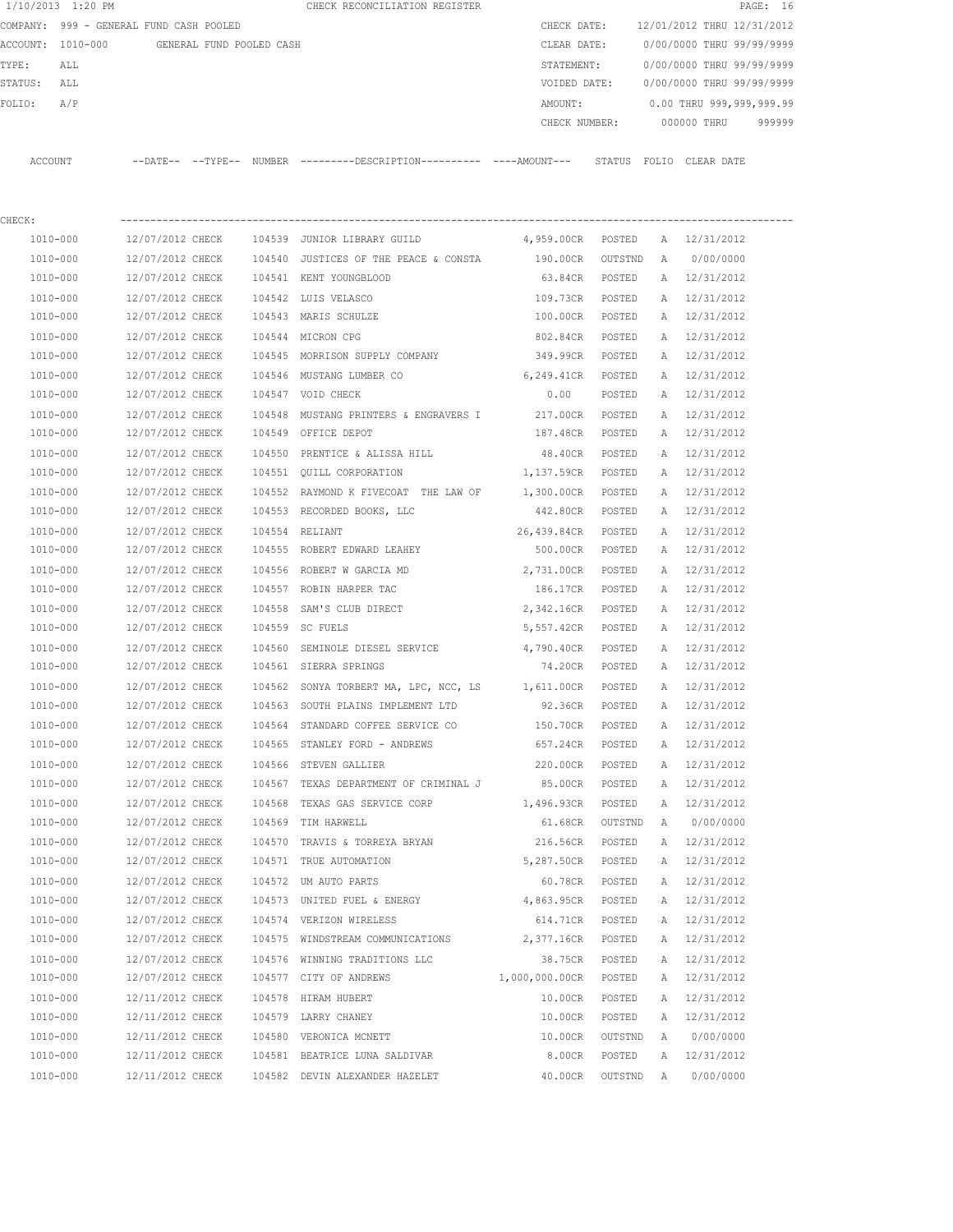|          | 1/10/2013 1:20 PM              |                            |                          | CHECK RECONCILIATION REGISTER                |               |                 |                            | PAGE: 16 |        |
|----------|--------------------------------|----------------------------|--------------------------|----------------------------------------------|---------------|-----------------|----------------------------|----------|--------|
| COMPANY: | 999 - GENERAL FUND CASH POOLED |                            |                          |                                              | CHECK DATE:   |                 | 12/01/2012 THRU 12/31/2012 |          |        |
|          | ACCOUNT: 1010-000              |                            | GENERAL FUND POOLED CASH |                                              | CLEAR DATE:   |                 | 0/00/0000 THRU 99/99/9999  |          |        |
| TYPE:    | ALL                            |                            |                          |                                              | STATEMENT:    |                 | 0/00/0000 THRU 99/99/9999  |          |        |
| STATUS:  | ALL                            |                            |                          |                                              | VOIDED DATE:  |                 | 0/00/0000 THRU 99/99/9999  |          |        |
| FOLIO:   | A/P                            |                            |                          |                                              | AMOUNT:       |                 | 0.00 THRU 999,999,999.99   |          |        |
|          |                                |                            |                          |                                              | CHECK NUMBER: |                 | 000000 THRU                |          | 999999 |
|          |                                |                            |                          |                                              |               |                 |                            |          |        |
| ACCOUNT  |                                | $--$ DATE $- --$ TYPE $--$ | NUMBER                   | ---------DESCRIPTION---------- ----AMOUNT--- |               | STATUS<br>FOLTO | CLEAR DATE                 |          |        |

| CHECK:   |                                           |                |                                                         |                    |         |   |              |
|----------|-------------------------------------------|----------------|---------------------------------------------------------|--------------------|---------|---|--------------|
| 1010-000 | 12/07/2012 CHECK                          |                | 104539 JUNIOR LIBRARY GUILD                             | 4,959.00CR POSTED  |         |   | A 12/31/2012 |
| 1010-000 | 12/07/2012 CHECK                          | 104540         | JUSTICES OF THE PEACE & CONSTA 190.00CR                 |                    | OUTSTND | A | 0/00/0000    |
| 1010-000 | 12/07/2012 CHECK                          |                | 104541 KENT YOUNGBLOOD                                  | 63.84CR            | POSTED  |   | A 12/31/2012 |
| 1010-000 | 12/07/2012 CHECK                          |                | 104542 LUIS VELASCO                                     | 109.73CR           | POSTED  |   | A 12/31/2012 |
| 1010-000 | 12/07/2012 CHECK                          |                | 104543 MARIS SCHULZE                                    | 100.00CR           | POSTED  | A | 12/31/2012   |
| 1010-000 | 12/07/2012 CHECK                          |                | 104544 MICRON CPG                                       | 802.84CR           | POSTED  |   | A 12/31/2012 |
| 1010-000 | 12/07/2012 CHECK                          |                | 104545 MORRISON SUPPLY COMPANY                          | 349.99CR           | POSTED  |   | A 12/31/2012 |
| 1010-000 | 12/07/2012 CHECK 104546 MUSTANG LUMBER CO |                |                                                         | 6,249.41CR         | POSTED  |   | A 12/31/2012 |
| 1010-000 | 12/07/2012 CHECK                          |                | 104547 VOID CHECK                                       | 0.00               | POSTED  |   | A 12/31/2012 |
| 1010-000 | 12/07/2012 CHECK                          |                | 104548 MUSTANG PRINTERS & ENGRAVERS I                   | 217.00CR POSTED    |         |   | A 12/31/2012 |
| 1010-000 | 12/07/2012 CHECK                          |                | 104549 OFFICE DEPOT                                     | 187.48CR POSTED    |         |   | A 12/31/2012 |
| 1010-000 | 12/07/2012 CHECK                          |                | 104550 PRENTICE & ALISSA HILL                           | 48.40CR POSTED     |         |   | A 12/31/2012 |
| 1010-000 | 12/07/2012 CHECK                          |                | 104551 QUILL CORPORATION                                | 1,137.59CR POSTED  |         |   | A 12/31/2012 |
| 1010-000 | 12/07/2012 CHECK                          |                | 104552 RAYMOND K FIVECOAT THE LAW OF 1,300.00CR POSTED  |                    |         | A | 12/31/2012   |
| 1010-000 |                                           |                | 12/07/2012 CHECK 104553 RECORDED BOOKS, LLC             | 442.80CR POSTED    |         |   | A 12/31/2012 |
| 1010-000 | 12/07/2012 CHECK                          | 104554 RELIANT |                                                         | 26,439.84CR POSTED |         | A | 12/31/2012   |
| 1010-000 |                                           |                | 12/07/2012 CHECK 104555 ROBERT EDWARD LEAHEY            | 500.00CR POSTED    |         | A | 12/31/2012   |
| 1010-000 | 12/07/2012 CHECK                          |                | 104556 ROBERT W GARCIA MD                               | 2,731.00CR POSTED  |         |   | A 12/31/2012 |
| 1010-000 | 12/07/2012 CHECK                          |                | 104557 ROBIN HARPER TAC                                 | 186.17CR POSTED    |         | A | 12/31/2012   |
| 1010-000 | 12/07/2012 CHECK                          |                | 104558 SAM'S CLUB DIRECT                                | 2,342.16CR POSTED  |         |   | A 12/31/2012 |
| 1010-000 | 12/07/2012 CHECK                          |                | 104559 SC FUELS                                         | 5,557.42CR POSTED  |         |   | A 12/31/2012 |
| 1010-000 | 12/07/2012 CHECK                          |                | 104560 SEMINOLE DIESEL SERVICE                          | 4,790.40CR POSTED  |         |   | A 12/31/2012 |
| 1010-000 | 12/07/2012 CHECK                          |                | 104561 SIERRA SPRINGS                                   | 74.20CR POSTED     |         |   | A 12/31/2012 |
| 1010-000 | 12/07/2012 CHECK                          |                | 104562 SONYA TORBERT MA, LPC, NCC, LS 1,611.00CR POSTED |                    |         |   | A 12/31/2012 |
| 1010-000 | 12/07/2012 CHECK                          |                | 104563 SOUTH PLAINS IMPLEMENT LTD                       | 92.36CR POSTED     |         | A | 12/31/2012   |
| 1010-000 | 12/07/2012 CHECK                          | 104564         | STANDARD COFFEE SERVICE CO                              | 150.70CR           | POSTED  | Α | 12/31/2012   |
| 1010-000 | 12/07/2012 CHECK                          | 104565         | STANLEY FORD - ANDREWS                                  | 657.24CR           | POSTED  | A | 12/31/2012   |
| 1010-000 | 12/07/2012 CHECK                          | 104566         | STEVEN GALLIER                                          | 220.00CR           | POSTED  | A | 12/31/2012   |
| 1010-000 | 12/07/2012 CHECK                          | 104567         | TEXAS DEPARTMENT OF CRIMINAL J 85.00CR                  |                    | POSTED  | A | 12/31/2012   |
| 1010-000 | 12/07/2012 CHECK                          | 104568         | TEXAS GAS SERVICE CORP 1,496.93CR                       |                    | POSTED  |   | A 12/31/2012 |
| 1010-000 | 12/07/2012 CHECK                          |                | 104569 TIM HARWELL                                      | 61.68CR            | OUTSTND | A | 0/00/0000    |
| 1010-000 | 12/07/2012 CHECK                          | 104570         | TRAVIS & TORREYA BRYAN                                  | 216.56CR           | POSTED  |   | A 12/31/2012 |
| 1010-000 | 12/07/2012 CHECK                          |                | 104571 TRUE AUTOMATION                                  | 5,287.50CR POSTED  |         |   | A 12/31/2012 |
| 1010-000 | 12/07/2012 CHECK                          |                | 104572 UM AUTO PARTS                                    | 60.78CR POSTED     |         |   | A 12/31/2012 |
| 1010-000 | 12/07/2012 CHECK                          |                | 104573 UNITED FUEL & ENERGY                             | 4,863.95CR         | POSTED  |   | A 12/31/2012 |
| 1010-000 | 12/07/2012 CHECK                          |                | 104574 VERIZON WIRELESS                                 | 614.71CR           | POSTED  | Α | 12/31/2012   |
| 1010-000 | 12/07/2012 CHECK                          |                | 104575 WINDSTREAM COMMUNICATIONS                        | 2,377.16CR         | POSTED  | А | 12/31/2012   |
| 1010-000 | 12/07/2012 CHECK                          |                | 104576 WINNING TRADITIONS LLC                           | 38.75CR            | POSTED  | Α | 12/31/2012   |
| 1010-000 | 12/07/2012 CHECK                          |                | 104577 CITY OF ANDREWS                                  | 1,000,000.00CR     | POSTED  | А | 12/31/2012   |
| 1010-000 | 12/11/2012 CHECK                          | 104578         | HIRAM HUBERT                                            | 10.00CR            | POSTED  | Α | 12/31/2012   |
| 1010-000 | 12/11/2012 CHECK                          |                | 104579 LARRY CHANEY                                     | 10.00CR            | POSTED  | Α | 12/31/2012   |
| 1010-000 | 12/11/2012 CHECK                          | 104580         | VERONICA MCNETT                                         | 10.00CR            | OUTSTND | Α | 0/00/0000    |
| 1010-000 | 12/11/2012 CHECK                          |                | 104581 BEATRICE LUNA SALDIVAR                           | 8.00CR             | POSTED  | А | 12/31/2012   |
| 1010-000 | 12/11/2012 CHECK                          |                | 104582 DEVIN ALEXANDER HAZELET                          | 40.00CR            | OUTSTND | Α | 0/00/0000    |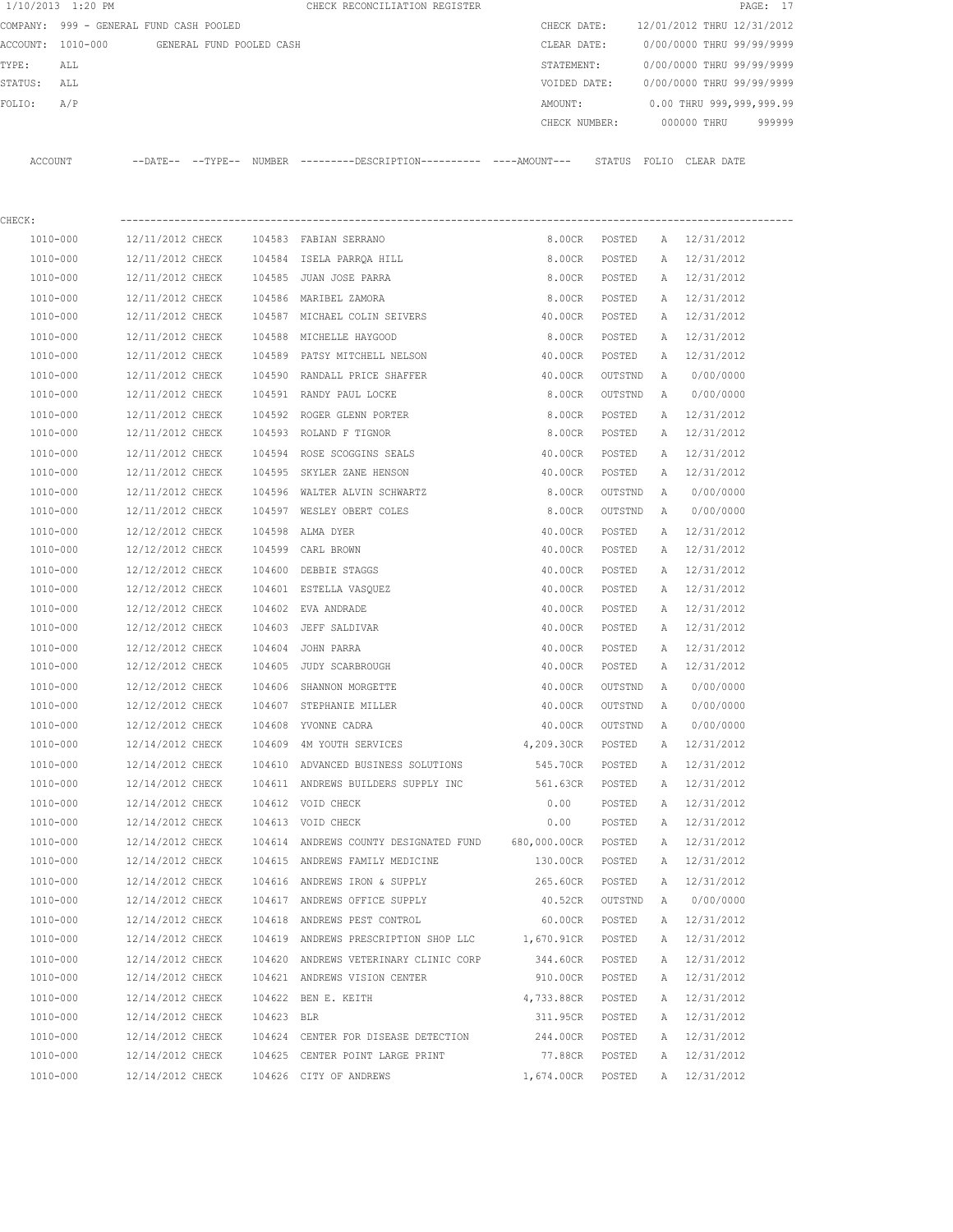|         | 1/10/2013 1:20 PM                       |                  |                          |            | CHECK RECONCILIATION REGISTER                                                                |                 |         |   |                            | PAGE: 17 |
|---------|-----------------------------------------|------------------|--------------------------|------------|----------------------------------------------------------------------------------------------|-----------------|---------|---|----------------------------|----------|
|         | COMPANY: 999 - GENERAL FUND CASH POOLED |                  |                          |            |                                                                                              | CHECK DATE:     |         |   | 12/01/2012 THRU 12/31/2012 |          |
|         | ACCOUNT: 1010-000                       |                  | GENERAL FUND POOLED CASH |            |                                                                                              | CLEAR DATE:     |         |   | 0/00/0000 THRU 99/99/9999  |          |
| TYPE:   | ALL                                     |                  |                          |            |                                                                                              | STATEMENT:      |         |   | 0/00/0000 THRU 99/99/9999  |          |
| STATUS: | ALL                                     |                  |                          |            |                                                                                              | VOIDED DATE:    |         |   | 0/00/0000 THRU 99/99/9999  |          |
| FOLIO:  | A/P                                     |                  |                          |            |                                                                                              | AMOUNT:         |         |   | 0.00 THRU 999,999,999.99   |          |
|         |                                         |                  |                          |            |                                                                                              | CHECK NUMBER:   |         |   | 000000 THRU                | 999999   |
|         | ACCOUNT                                 |                  |                          |            | --DATE-- --TYPE-- NUMBER --------DESCRIPTION---------- ----AMOUNT--- STATUS FOLIO CLEAR DATE |                 |         |   |                            |          |
| CHECK:  |                                         |                  |                          |            |                                                                                              |                 |         |   |                            |          |
|         | 1010-000                                | 12/11/2012 CHECK |                          |            | 104583 FABIAN SERRANO                                                                        | 8.00CR          | POSTED  |   | A 12/31/2012               |          |
|         | 1010-000                                | 12/11/2012 CHECK |                          |            | 104584 ISELA PARRQA HILL                                                                     | 8.00CR          | POSTED  |   | A 12/31/2012               |          |
|         | 1010-000                                | 12/11/2012 CHECK |                          |            | 104585 JUAN JOSE PARRA                                                                       | 8.00CR          | POSTED  |   | A 12/31/2012               |          |
|         | 1010-000                                | 12/11/2012 CHECK |                          |            | 104586 MARIBEL ZAMORA                                                                        | 8.00CR          | POSTED  |   | A 12/31/2012               |          |
|         | 1010-000                                | 12/11/2012 CHECK |                          |            | 104587 MICHAEL COLIN SEIVERS                                                                 | 40.00CR         | POSTED  |   | A 12/31/2012               |          |
|         | 1010-000                                | 12/11/2012 CHECK |                          |            | 104588 MICHELLE HAYGOOD                                                                      | 8.00CR          | POSTED  |   | A 12/31/2012               |          |
|         | 1010-000                                | 12/11/2012 CHECK |                          |            | 104589 PATSY MITCHELL NELSON                                                                 | 40.00CR         | POSTED  |   | A 12/31/2012               |          |
|         | 1010-000                                | 12/11/2012 CHECK |                          |            | 104590 RANDALL PRICE SHAFFER                                                                 | 40.00CR         | OUTSTND | A | 0/00/0000                  |          |
|         | 1010-000                                | 12/11/2012 CHECK |                          |            | 104591 RANDY PAUL LOCKE                                                                      | 8.00CR          | OUTSTND | A | 0/00/0000                  |          |
|         | 1010-000                                | 12/11/2012 CHECK |                          |            | 104592 ROGER GLENN PORTER                                                                    | 8.00CR          | POSTED  |   | A 12/31/2012               |          |
|         | 1010-000                                | 12/11/2012 CHECK |                          |            | 104593 ROLAND F TIGNOR                                                                       | 8.00CR          | POSTED  | A | 12/31/2012                 |          |
|         | 1010-000                                | 12/11/2012 CHECK |                          |            | 104594 ROSE SCOGGINS SEALS                                                                   | 40.00CR         | POSTED  | Α | 12/31/2012                 |          |
|         | 1010-000                                | 12/11/2012 CHECK |                          |            | 104595 SKYLER ZANE HENSON                                                                    | 40.00CR         | POSTED  | A | 12/31/2012                 |          |
|         | 1010-000                                | 12/11/2012 CHECK |                          |            | 104596 WALTER ALVIN SCHWARTZ                                                                 | 8.00CR          | OUTSTND | A | 0/00/0000                  |          |
|         | 1010-000                                | 12/11/2012 CHECK |                          |            | 104597 WESLEY OBERT COLES                                                                    | 8.00CR          | OUTSTND | A | 0/00/0000                  |          |
|         | 1010-000                                | 12/12/2012 CHECK |                          | 104598     | ALMA DYER                                                                                    | 40.00CR         | POSTED  | A | 12/31/2012                 |          |
|         | 1010-000                                | 12/12/2012 CHECK |                          |            | 104599 CARL BROWN                                                                            | 40.00CR         | POSTED  | A | 12/31/2012                 |          |
|         | 1010-000                                | 12/12/2012 CHECK |                          |            | 104600 DEBBIE STAGGS                                                                         | 40.00CR         | POSTED  | A | 12/31/2012                 |          |
|         | 1010-000                                | 12/12/2012 CHECK |                          |            | 104601 ESTELLA VASQUEZ                                                                       | 40.00CR         | POSTED  |   | A 12/31/2012               |          |
|         | 1010-000                                | 12/12/2012 CHECK |                          |            | 104602 EVA ANDRADE                                                                           | 40.00CR         | POSTED  |   | A 12/31/2012               |          |
|         | 1010-000                                | 12/12/2012 CHECK |                          |            | 104603 JEFF SALDIVAR                                                                         | 40.00CR         | POSTED  |   | A 12/31/2012               |          |
|         | 1010-000                                | 12/12/2012 CHECK |                          |            | 104604 JOHN PARRA                                                                            | 40.00CR         | POSTED  |   | A 12/31/2012               |          |
|         | 1010-000                                | 12/12/2012 CHECK |                          |            | 104605 JUDY SCARBROUGH                                                                       | 40.00CR         | POSTED  |   | A 12/31/2012               |          |
|         | 1010-000                                | 12/12/2012 CHECK |                          |            | 104606 SHANNON MORGETTE                                                                      | 40.00CR         | OUTSTND | A | 0/00/0000                  |          |
|         | 1010-000                                | 12/12/2012 CHECK |                          |            | 104607 STEPHANIE MILLER                                                                      | 40.00CR         | OUTSTND | A | 0/00/0000                  |          |
|         | $1010 - 000$                            | 12/12/2012 CHECK |                          |            | 104608 YVONNE CADRA                                                                          | 40.00CR         | OUTSTND | Α | 0/00/0000                  |          |
|         | 1010-000                                | 12/14/2012 CHECK |                          |            | 104609 4M YOUTH SERVICES                                                                     | 4,209.30CR      | POSTED  | Α | 12/31/2012                 |          |
|         | 1010-000                                | 12/14/2012 CHECK |                          |            | 104610 ADVANCED BUSINESS SOLUTIONS                                                           | 545.70CR        | POSTED  | Α | 12/31/2012                 |          |
|         | 1010-000                                | 12/14/2012 CHECK |                          |            | 104611 ANDREWS BUILDERS SUPPLY INC                                                           | 561.63CR POSTED |         | Α | 12/31/2012                 |          |
|         | 1010-000                                | 12/14/2012 CHECK |                          |            | 104612 VOID CHECK                                                                            | 0.00            | POSTED  | Α | 12/31/2012                 |          |
|         | 1010-000                                | 12/14/2012 CHECK |                          |            | 104613 VOID CHECK                                                                            | 0.00            | POSTED  | Α | 12/31/2012                 |          |
|         | 1010-000                                | 12/14/2012 CHECK |                          |            | 104614 ANDREWS COUNTY DESIGNATED FUND 680,000.00CR                                           |                 | POSTED  | Α | 12/31/2012                 |          |
|         | 1010-000                                | 12/14/2012 CHECK |                          |            | 104615 ANDREWS FAMILY MEDICINE                                                               | 130.00CR        | POSTED  | Α | 12/31/2012                 |          |
|         | 1010-000                                | 12/14/2012 CHECK |                          |            | 104616 ANDREWS IRON & SUPPLY                                                                 | 265.60CR        | POSTED  | Α | 12/31/2012                 |          |
|         | 1010-000                                | 12/14/2012 CHECK |                          |            | 104617 ANDREWS OFFICE SUPPLY                                                                 | 40.52CR         | OUTSTND | Α | 0/00/0000                  |          |
|         | 1010-000                                | 12/14/2012 CHECK |                          |            | 104618 ANDREWS PEST CONTROL                                                                  | 60.00CR         | POSTED  | A | 12/31/2012                 |          |
|         | 1010-000                                | 12/14/2012 CHECK |                          |            | 104619 ANDREWS PRESCRIPTION SHOP LLC 1,670.91CR                                              |                 | POSTED  | Α | 12/31/2012                 |          |
|         | 1010-000                                | 12/14/2012 CHECK |                          |            | 104620 ANDREWS VETERINARY CLINIC CORP                                                        | 344.60CR        | POSTED  | Α | 12/31/2012                 |          |
|         | 1010-000                                | 12/14/2012 CHECK |                          |            | 104621 ANDREWS VISION CENTER                                                                 | 910.00CR        | POSTED  | Α | 12/31/2012                 |          |
|         | 1010-000                                | 12/14/2012 CHECK |                          |            | 104622 BEN E. KEITH                                                                          | 4,733.88CR      | POSTED  | A | 12/31/2012                 |          |
|         | 1010-000                                | 12/14/2012 CHECK |                          | 104623 BLR |                                                                                              | 311.95CR POSTED |         |   | A 12/31/2012               |          |
|         | 1010-000                                | 12/14/2012 CHECK |                          |            | 104624 CENTER FOR DISEASE DETECTION                                                          | 244.00CR        | POSTED  |   | A 12/31/2012               |          |
|         | 1010-000                                | 12/14/2012 CHECK |                          |            | 104625 CENTER POINT LARGE PRINT                                                              | 77.88CR         | POSTED  |   | A 12/31/2012               |          |
|         | 1010-000                                | 12/14/2012 CHECK |                          |            | 104626 CITY OF ANDREWS                                                                       | 1,674.00CR      | POSTED  |   | A 12/31/2012               |          |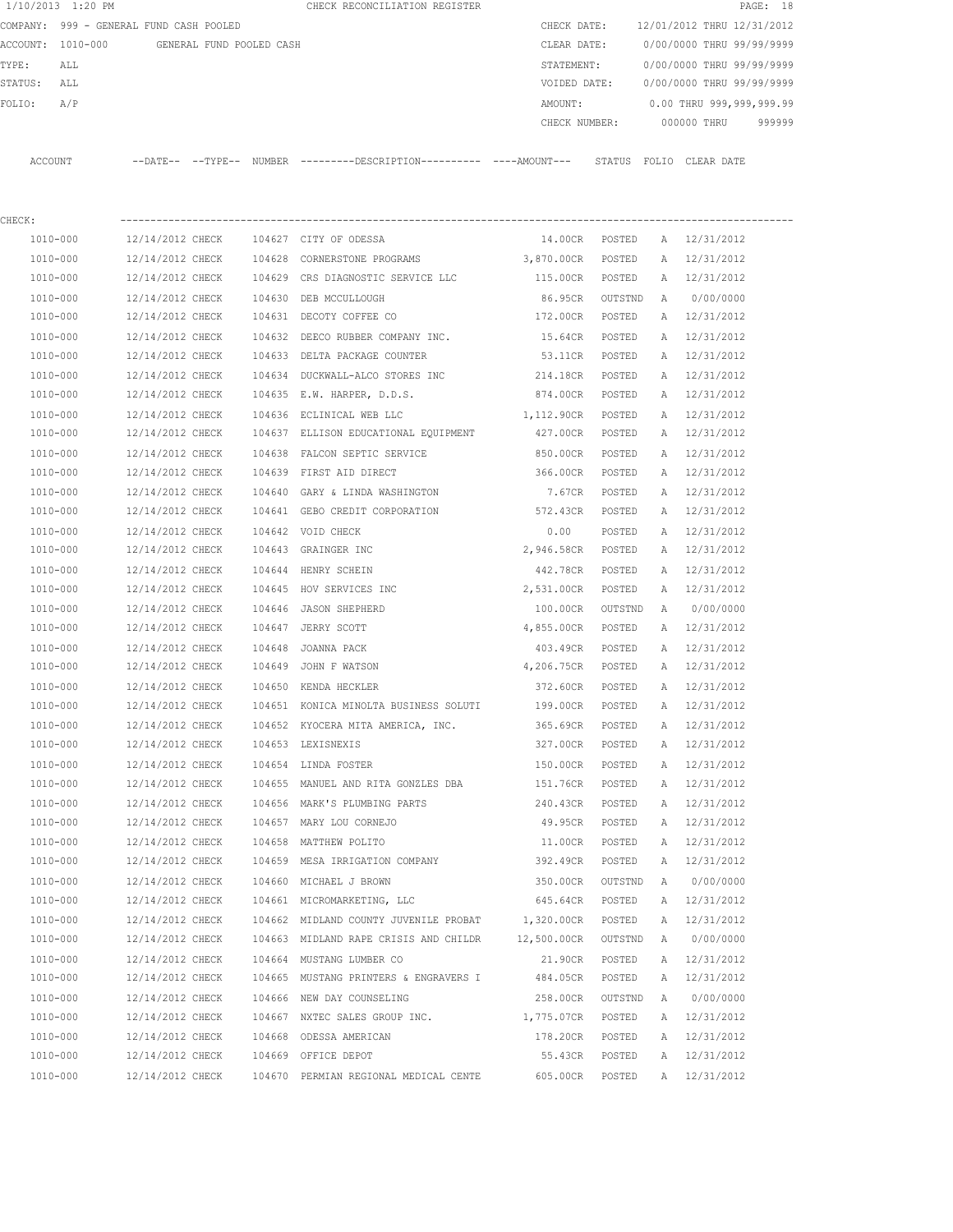|             | 1/10/2013 1:20 PM |                                         |        | CHECK RECONCILIATION REGISTER                                                               |                   |         |   |                              | PAGE: 18 |
|-------------|-------------------|-----------------------------------------|--------|---------------------------------------------------------------------------------------------|-------------------|---------|---|------------------------------|----------|
|             |                   | COMPANY: 999 - GENERAL FUND CASH POOLED |        |                                                                                             | CHECK DATE:       |         |   | 12/01/2012 THRU 12/31/2012   |          |
|             | ACCOUNT: 1010-000 | GENERAL FUND POOLED CASH                |        |                                                                                             | CLEAR DATE:       |         |   | 0/00/0000 THRU 99/99/9999    |          |
| TYPE:       | ALL               |                                         |        |                                                                                             | STATEMENT:        |         |   | 0/00/0000 THRU 99/99/9999    |          |
| STATUS: ALL |                   |                                         |        |                                                                                             | VOIDED DATE:      |         |   | 0/00/0000 THRU 99/99/9999    |          |
| FOLIO:      | A/P               |                                         |        |                                                                                             | AMOUNT:           |         |   | 0.00 THRU 999,999,999.99     |          |
|             |                   |                                         |        |                                                                                             | CHECK NUMBER:     |         |   | 000000 THRU                  | 999999   |
|             | ACCOUNT           |                                         |        | --DATE-- --TYPE-- NUMBER ---------DESCRIPTION--------- ---AMOUNT--- STATUS FOLIO CLEAR DATE |                   |         |   |                              |          |
|             |                   |                                         |        |                                                                                             |                   |         |   |                              |          |
| CHECK:      |                   |                                         |        |                                                                                             |                   |         |   |                              |          |
|             | 1010-000          | 12/14/2012 CHECK                        |        | 104627 CITY OF ODESSA                                                                       | 14.00CR POSTED    |         |   | A 12/31/2012                 |          |
|             | 1010-000          | 12/14/2012 CHECK                        |        | 104628 CORNERSTONE PROGRAMS                                                                 | 3,870.00CR        | POSTED  |   | A 12/31/2012                 |          |
|             | 1010-000          | 12/14/2012 CHECK                        |        | 104629 CRS DIAGNOSTIC SERVICE LLC                                                           | 115.00CR          | POSTED  |   | A 12/31/2012                 |          |
|             | 1010-000          | 12/14/2012 CHECK                        | 104630 | DEB MCCULLOUGH                                                                              | 86.95CR           | OUTSTND | A | 0/00/0000                    |          |
|             | 1010-000          | 12/14/2012 CHECK                        | 104631 | DECOTY COFFEE CO                                                                            | 172.00CR          | POSTED  |   | A 12/31/2012                 |          |
|             | 1010-000          | 12/14/2012 CHECK                        | 104632 | DEECO RUBBER COMPANY INC.                                                                   | 15.64CR           | POSTED  | A | 12/31/2012                   |          |
|             | 1010-000          | 12/14/2012 CHECK                        | 104633 | DELTA PACKAGE COUNTER                                                                       | 53.11CR           | POSTED  | A | 12/31/2012                   |          |
|             | 1010-000          | 12/14/2012 CHECK                        | 104634 | DUCKWALL-ALCO STORES INC                                                                    | 214.18CR          | POSTED  | A | 12/31/2012                   |          |
|             | 1010-000          | 12/14/2012 CHECK                        |        | 104635 E.W. HARPER, D.D.S.                                                                  | 874.00CR          | POSTED  | A | 12/31/2012                   |          |
|             | 1010-000          | 12/14/2012 CHECK                        |        | 104636 ECLINICAL WEB LLC                                                                    | 1,112.90CR        | POSTED  | A | 12/31/2012                   |          |
|             | 1010-000          | 12/14/2012 CHECK                        |        | 104637 ELLISON EDUCATIONAL EQUIPMENT                                                        | 427.00CR          | POSTED  | A | 12/31/2012                   |          |
|             | 1010-000          | 12/14/2012 CHECK                        |        | 104638 FALCON SEPTIC SERVICE                                                                | 850.00CR          | POSTED  | Α | 12/31/2012                   |          |
|             | 1010-000          | 12/14/2012 CHECK                        |        | 104639 FIRST AID DIRECT                                                                     | 366.00CR          | POSTED  |   | A 12/31/2012                 |          |
|             | 1010-000          | 12/14/2012 CHECK                        |        | 104640 GARY & LINDA WASHINGTON                                                              | 7.67CR            | POSTED  |   | A 12/31/2012                 |          |
|             | 1010-000          | 12/14/2012 CHECK                        |        | 104641 GEBO CREDIT CORPORATION                                                              | 572.43CR POSTED   |         |   | A 12/31/2012                 |          |
|             | 1010-000          | 12/14/2012 CHECK                        |        | 104642 VOID CHECK                                                                           | 0.00              | POSTED  | A | 12/31/2012                   |          |
|             | 1010-000          | 12/14/2012 CHECK                        |        | 104643 GRAINGER INC                                                                         | 2,946.58CR POSTED |         | A | 12/31/2012                   |          |
|             | 1010-000          | 12/14/2012 CHECK                        |        | 104644 HENRY SCHEIN                                                                         | 442.78CR          | POSTED  | Α | 12/31/2012                   |          |
|             | 1010-000          | 12/14/2012 CHECK                        |        | 104645 HOV SERVICES INC                                                                     | 2,531.00CR        | POSTED  |   | A 12/31/2012                 |          |
|             | 1010-000          | 12/14/2012 CHECK                        | 104646 | JASON SHEPHERD                                                                              | 100.00CR          | OUTSTND | A | 0/00/0000                    |          |
|             | 1010-000          | 12/14/2012 CHECK                        |        | 104647 JERRY SCOTT                                                                          | 4,855.00CR POSTED |         |   | A 12/31/2012                 |          |
|             | 1010-000          | 12/14/2012 CHECK                        | 104648 | JOANNA PACK                                                                                 | 403.49CR          | POSTED  | A | 12/31/2012                   |          |
|             | 1010-000          | 12/14/2012 CHECK                        |        | 104649 JOHN F WATSON                                                                        | 4,206.75CR POSTED |         |   | A 12/31/2012                 |          |
|             | 1010-000          |                                         |        | 12/14/2012 CHECK 104650 KENDA HECKLER                                                       |                   |         |   | 372.60CR POSTED A 12/31/2012 |          |
|             | 1010-000          | 12/14/2012 CHECK                        |        | 104651 KONICA MINOLTA BUSINESS SOLUTI                                                       | 199.00CR POSTED   |         |   | A 12/31/2012                 |          |
|             | 1010-000          |                                         |        | 12/14/2012 CHECK 104652 KYOCERA MITA AMERICA, INC.                                          | 365.69CR POSTED   |         |   | A 12/31/2012                 |          |
|             | 1010-000          | 12/14/2012 CHECK                        |        | 104653 LEXISNEXIS                                                                           | 327.00CR POSTED   |         |   | A 12/31/2012                 |          |
|             | 1010-000          | 12/14/2012 CHECK                        |        | 104654 LINDA FOSTER                                                                         | 150.00CR POSTED   |         |   | A 12/31/2012                 |          |
|             | 1010-000          | 12/14/2012 CHECK                        |        | 104655 MANUEL AND RITA GONZLES DBA 6151.76CR POSTED                                         |                   |         |   | A 12/31/2012                 |          |
|             | 1010-000          |                                         |        | 12/14/2012 CHECK 104656 MARK'S PLUMBING PARTS                                               | 240.43CR POSTED   |         |   | A 12/31/2012                 |          |
|             | 1010-000          |                                         |        | 12/14/2012 CHECK 104657 MARY LOU CORNEJO                                                    | 49.95CR POSTED    |         |   | A 12/31/2012                 |          |
|             | 1010-000          | 12/14/2012 CHECK                        |        | 104658 MATTHEW POLITO                                                                       | 11.00CR POSTED    |         |   | A 12/31/2012                 |          |
|             | 1010-000          | 12/14/2012 CHECK                        |        | 104659 MESA IRRIGATION COMPANY 392.49CR POSTED                                              |                   |         |   | A 12/31/2012                 |          |
|             | 1010-000          | 12/14/2012 CHECK                        |        | 104660 MICHAEL J BROWN                                                                      | 350.00CR OUTSTND  |         |   | A 0/00/0000                  |          |
|             | 1010-000          | 12/14/2012 CHECK                        |        | 104661 MICROMARKETING, LLC                                                                  | 645.64CR POSTED   |         |   | A 12/31/2012                 |          |
|             |                   |                                         |        | 12/14/2012 CHECK 104662 MIDLAND COUNTY JUVENILE PROBAT 1,320.00CR POSTED                    |                   |         |   |                              |          |
|             | 1010-000          |                                         |        |                                                                                             |                   |         |   | A 12/31/2012                 |          |
|             | 1010-000          |                                         |        | 12/14/2012 CHECK 104663 MIDLAND RAPE CRISIS AND CHILDR 12,500.00CR OUTSTND                  |                   |         |   | A 0/00/0000                  |          |
|             | 1010-000          | 12/14/2012 CHECK                        |        | 104664 MUSTANG LUMBER CO                                                                    | 21.90CR POSTED    |         |   | A 12/31/2012                 |          |
|             | 1010-000          | 12/14/2012 CHECK                        |        | 104665 MUSTANG PRINTERS & ENGRAVERS I                                                       | 484.05CR          | POSTED  |   | A 12/31/2012                 |          |
|             | 1010-000          | 12/14/2012 CHECK                        |        | 104666 NEW DAY COUNSELING                                                                   | 258.00CR OUTSTND  |         | A | 0/00/0000                    |          |

 1010-000 12/14/2012 CHECK 104667 NXTEC SALES GROUP INC. 1,775.07CR POSTED A 12/31/2012 1010-000 12/14/2012 CHECK 104668 ODESSA AMERICAN 178.20CR POSTED A 12/31/2012 1010-000 12/14/2012 CHECK 104669 OFFICE DEPOT 55.43CR POSTED A 12/31/2012 1010-000 12/14/2012 CHECK 104670 PERMIAN REGIONAL MEDICAL CENTE 605.00CR POSTED A 12/31/2012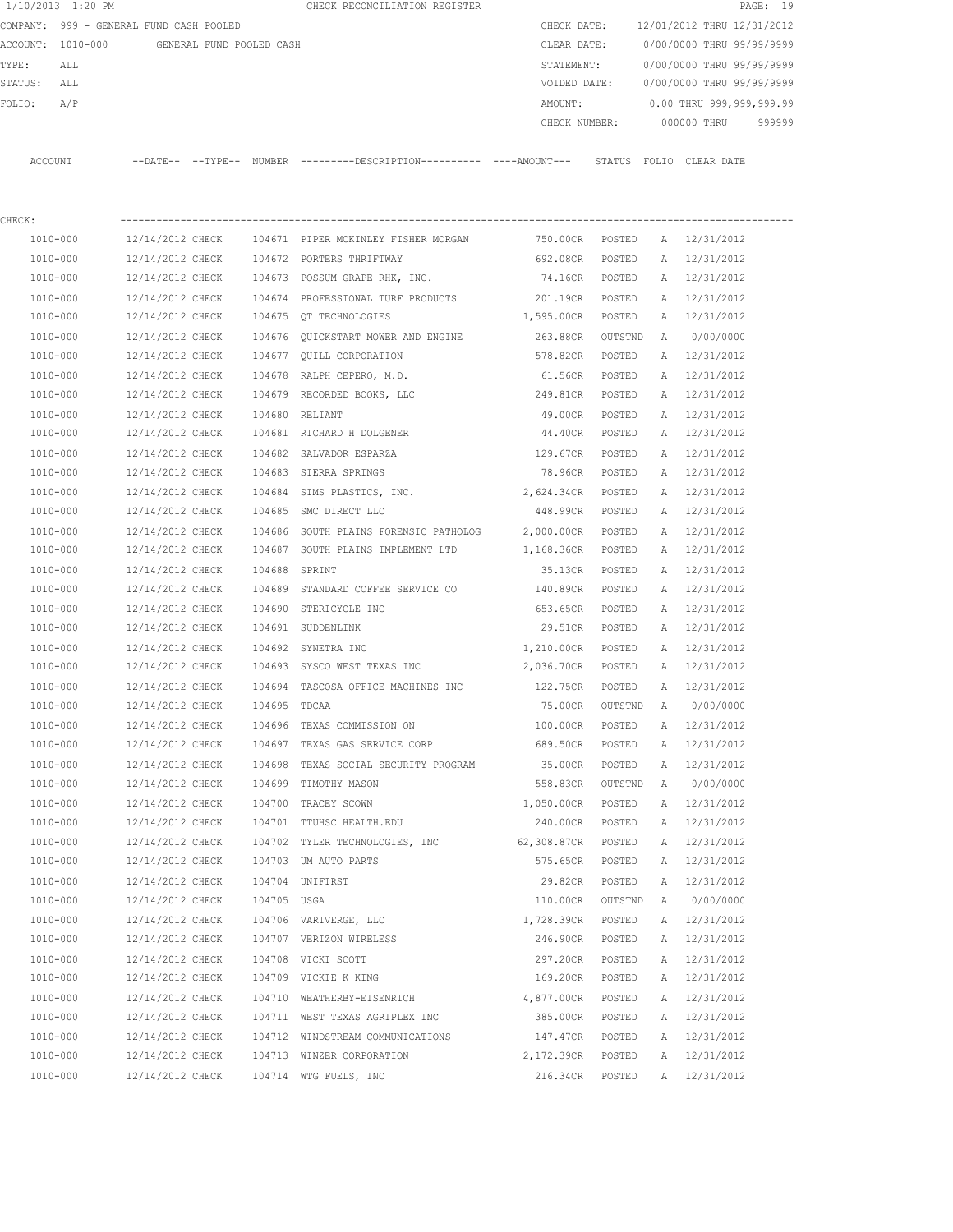| 1/10/2013 1:20 PM |                                         |                  |                          |              | CHECK RECONCILIATION REGISTER                                                                |                   |         |   |                            | PAGE: 19 |
|-------------------|-----------------------------------------|------------------|--------------------------|--------------|----------------------------------------------------------------------------------------------|-------------------|---------|---|----------------------------|----------|
|                   | COMPANY: 999 - GENERAL FUND CASH POOLED |                  |                          |              |                                                                                              | CHECK DATE:       |         |   | 12/01/2012 THRU 12/31/2012 |          |
| ACCOUNT: 1010-000 |                                         |                  | GENERAL FUND POOLED CASH |              |                                                                                              | CLEAR DATE:       |         |   | 0/00/0000 THRU 99/99/9999  |          |
| TYPE:             | ALL                                     |                  |                          |              |                                                                                              | STATEMENT:        |         |   | 0/00/0000 THRU 99/99/9999  |          |
| STATUS:           | ALL                                     |                  |                          |              |                                                                                              | VOIDED DATE:      |         |   | 0/00/0000 THRU 99/99/9999  |          |
| FOLIO:            | A/P                                     |                  |                          |              |                                                                                              | AMOUNT:           |         |   | 0.00 THRU 999,999,999.99   |          |
|                   |                                         |                  |                          |              |                                                                                              | CHECK NUMBER:     |         |   | 000000 THRU                | 999999   |
| ACCOUNT           |                                         |                  |                          |              | --DATE-- --TYPE-- NUMBER ---------DESCRIPTION---------- ----AMOUNT--- STATUS FOLIO CLEARDATE |                   |         |   |                            |          |
| CHECK:            |                                         |                  |                          |              |                                                                                              |                   |         |   |                            |          |
| 1010-000          |                                         | 12/14/2012 CHECK |                          |              | 104671 PIPER MCKINLEY FISHER MORGAN                                                          | 750.00CR POSTED   |         |   | A 12/31/2012               |          |
| 1010-000          |                                         | 12/14/2012 CHECK |                          |              | 104672 PORTERS THRIFTWAY                                                                     | 692.08CR          | POSTED  | A | 12/31/2012                 |          |
| 1010-000          |                                         | 12/14/2012 CHECK |                          |              | 104673 POSSUM GRAPE RHK, INC.                                                                | 74.16CR POSTED    |         |   | A 12/31/2012               |          |
| 1010-000          |                                         | 12/14/2012 CHECK |                          |              | 104674 PROFESSIONAL TURF PRODUCTS                                                            | 201.19CR POSTED   |         |   | A 12/31/2012               |          |
| 1010-000          |                                         | 12/14/2012 CHECK |                          |              | 104675 OT TECHNOLOGIES                                                                       | 1,595.00CR POSTED |         |   | A 12/31/2012               |          |
| 1010-000          |                                         | 12/14/2012 CHECK |                          |              | 104676 QUICKSTART MOWER AND ENGINE                                                           | 263.88CR OUTSTND  |         | A | 0/00/0000                  |          |
| 1010-000          |                                         | 12/14/2012 CHECK |                          |              | 104677 QUILL CORPORATION                                                                     | 578.82CR POSTED   |         |   | A 12/31/2012               |          |
| 1010-000          |                                         | 12/14/2012 CHECK |                          | 104678       | RALPH CEPERO, M.D.                                                                           | 61.56CR           | POSTED  |   | A 12/31/2012               |          |
| 1010-000          |                                         | 12/14/2012 CHECK |                          |              | 104679 RECORDED BOOKS, LLC                                                                   | 249.81CR          | POSTED  |   | A 12/31/2012               |          |
| 1010-000          |                                         | 12/14/2012 CHECK |                          |              | 104680 RELIANT                                                                               | 49.00CR           | POSTED  |   | A 12/31/2012               |          |
| 1010-000          |                                         | 12/14/2012 CHECK |                          |              | 104681 RICHARD H DOLGENER                                                                    | 44.40CR           | POSTED  |   | A 12/31/2012               |          |
| 1010-000          |                                         | 12/14/2012 CHECK |                          |              | 104682 SALVADOR ESPARZA                                                                      | 129.67CR          | POSTED  |   | A 12/31/2012               |          |
| 1010-000          |                                         | 12/14/2012 CHECK |                          |              | 104683 SIERRA SPRINGS                                                                        | 78.96CR POSTED    |         |   | A 12/31/2012               |          |
| 1010-000          |                                         | 12/14/2012 CHECK |                          |              | 104684 SIMS PLASTICS, INC.                                                                   | 2,624.34CR POSTED |         |   | A 12/31/2012               |          |
| 1010-000          |                                         | 12/14/2012 CHECK |                          |              | 104685 SMC DIRECT LLC                                                                        | 448.99CR POSTED   |         | A | 12/31/2012                 |          |
| 1010-000          |                                         | 12/14/2012 CHECK |                          |              | 104686 SOUTH PLAINS FORENSIC PATHOLOG                                                        | 2,000.00CR POSTED |         |   | A 12/31/2012               |          |
| 1010-000          |                                         | 12/14/2012 CHECK |                          |              | 104687 SOUTH PLAINS IMPLEMENT LTD                                                            | 1,168.36CR POSTED |         |   | A 12/31/2012               |          |
| 1010-000          |                                         | 12/14/2012 CHECK |                          | 104688       | SPRINT                                                                                       | 35.13CR           | POSTED  |   | A 12/31/2012               |          |
| 1010-000          |                                         | 12/14/2012 CHECK |                          |              | 104689 STANDARD COFFEE SERVICE CO                                                            | 140.89CR          | POSTED  |   | A 12/31/2012               |          |
| 1010-000          |                                         | 12/14/2012 CHECK |                          | 104690       | STERICYCLE INC                                                                               | 653.65CR          | POSTED  | A | 12/31/2012                 |          |
| 1010-000          |                                         | 12/14/2012 CHECK |                          |              | 104691 SUDDENLINK                                                                            | 29.51CR           | POSTED  |   | A 12/31/2012               |          |
| 1010-000          |                                         | 12/14/2012 CHECK |                          |              | 104692 SYNETRA INC                                                                           | 1,210.00CR        | POSTED  |   | A 12/31/2012               |          |
| 1010-000          |                                         |                  |                          |              | 12/14/2012 CHECK 104693 SYSCO WEST TEXAS INC                                                 | 2,036.70CR        | POSTED  |   | A 12/31/2012               |          |
| 1010-000          |                                         | 12/14/2012 CHECK |                          |              | 104694 TASCOSA OFFICE MACHINES INC                                                           | 122.75CR          | POSTED  |   | A 12/31/2012               |          |
| 1010-000          |                                         | 12/14/2012 CHECK |                          | 104695 TDCAA |                                                                                              | 75.00CR           | OUTSTND | A | 0/00/0000                  |          |
| 1010-000          |                                         | 12/14/2012 CHECK |                          |              | 104696 TEXAS COMMISSION ON                                                                   | 100.00CR          | POSTED  | Α | 12/31/2012                 |          |
| 1010-000          |                                         | 12/14/2012 CHECK |                          |              | 104697 TEXAS GAS SERVICE CORP                                                                | 689.50CR          | POSTED  | Α | 12/31/2012                 |          |
| $1010 - 000$      |                                         | 12/14/2012 CHECK |                          |              | 104698 TEXAS SOCIAL SECURITY PROGRAM                                                         | 35.00CR           | POSTED  | Α | 12/31/2012                 |          |
| 1010-000          |                                         | 12/14/2012 CHECK |                          |              | 104699 TIMOTHY MASON                                                                         | 558.83CR          | OUTSTND | Α | 0/00/0000                  |          |
| $1010 - 000$      |                                         | 12/14/2012 CHECK |                          |              | 104700 TRACEY SCOWN                                                                          | 1,050.00CR        | POSTED  | Α | 12/31/2012                 |          |
| 1010-000          |                                         | 12/14/2012 CHECK |                          |              | 104701 TTUHSC HEALTH.EDU                                                                     | 240.00CR          | POSTED  | Α | 12/31/2012                 |          |
| 1010-000          |                                         | 12/14/2012 CHECK |                          |              | 104702 TYLER TECHNOLOGIES, INC                                                               | 62,308.87CR       | POSTED  | Α | 12/31/2012                 |          |
| 1010-000          |                                         | 12/14/2012 CHECK |                          |              | 104703 UM AUTO PARTS                                                                         | 575.65CR          | POSTED  | Α | 12/31/2012                 |          |
| $1010 - 000$      |                                         | 12/14/2012 CHECK |                          |              | 104704 UNIFIRST                                                                              | 29.82CR           | POSTED  | Α | 12/31/2012                 |          |
| 1010-000          |                                         | 12/14/2012 CHECK |                          | 104705 USGA  |                                                                                              | 110.00CR          | OUTSTND | Α | 0/00/0000                  |          |
| 1010-000          |                                         | 12/14/2012 CHECK |                          |              | 104706 VARIVERGE, LLC                                                                        | 1,728.39CR        | POSTED  | A | 12/31/2012                 |          |
| 1010-000          |                                         | 12/14/2012 CHECK |                          |              | 104707 VERIZON WIRELESS                                                                      | 246.90CR          | POSTED  | Α | 12/31/2012                 |          |
| 1010-000          |                                         | 12/14/2012 CHECK |                          |              | 104708 VICKI SCOTT                                                                           | 297.20CR          | POSTED  | Α | 12/31/2012                 |          |
| 1010-000          |                                         | 12/14/2012 CHECK |                          |              | 104709 VICKIE K KING                                                                         | 169.20CR          | POSTED  | Α | 12/31/2012                 |          |
| 1010-000          |                                         | 12/14/2012 CHECK |                          |              | 104710 WEATHERBY-EISENRICH                                                                   | 4,877.00CR        | POSTED  | Α | 12/31/2012                 |          |
| $1010 - 000$      |                                         | 12/14/2012 CHECK |                          |              | 104711 WEST TEXAS AGRIPLEX INC                                                               | 385.00CR          | POSTED  |   | A 12/31/2012               |          |
| 1010-000          |                                         | 12/14/2012 CHECK |                          |              | 104712 WINDSTREAM COMMUNICATIONS                                                             | 147.47CR          | POSTED  | Α | 12/31/2012                 |          |
| 1010-000          |                                         | 12/14/2012 CHECK |                          |              | 104713 WINZER CORPORATION                                                                    | 2,172.39CR        | POSTED  | Α | 12/31/2012                 |          |
| 1010-000          |                                         | 12/14/2012 CHECK |                          |              | 104714 WTG FUELS, INC                                                                        | 216.34CR          | POSTED  | Α | 12/31/2012                 |          |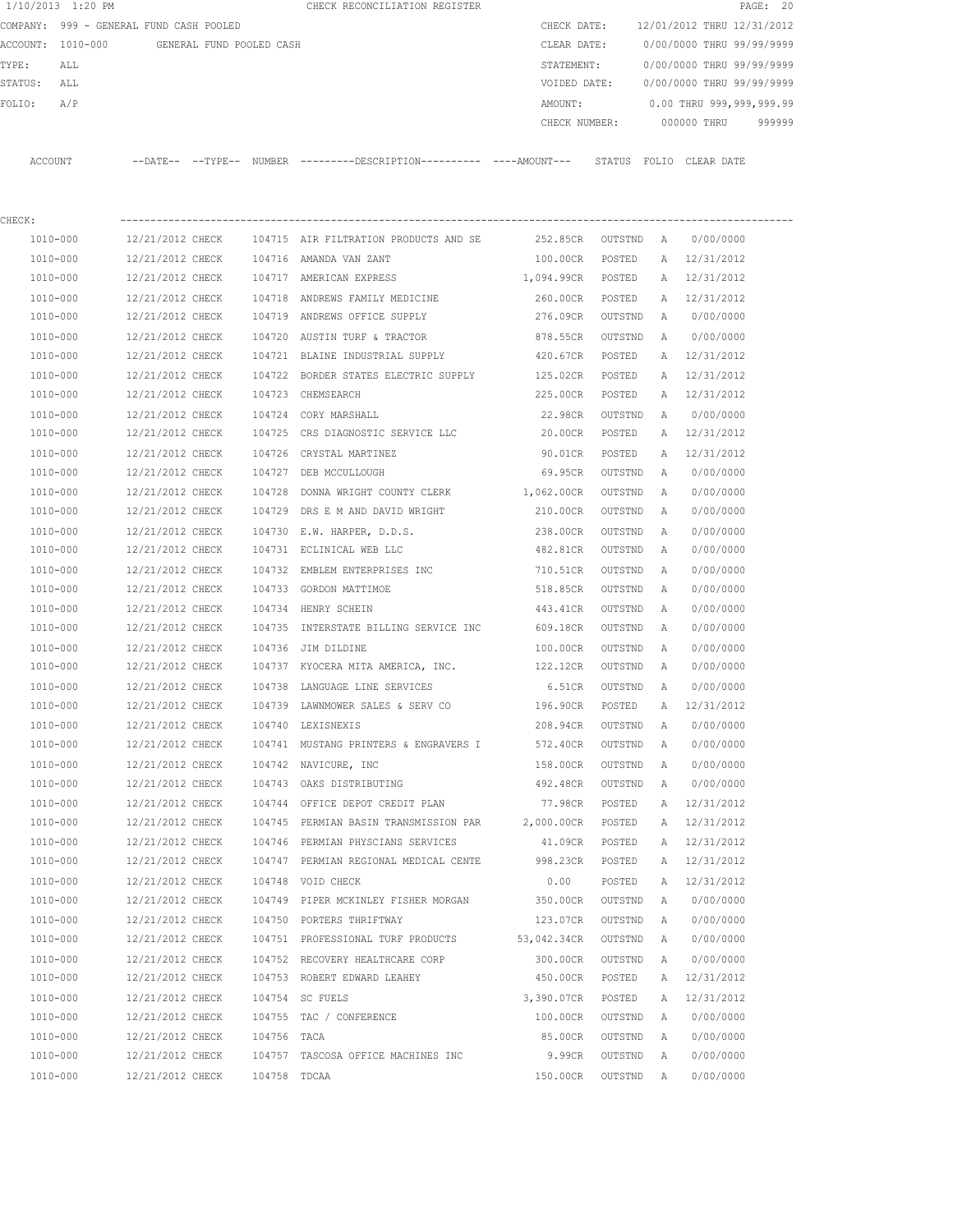|         | 1/10/2013 1:20 PM                       |                  |                          |              | CHECK RECONCILIATION REGISTER                                                              |                   |           |              |                            | PAGE: 20 |
|---------|-----------------------------------------|------------------|--------------------------|--------------|--------------------------------------------------------------------------------------------|-------------------|-----------|--------------|----------------------------|----------|
|         | COMPANY: 999 - GENERAL FUND CASH POOLED |                  |                          |              |                                                                                            | CHECK DATE:       |           |              | 12/01/2012 THRU 12/31/2012 |          |
|         | ACCOUNT: 1010-000                       |                  | GENERAL FUND POOLED CASH |              |                                                                                            | CLEAR DATE:       |           |              | 0/00/0000 THRU 99/99/9999  |          |
| TYPE:   | ALL                                     |                  |                          |              |                                                                                            | STATEMENT:        |           |              | 0/00/0000 THRU 99/99/9999  |          |
| STATUS: | ALL                                     |                  |                          |              |                                                                                            | VOIDED DATE:      |           |              | 0/00/0000 THRU 99/99/9999  |          |
| FOLIO:  | A/P                                     |                  |                          |              |                                                                                            | AMOUNT:           |           |              | 0.00 THRU 999,999,999.99   |          |
|         |                                         |                  |                          |              |                                                                                            | CHECK NUMBER:     |           |              | 000000 THRU                | 999999   |
|         | ACCOUNT                                 |                  |                          |              | --DATE-- --TYPE-- NUMBER --------DESCRIPTION--------- ----AMOUNT--- STATUS FOLIO CLEARDATE |                   |           |              |                            |          |
| CHECK:  |                                         |                  |                          |              |                                                                                            |                   |           |              |                            |          |
|         | 1010-000                                | 12/21/2012 CHECK |                          |              | 104715 AIR FILTRATION PRODUCTS AND SE 252.85CR                                             |                   | OUTSTND A |              | 0/00/0000                  |          |
|         | 1010-000                                | 12/21/2012 CHECK |                          |              | 104716 AMANDA VAN ZANT                                                                     | 100.00CR          | POSTED    | A            | 12/31/2012                 |          |
|         | 1010-000                                | 12/21/2012 CHECK |                          |              | 104717 AMERICAN EXPRESS                                                                    | 1,094.99CR POSTED |           | A            | 12/31/2012                 |          |
|         | 1010-000                                | 12/21/2012 CHECK |                          |              | 104718 ANDREWS FAMILY MEDICINE                                                             | 260.00CR          | POSTED    |              | A 12/31/2012               |          |
|         | 1010-000                                | 12/21/2012 CHECK |                          |              | 104719 ANDREWS OFFICE SUPPLY                                                               | 276.09CR          | OUTSTND   | A            | 0/00/0000                  |          |
|         | 1010-000                                | 12/21/2012 CHECK |                          |              | 104720 AUSTIN TURF & TRACTOR                                                               | 878.55CR          | OUTSTND   | A            | 0/00/0000                  |          |
|         | 1010-000                                | 12/21/2012 CHECK |                          |              | 104721 BLAINE INDUSTRIAL SUPPLY                                                            | 420.67CR          | POSTED    |              | A 12/31/2012               |          |
|         | 1010-000                                | 12/21/2012 CHECK |                          |              | 104722 BORDER STATES ELECTRIC SUPPLY                                                       | 125.02CR          | POSTED    | $\mathbb{A}$ | 12/31/2012                 |          |
|         | 1010-000                                | 12/21/2012 CHECK |                          |              | 104723 CHEMSEARCH                                                                          | 225.00CR          | POSTED    | Α            | 12/31/2012                 |          |
|         | 1010-000                                | 12/21/2012 CHECK |                          |              | 104724 CORY MARSHALL                                                                       | 22.98CR           | OUTSTND   | A            | 0/00/0000                  |          |
|         | 1010-000                                | 12/21/2012 CHECK |                          |              | 104725 CRS DIAGNOSTIC SERVICE LLC 20.00CR                                                  |                   | POSTED    | A            | 12/31/2012                 |          |
|         | 1010-000                                | 12/21/2012 CHECK |                          |              | 104726 CRYSTAL MARTINEZ                                                                    | 90.01CR           | POSTED    | A            | 12/31/2012                 |          |
|         | 1010-000                                | 12/21/2012 CHECK |                          |              | 104727 DEB MCCULLOUGH                                                                      | 69.95CR           | OUTSTND   | A            | 0/00/0000                  |          |
|         | 1010-000                                | 12/21/2012 CHECK |                          | 104728       | DONNA WRIGHT COUNTY CLERK                                                                  | 1,062.00CR        | OUTSTND   | Α            | 0/00/0000                  |          |
|         | 1010-000                                | 12/21/2012 CHECK |                          |              | 104729 DRS E M AND DAVID WRIGHT                                                            | 210.00CR          | OUTSTND   | A            | 0/00/0000                  |          |
|         | 1010-000                                | 12/21/2012 CHECK |                          |              | 104730 E.W. HARPER, D.D.S.                                                                 | 238.00CR          | OUTSTND   | Α            | 0/00/0000                  |          |
|         | 1010-000                                | 12/21/2012 CHECK |                          |              | 104731 ECLINICAL WEB LLC                                                                   | 482.81CR          | OUTSTND   | A            | 0/00/0000                  |          |
|         | 1010-000                                | 12/21/2012 CHECK |                          |              | 104732 EMBLEM ENTERPRISES INC                                                              | 710.51CR          | OUTSTND   | A            | 0/00/0000                  |          |
|         | 1010-000                                | 12/21/2012 CHECK |                          |              | 104733 GORDON MATTIMOE                                                                     | 518.85CR          | OUTSTND   | A            | 0/00/0000                  |          |
|         | 1010-000                                | 12/21/2012 CHECK |                          |              | 104734 HENRY SCHEIN                                                                        | 443.41CR          | OUTSTND   | Α            | 0/00/0000                  |          |
|         | 1010-000                                | 12/21/2012 CHECK |                          |              | 104735 INTERSTATE BILLING SERVICE INC                                                      | 609.18CR          | OUTSTND   | Α            | 0/00/0000                  |          |
|         | 1010-000                                | 12/21/2012 CHECK |                          |              | 104736 JIM DILDINE                                                                         | 100.00CR          | OUTSTND   | Α            | 0/00/0000                  |          |
|         | 1010-000                                | 12/21/2012 CHECK |                          |              | 104737 KYOCERA MITA AMERICA, INC.                                                          | 122.12CR          | OUTSTND   | Α            | 0/00/0000                  |          |
|         | 1010-000                                | 12/21/2012 CHECK |                          |              | 104738 LANGUAGE LINE SERVICES                                                              | 6.51CR            | OUTSTND   | A            | 0/00/0000                  |          |
|         | 1010-000                                | 12/21/2012 CHECK |                          |              | 104739 LAWNMOWER SALES & SERV CO                                                           | 196.90CR          | POSTED    | Α            | 12/31/2012                 |          |
|         | 1010-000                                | 12/21/2012 CHECK |                          |              | 104740 LEXISNEXIS                                                                          | 208.94CR          | OUTSTND   | Α            | 0/00/0000                  |          |
|         | 1010-000                                | 12/21/2012 CHECK |                          |              | 104741 MUSTANG PRINTERS & ENGRAVERS I                                                      | 572.40CR          | OUTSTND   | Α            | 0/00/0000                  |          |
|         | 1010-000                                | 12/21/2012 CHECK |                          |              | 104742 NAVICURE, INC                                                                       | 158.00CR          | OUTSTND   | Α            | 0/00/0000                  |          |
|         | 1010-000                                | 12/21/2012 CHECK |                          |              | 104743 OAKS DISTRIBUTING                                                                   | 492.48CR          | OUTSTND   | Α            | 0/00/0000                  |          |
|         | 1010-000                                | 12/21/2012 CHECK |                          |              | 104744 OFFICE DEPOT CREDIT PLAN                                                            | 77.98CR           | POSTED    | Α            | 12/31/2012                 |          |
|         | 1010-000                                | 12/21/2012 CHECK |                          |              | 104745 PERMIAN BASIN TRANSMISSION PAR                                                      | 2,000.00CR        | POSTED    | Α            | 12/31/2012                 |          |
|         | 1010-000                                | 12/21/2012 CHECK |                          |              | 104746 PERMIAN PHYSCIANS SERVICES                                                          | 41.09CR           | POSTED    | Α            | 12/31/2012                 |          |
|         | 1010-000                                | 12/21/2012 CHECK |                          |              | 104747 PERMIAN REGIONAL MEDICAL CENTE                                                      | 998.23CR          | POSTED    | Α            | 12/31/2012                 |          |
|         | 1010-000                                | 12/21/2012 CHECK |                          |              | 104748 VOID CHECK                                                                          | 0.00              | POSTED    | Α            | 12/31/2012                 |          |
|         | 1010-000                                | 12/21/2012 CHECK |                          |              | 104749 PIPER MCKINLEY FISHER MORGAN                                                        | 350.00CR          | OUTSTND   | Α            | 0/00/0000                  |          |
|         | 1010-000                                | 12/21/2012 CHECK |                          |              | 104750 PORTERS THRIFTWAY                                                                   | 123.07CR          | OUTSTND   | Α            | 0/00/0000                  |          |
|         | 1010-000                                | 12/21/2012 CHECK |                          |              | 104751 PROFESSIONAL TURF PRODUCTS                                                          | 53,042.34CR       | OUTSTND   | Α            | 0/00/0000                  |          |
|         | 1010-000                                | 12/21/2012 CHECK |                          |              | 104752 RECOVERY HEALTHCARE CORP                                                            | 300.00CR          | OUTSTND   | Α            | 0/00/0000                  |          |
|         | 1010-000                                | 12/21/2012 CHECK |                          |              | 104753 ROBERT EDWARD LEAHEY                                                                | 450.00CR          | POSTED    | Α            | 12/31/2012                 |          |
|         | 1010-000                                | 12/21/2012 CHECK |                          |              | 104754 SC FUELS                                                                            | 3,390.07CR        | POSTED    | Α            | 12/31/2012                 |          |
|         | 1010-000                                | 12/21/2012 CHECK |                          |              | 104755 TAC / CONFERENCE                                                                    | 100.00CR          | OUTSTND   | Α            | 0/00/0000                  |          |
|         | 1010-000                                | 12/21/2012 CHECK |                          | 104756 TACA  |                                                                                            | 85.00CR           | OUTSTND   | A            | 0/00/0000                  |          |
|         | 1010-000                                | 12/21/2012 CHECK |                          |              | 104757 TASCOSA OFFICE MACHINES INC                                                         | 9.99CR            | OUTSTND   | Α            | 0/00/0000                  |          |
|         | 1010-000                                | 12/21/2012 CHECK |                          | 104758 TDCAA |                                                                                            | 150.00CR          | OUTSTND   | A            | 0/00/0000                  |          |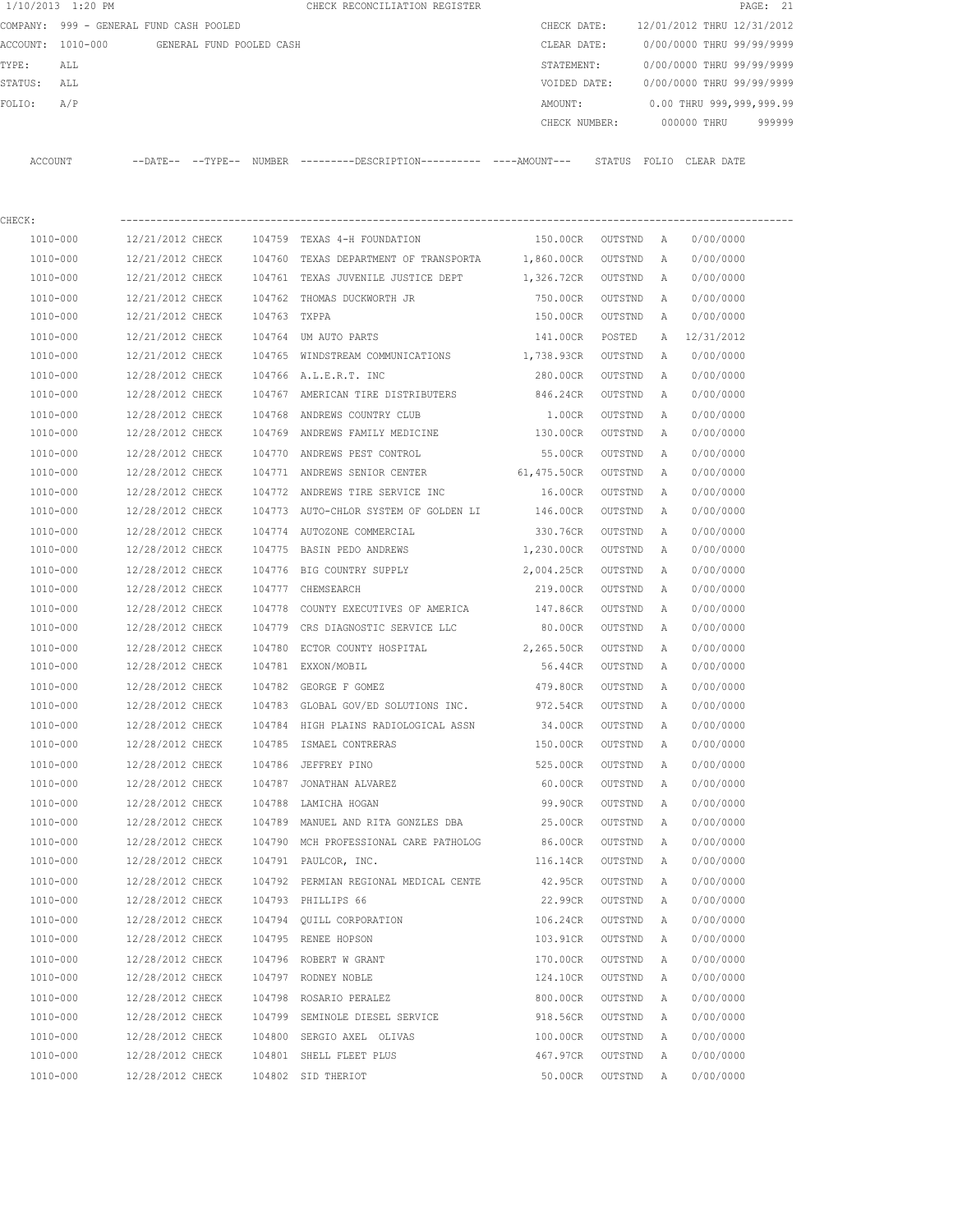|             | 1/10/2013 1:20 PM |                                         |  | CHECK RECONCILIATION REGISTER                                                                |                      |           |              |                                        | PAGE: 21 |
|-------------|-------------------|-----------------------------------------|--|----------------------------------------------------------------------------------------------|----------------------|-----------|--------------|----------------------------------------|----------|
|             |                   | COMPANY: 999 - GENERAL FUND CASH POOLED |  |                                                                                              | CHECK DATE:          |           |              | 12/01/2012 THRU 12/31/2012             |          |
|             |                   |                                         |  |                                                                                              | CLEAR DATE:          |           |              | 0/00/0000 THRU 99/99/9999              |          |
| TYPE:       | ALL               |                                         |  |                                                                                              |                      |           |              | STATEMENT: 0/00/0000 THRU 99/99/9999   |          |
| STATUS: ALL |                   |                                         |  |                                                                                              |                      |           |              | VOIDED DATE: 0/00/0000 THRU 99/99/9999 |          |
| FOLIO:      | A/P               |                                         |  |                                                                                              | AMOUNT:              |           |              | 0.00 THRU 999,999,999.99               |          |
|             |                   |                                         |  |                                                                                              |                      |           |              | CHECK NUMBER: 000000 THRU 999999       |          |
|             | ACCOUNT           |                                         |  | --DATE-- --TYPE-- NUMBER ---------DESCRIPTION---------- ----AMOUNT--- STATUS FOLIO CLEARDATE |                      |           |              |                                        |          |
| CHECK:      |                   |                                         |  |                                                                                              |                      |           |              |                                        |          |
|             | 1010-000          |                                         |  | 12/21/2012 CHECK 104759 TEXAS 4-H FOUNDATION                                                 |                      |           |              | 150.00CR OUTSTND A 0/00/0000           |          |
|             | 1010-000          |                                         |  | 12/21/2012 CHECK 104760 TEXAS DEPARTMENT OF TRANSPORTA                                       | 1,860.00CR OUTSTND A |           |              | 0/00/0000                              |          |
|             | 1010-000          |                                         |  | 12/21/2012 CHECK 104761 TEXAS JUVENILE JUSTICE DEPT 1,326.72CR OUTSTND A 0/00/0000           |                      |           |              |                                        |          |
|             | 1010-000          | 12/21/2012 CHECK                        |  | 104762 THOMAS DUCKWORTH JR                                                                   | 750.00CR             | OUTSTND A |              | 0/00/0000                              |          |
|             | 1010-000          | 12/21/2012 CHECK 104763 TXPPA           |  |                                                                                              | 150.00CR OUTSTND A   |           |              | 0/00/0000                              |          |
|             | 1010-000          |                                         |  | 12/21/2012 CHECK 104764 UM AUTO PARTS                                                        | 141.00CR             | POSTED    | A            | 12/31/2012                             |          |
|             | 1010-000          |                                         |  | 12/21/2012 CHECK 104765 WINDSTREAM COMMUNICATIONS 1,738.93CR OUTSTND A                       |                      |           |              | 0/00/0000                              |          |
|             | 1010-000          |                                         |  | 12/28/2012 CHECK 104766 A.L.E.R.T. INC                                                       | 280.00CR             | OUTSTND   |              | 0/00/0000                              |          |
|             |                   |                                         |  | 12/28/2012 CHECK 104767 AMERICAN TIRE DISTRIBUTERS                                           | 846.24CR OUTSTND     |           | A            | 0/00/0000                              |          |
|             | 1010-000          |                                         |  |                                                                                              |                      |           | A            |                                        |          |
|             | 1010-000          | 12/28/2012 CHECK                        |  | 104768 ANDREWS COUNTRY CLUB                                                                  | 1.00CR               | OUTSTND   | A            | 0/00/0000                              |          |
|             | 1010-000          | 12/28/2012 CHECK                        |  | 104769 ANDREWS FAMILY MEDICINE                                                               | 130.00CR             | OUTSTND   | A            | 0/00/0000                              |          |
|             | 1010-000          | 12/28/2012 CHECK                        |  | 104770 ANDREWS PEST CONTROL                                                                  | 55.00CR OUTSTND A    |           |              | 0/00/0000                              |          |
|             | 1010-000          | 12/28/2012 CHECK                        |  | 104771 ANDREWS SENIOR CENTER                                                                 | 61,475.50CR          | OUTSTND   | A            | 0/00/0000                              |          |
|             | 1010-000          | 12/28/2012 CHECK                        |  | 104772 ANDREWS TIRE SERVICE INC                                                              | 16.00CR              | OUTSTND   | A            | 0/00/0000                              |          |
|             | 1010-000          | 12/28/2012 CHECK                        |  | 104773 AUTO-CHLOR SYSTEM OF GOLDEN LI 146.00CR                                               |                      | OUTSTND   | A            | 0/00/0000                              |          |
|             | 1010-000          | 12/28/2012 CHECK                        |  | 104774 AUTOZONE COMMERCIAL                                                                   | 330.76CR             | OUTSTND   | A            | 0/00/0000                              |          |
|             | 1010-000          | 12/28/2012 CHECK                        |  | 104775 BASIN PEDO ANDREWS                                                                    | 1,230.00CR           | OUTSTND   | A            | 0/00/0000                              |          |
|             | 1010-000          | 12/28/2012 CHECK                        |  | 104776 BIG COUNTRY SUPPLY                                                                    | 2,004.25CR           | OUTSTND   | A            | 0/00/0000                              |          |
|             | 1010-000          | 12/28/2012 CHECK                        |  | 104777 CHEMSEARCH                                                                            | 219.00CR             | OUTSTND   | A            | 0/00/0000                              |          |
|             | 1010-000          | 12/28/2012 CHECK                        |  | 104778 COUNTY EXECUTIVES OF AMERICA 147.86CR                                                 |                      | OUTSTND   | A            | 0/00/0000                              |          |
|             | 1010-000          |                                         |  | 12/28/2012 CHECK 104779 CRS DIAGNOSTIC SERVICE LLC                                           | 80.00CR              | OUTSTND   | A            | 0/00/0000                              |          |
|             | 1010-000          | 12/28/2012 CHECK                        |  | 104780 ECTOR COUNTY HOSPITAL                                                                 | 2,265.50CR           | OUTSTND   | A            | 0/00/0000                              |          |
|             | 1010-000          |                                         |  | 12/28/2012 CHECK 104781 EXXON/MOBIL                                                          | 56.44CR OUTSTND A    |           |              | 0/00/0000                              |          |
|             | 1010-000          | 12/28/2012 CHECK                        |  | 104782 GEORGE F GOMEZ                                                                        | 479.80CR             | OUTSTND A |              | 0/00/0000                              |          |
|             | 1010-000          | 12/28/2012 CHECK                        |  | 104783 GLOBAL GOV/ED SOLUTIONS INC.                                                          | 972.54CR             | OUTSTND   | $\mathbb{A}$ | 0/00/0000                              |          |
|             | 1010-000          | 12/28/2012 CHECK                        |  | 104784 HIGH PLAINS RADIOLOGICAL ASSN                                                         | 34.00CR              | OUTSTND   | А            | 0/00/0000                              |          |
|             | 1010-000          | 12/28/2012 CHECK                        |  | 104785 ISMAEL CONTRERAS                                                                      | 150.00CR             | OUTSTND   | Α            | 0/00/0000                              |          |
|             | 1010-000          | 12/28/2012 CHECK                        |  | 104786 JEFFREY PINO                                                                          | 525.00CR             | OUTSTND   | Α            | 0/00/0000                              |          |
|             | 1010-000          | 12/28/2012 CHECK                        |  | 104787 JONATHAN ALVAREZ                                                                      | 60.00CR              | OUTSTND   | Α            | 0/00/0000                              |          |
|             | $1010 - 000$      | 12/28/2012 CHECK                        |  | 104788 LAMICHA HOGAN                                                                         | 99.90CR              | OUTSTND   | Α            | 0/00/0000                              |          |
|             | $1010 - 000$      | 12/28/2012 CHECK                        |  | 104789 MANUEL AND RITA GONZLES DBA                                                           | 25.00CR              | OUTSTND   | Α            | 0/00/0000                              |          |
|             | 1010-000          | 12/28/2012 CHECK                        |  | 104790 MCH PROFESSIONAL CARE PATHOLOG                                                        | 86.00CR              | OUTSTND   | Α            | 0/00/0000                              |          |
|             | 1010-000          | 12/28/2012 CHECK                        |  | 104791 PAULCOR, INC.                                                                         | 116.14CR             | OUTSTND   | Α            | 0/00/0000                              |          |
|             | $1010 - 000$      | 12/28/2012 CHECK                        |  | 104792 PERMIAN REGIONAL MEDICAL CENTE                                                        | 42.95CR              | OUTSTND   | Α            | 0/00/0000                              |          |
|             | 1010-000          | 12/28/2012 CHECK                        |  | 104793 PHILLIPS 66                                                                           | 22.99CR              | OUTSTND   | Α            | 0/00/0000                              |          |
|             | 1010-000          | 12/28/2012 CHECK                        |  | 104794 QUILL CORPORATION                                                                     | 106.24CR             | OUTSTND   | A            | 0/00/0000                              |          |
|             | 1010-000          | 12/28/2012 CHECK                        |  | 104795 RENEE HOPSON                                                                          | 103.91CR             | OUTSTND   | $\mathbb{A}$ | 0/00/0000                              |          |
|             | 1010-000          | 12/28/2012 CHECK                        |  |                                                                                              |                      |           |              |                                        |          |
|             |                   |                                         |  | 104796 ROBERT W GRANT                                                                        | 170.00CR             | OUTSTND   | А            | 0/00/0000                              |          |
|             | 1010-000          | 12/28/2012 CHECK                        |  | 104797 RODNEY NOBLE                                                                          | 124.10CR             | OUTSTND   | A            | 0/00/0000                              |          |
|             | 1010-000          | 12/28/2012 CHECK                        |  | 104798 ROSARIO PERALEZ                                                                       | 800.00CR             | OUTSTND   | А            | 0/00/0000                              |          |
|             | 1010-000          | 12/28/2012 CHECK                        |  | 104799 SEMINOLE DIESEL SERVICE                                                               | 918.56CR             | OUTSTND   | Α            | 0/00/0000                              |          |
|             | 1010-000          | 12/28/2012 CHECK                        |  | 104800 SERGIO AXEL OLIVAS                                                                    | 100.00CR             | OUTSTND   | A            | 0/00/0000                              |          |
|             | 1010-000          | 12/28/2012 CHECK                        |  | 104801 SHELL FLEET PLUS                                                                      | 467.97CR             | OUTSTND   | A            | 0/00/0000                              |          |

1010-000 12/28/2012 CHECK 104802 SID THERIOT 50.00CR OUTSTND A 0/00/0000